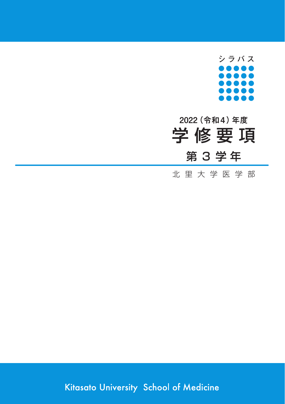

# 第 3 学 年 学 修 要 項 **2022(令和4)年度**

北 里 大 学 医 学 部

Kitasato University School of Medicine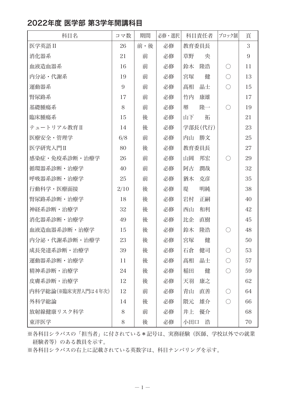### 2022年度 医学部 第3学年開講科目

| 科目名                | コマ数  | 期間  | 必修・選択 | 科目責任者    | ブロック制      | 頁  |
|--------------------|------|-----|-------|----------|------------|----|
| 医学英語 II            | 26   | 前・後 | 必修    | 教育委員長    |            | 3  |
| 消化器系               | 21   | 前   | 必修    | 草野<br>央  |            | 9  |
| 血液造血器系             | 16   | 前   | 必修    | 隆浩<br>鈴木 | O          | 11 |
| 内分泌・代謝系            | 19   | 前   | 必修    | 宮塚<br>健  | $\bigcirc$ | 13 |
| 運動器系               | 9    | 前   | 必修    | 晶士<br>髙相 | $\bigcirc$ | 15 |
| 腎尿路系               | 17   | 前   | 必修    | 竹内<br>康雄 |            | 17 |
| 基礎腫瘍系              | 8    | 前   | 必修    | 堺<br>隆一  | $\bigcirc$ | 19 |
| 臨床腫瘍系              | 15   | 後   | 必修    | 山下<br>拓  |            | 21 |
| テュートリアル教育Ⅱ         | 14   | 後   | 必修    | 学部長(代行)  |            | 23 |
| 医療安全・管理学           | 6/8  | 前   | 必修    | 内山 勝文    |            | 25 |
| 医学研究入門Ⅱ            | 80   | 後   | 必修    | 教育委員長    |            | 27 |
| 感染症・免疫系診断・治療学      | 26   | 前   | 必修    | 山岡<br>邦宏 | ∩          | 29 |
| 循環器系診断・治療学         | 40   | 前   | 必修    | 潤哉<br>阿古 |            | 32 |
| 呼吸器系診断・治療学         | 25   | 前   | 必修    | 克彦<br>猶木 |            | 35 |
| 行動科学・医療面接          | 2/10 | 後   | 必修    | 堤<br>明純  |            | 38 |
| 腎尿路系診断・治療学         | 18   | 後   | 必修    | 岩村<br>正嗣 |            | 40 |
| 神経系診断・治療学          | 32   | 後   | 必修    | 西山<br>和利 |            | 42 |
| 消化器系診断・治療学         | 49   | 後   | 必修    | 比企<br>直樹 |            | 45 |
| 血液造血器系診断・治療学       | 15   | 後   | 必修    | 鈴木<br>隆浩 | $\bigcirc$ | 48 |
| 内分泌・代謝系診断・治療学      | 23   | 後   | 必修    | 健<br>宮塚  |            | 50 |
| 成長発達系診断・治療学        | 39   | 後   | 必修    | 石倉<br>健司 | O          | 53 |
| 運動器系診断・治療学         | 11   | 後   | 必修    | 髙相<br>晶士 | $\bigcirc$ | 57 |
| 精神系診断・治療学          | 24   | 後   | 必修    | 稲田<br>健  | $\bigcirc$ | 59 |
| 皮膚系診断・治療学          | 12   | 後   | 必修    | 康之<br>天羽 |            | 62 |
| 内科学総論(※臨床実習入門は4年次) | 12   | 前   | 必修    | 青山<br>直善 | ∩          | 64 |
| 外科学総論              | 14   | 後   | 必修    | 隈元<br>雄介 | $\bigcirc$ | 66 |
| 放射線健康リスク科学         | 8    | 前   | 必修    | 井上<br>優介 |            | 68 |
| 東洋医学               | 8    | 後   | 必修    | 小田口<br>浩 |            | 70 |

※ 各科目シラバスの「担当者」に付されている\*記号は、実務経験(医師、学校以外での就業 経験者等)のある教員を示す。

※各科目シラバスの右上に記載されている英数字は、科目ナンバリングを示す。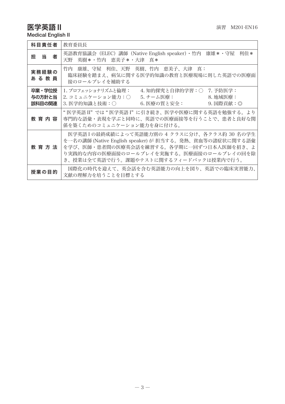# **医学英語Ⅱ**  $\frac{1}{2}$  **EXP II**  $\frac{1}{2}$  **EXP II**  $\frac{1}{2}$  **EXP II**  $\frac{1}{2}$  **EXP II**  $\frac{1}{2}$  **EXP II**  $\frac{1}{2}$  **EXP II**  $\frac{1}{2}$  **EXP II**  $\frac{1}{2}$  **EXP II**  $\frac{1}{2}$  **EXP II**  $\frac{1}{2}$  **EXP II**  $\$

Medical English II

| 科目責任者                      | 教育委員長                                                                                                                                                                                                                                    |
|----------------------------|------------------------------------------------------------------------------------------------------------------------------------------------------------------------------------------------------------------------------------------|
| 担当<br>者                    | 英語教育協議会(ELEC)講師(Native English speaker)・竹内 康雄*・守屋 利佳*<br>天野 英樹*・竹内 恵美子*・大津 真*                                                                                                                                                            |
| 実務経験の<br>あ る 教 員           | 竹内 康雄、守屋 利佳、天野 英樹、竹内 恵美子、大津 真:<br>臨床経験を踏まえ、病気に関する医学的知識の教育と医療現場に則した英語での医療面<br>接のロールプレイを補助する                                                                                                                                               |
| 卒業・学位授<br>与の方針と当<br>該科目の関連 | 1. プロフェッショナリズムと倫理:<br>4. 知的探究と自律的学習:○ 7. 予防医学:<br>2. コミュニケーション能力:○<br>5. チーム医療:<br>8. 地域医療:<br>6. 医療の質と安全:<br>9. 国際貢献:◎<br>3. 医学的知識と技術:○                                                                                                 |
| 教 育 内 容                    | " 医学英語 II" では " 医学英語 I" に引き続き、医学や医療に関する英語を勉強する。より<br>専門的な語彙・表現を学ぶと同時に、英語での医療面接等を行うことで、患者と良好な関<br>係を築くためのコミュニケーション能力を身に付ける。                                                                                                               |
| 教 育 方 法                    | 医学英語Ⅰの最終成績によって英語能力別の 4 クラスに分け、各クラス約 30 名の学生<br>を一名の講師 (Native English speaker) が 担当する。発熱、貧血等の諸症状に関する語彙<br>を学び、医師・患者間の医療英会話を練習する。各学期に一回ずつ日本人医師を招き、よ<br>り実践的な内容の医療面接のロールプレイを実施する。医療面接のロールプレイの回を除<br>き、授業は全て英語で行う。課題やテストに関するフィードバックは授業内で行う。 |
| 授業の目的                      | 国際化の時代を迎えて、英会話を含む英語能力の向上を図り、英語での臨床実習能力、<br>文献の理解力を培うことを目標とする                                                                                                                                                                             |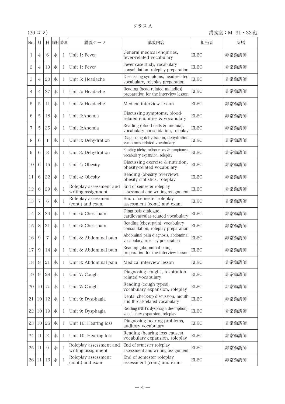| No.            | 月              | Ħ              |   | 曜日 時限        | 講義テーマ                                         | 講義内容                                                                     | 担当者         | 所属    |
|----------------|----------------|----------------|---|--------------|-----------------------------------------------|--------------------------------------------------------------------------|-------------|-------|
| 1              | $\overline{4}$ | 6              | 水 | 1            | Unit 1: Fever                                 | General medical enquiries,<br>fever-related vocabulary                   | <b>ELEC</b> | 非常勤講師 |
| 2              | $\overline{4}$ | 13             | 水 | 1            | Unit 1: Fever                                 | Fever case study, vocabulary<br>consolidation, roleplay preparation      | <b>ELEC</b> | 非常勤講師 |
| 3              | $\overline{4}$ | 20             | 水 | 1            | Unit 5: Headache                              | Discussing symptoms, head-related<br>vocabulary, roleplay preparation    | <b>ELEC</b> | 非常勤講師 |
| 4              | $\overline{4}$ | 27             | 水 | $\mathbf{I}$ | Unit 5: Headache                              | Reading (head-related maladies),<br>preparation for the interview lesson | <b>ELEC</b> | 非常勤講師 |
| 5              | 5              | 11             | 水 | 1            | Unit 5: Headache                              | Medical interview lesson                                                 | <b>ELEC</b> | 非常勤講師 |
| 6              | 5              | 18             | 水 | 1            | Unit 2:Anemia                                 | Discussing symptoms, blood-<br>related enquiries & vocabulary            | ELEC        | 非常勤講師 |
| $\overline{7}$ | 5              | 25             | 水 | $\mathbf{I}$ | Unit 2:Anemia                                 | Reading (blood cells & anemia),<br>vocabulary consolidation, roleplay    | <b>ELEC</b> | 非常勤講師 |
| 8              | 6              | 1              | 水 | 1            | Unit 3: Dehydration                           | Diagnosing dehydration, dehydration<br>symptoms-related vocabulary       | <b>ELEC</b> | 非常勤講師 |
| 9              | 6              | 8              | 水 | 1            | Unit 3: Dehydration                           | Reading (dehydration cases & symptoms)<br>vocabulary expansion, roleplay | <b>ELEC</b> | 非常勤講師 |
| 10             | 6              | 15             | 水 | 1            | Unit 4: Obesity                               | Discussing exercise & nutrition,<br>obesity-related vocabulary           | <b>ELEC</b> | 非常勤講師 |
| 11             | 6              | 22             | 水 | $\mathbf{I}$ | Unit 4: Obesity                               | Reading (obesity overview),<br>obesity statistics, roleplay              | <b>ELEC</b> | 非常勤講師 |
| 12             | 6              | 29             | 水 | 1            | Roleplay assessment and<br>writing assignment | End of semester roleplay<br>assessment and writing assignment            | ELEC        | 非常勤講師 |
| 13             | $\overline{7}$ | 6              | 水 | 1            | Roleplay assessment<br>(cont.) and exam       | End of semester roleplay<br>assessment (cont.) and exam                  | <b>ELEC</b> | 非常勤講師 |
| 14             | 8              | 24             | 水 | $\mathbf{I}$ | Unit 6: Chest pain                            | Diagnosis dialogue,<br>cardiovascular-related vocabulary                 | <b>ELEC</b> | 非常勤講師 |
| 15             | 8              | 31             | 水 | 1            | Unit 6: Chest pain                            | Reading (chest pain), vocabulary<br>consolidation, roleplay preparation  | <b>ELEC</b> | 非常勤講師 |
| 16             | 9              | $\overline{7}$ | 水 | 1            | Unit 8: Abdominal pain                        | Abdominal pain diagnosis, abdominal<br>vocabulary, roleplay preparation  | <b>ELEC</b> | 非常勤講師 |
| 17             | 9              | 14             | 水 | 1            | Unit 8: Abdominal pain                        | Reading (abdominal pain),<br>preparation for the interview lesson        | ELEC        | 非常勤講師 |
| 18             | 9              | 21             | 水 | 1            | Unit 8: Abdominal pain                        | Medical interview lesson                                                 | <b>ELEC</b> | 非常勤講師 |
| 19             | 9              | 28             | 水 | 1            | Unit 7: Cough                                 | Diagnosing coughs, respiration-<br>related vocabulary                    | <b>ELEC</b> | 非常勤講師 |
| 20             | 10             | 5              | 水 | 1            | Unit 7: Cough                                 | Reading (cough types),<br>vocabulary expansion, roleplay                 | <b>ELEC</b> | 非常勤講師 |
| 21             | 10             | 12             | 水 | 1            | Unit 9: Dysphagia                             | Dental check-up discussion, mouth<br>and throat-related vocabulary       | <b>ELEC</b> | 非常勤講師 |
| 22             | 10             | 19             | 水 | 1            | Unit 9: Dysphagia                             | Reading (NIH's dysphagia description).<br>vocabulary expansion, roleplay | <b>ELEC</b> | 非常勤講師 |
| 23             | 10             | 26             | 水 | 1            | Unit 10: Hearing loss                         | Diagnosing hearing problems,<br>auditory vocabulary                      | <b>ELEC</b> | 非常勤講師 |
| 24             | 11             | $\overline{c}$ | 水 | 1            | Unit 10: Hearing loss                         | Reading (hearing loss causes),<br>vocabulary expansion, roleplay         | ELEC        | 非常勤講師 |
| 25             | 11             | 9              | 水 | $\mathbf{I}$ | Roleplay assessment and<br>writing assignment | End of semester roleplay<br>assessment and writing assignment            | ELEC        | 非常勤講師 |
| 26             | 11             | 16             | 水 | $\mathbf{I}$ | Roleplay assessment<br>(cont.) and exam       | End of semester roleplay<br>assessment (cont.) and exam                  | <b>ELEC</b> | 非常勤講師 |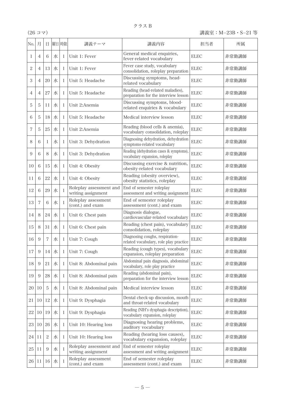| No. | 月              | 日              |   | 曜日 時限 | 講義テーマ                                         | 講義内容                                                                      | 担当者         | 所属    |
|-----|----------------|----------------|---|-------|-----------------------------------------------|---------------------------------------------------------------------------|-------------|-------|
| 1   | $\overline{4}$ | 6              | 水 | 1     | Unit 1: Fever                                 | General medical enquiries,<br>fever-related vocabulary                    | <b>ELEC</b> | 非常勤講師 |
| 2   | $\overline{4}$ | 13             | 水 | 1     | Unit 1: Fever                                 | Fever case study, vocabulary<br>consolidation, roleplay preparation       | ELEC        | 非常勤講師 |
| 3   | $\overline{4}$ | 20             | 水 | 1     | Unit 5: Headache                              | Discussing symptoms, head-<br>related vocabulary                          | <b>ELEC</b> | 非常勤講師 |
| 4   | $\overline{4}$ | 27             | 水 | 1     | Unit 5: Headache                              | Reading (head-related maladies),<br>preparation for the interview lesson  | <b>ELEC</b> | 非常勤講師 |
| 5   | 5              | 11             | 水 | 1     | Unit 2:Anemia                                 | Discussing symptoms, blood-<br>related enquiries & vocabulary             | <b>ELEC</b> | 非常勤講師 |
| 6   | 5              | 18             | 水 | 1     | Unit 5: Headache                              | Medical interview lesson                                                  | ELEC        | 非常勤講師 |
| 7   | 5              | 25             | 水 | 1     | Unit 2:Anemia                                 | Reading (blood cells & anemia),<br>vocabulary consolidation, roleplay     | ELEC        | 非常勤講師 |
| 8   | 6              | 1              | 水 | 1     | Unit 3: Dehydration                           | Diagnosing dehydration, dehydration<br>symptoms-related vocabulary        | <b>ELEC</b> | 非常勤講師 |
| 9   | 6              | 8              | 水 | 1     | Unit 3: Dehydration                           | Reading (dehydration cases & symptoms).<br>vocabulary expansion, roleplay | <b>ELEC</b> | 非常勤講師 |
| 10  | 6              | 15             | 水 | 1     | Unit 4: Obesity                               | Discussing exercise & nutrition,<br>obesity-related vocabulary            | <b>ELEC</b> | 非常勤講師 |
| 11  | 6              | 22             | 水 | 1     | Unit 4: Obesity                               | Reading (obesity overview),<br>obesity statistics, roleplay               | ELEC        | 非常勤講師 |
| 12  | 6              | 29             | 水 | 1     | Roleplay assessment and<br>writing assignment | End of semester roleplay<br>assessment and writing assignment             | <b>ELEC</b> | 非常勤講師 |
| 13  | $\overline{7}$ | 6              | 水 | 1     | Roleplay assessment<br>(cont.) and exam       | End of semester roleplay<br>assessment (cont.) and exam                   | <b>ELEC</b> | 非常勤講師 |
| 14  | 8              | 24             | 水 | 1     | Unit 6: Chest pain                            | Diagnosis dialogue,<br>cardiovascular-related vocabulary                  | <b>ELEC</b> | 非常勤講師 |
| 15  | 8              | 31             | 水 | 1     | Unit 6: Chest pain                            | Reading (chest pain), vocabulary<br>consolidation, roleplay               | <b>ELEC</b> | 非常勤講師 |
| 16  | 9              | $\overline{7}$ | 水 | 1     | Unit 7: Cough                                 | Diagnosing coughs, respiration-<br>related vocabulary, role play practice | ELEC        | 非常勤講師 |
| 17  | 9              | 14             | 水 | 1     | Unit 7: Cough                                 | Reading (cough types), vocabulary<br>expansion, roleplay preparation      | <b>ELEC</b> | 非常勤講師 |
| 18  | 9              | 21             | 水 | 1     | Unit 8: Abdominal pain                        | Abdominal pain diagnosis, abdominal<br>vocabulary, role play practice     | <b>ELEC</b> | 非常勤講師 |
| 19  | 9              | $28\,$         | 水 | 1     | Unit 8: Abdominal pain                        | Reading (abdominal pain),<br>preparation for the interview lesson         | <b>ELEC</b> | 非常勤講師 |
| 20  | 10             | 5              | 水 | 1     | Unit 8: Abdominal pain                        | Medical interview lesson                                                  | <b>ELEC</b> | 非常勤講師 |
| 21  | 10             | 12             | 水 | 1     | Unit 9: Dysphagia                             | Dental check-up discussion, mouth<br>and throat-related vocabulary        | <b>ELEC</b> | 非常勤講師 |
| 22  | 10             | 19             | 水 | 1     | Unit 9: Dysphagia                             | Reading (NIH's dysphagia description),<br>vocabulary expansion, roleplay  | <b>ELEC</b> | 非常勤講師 |
| 23  | 10             | 26             | 水 | 1     | Unit 10: Hearing loss                         | Diagnosing hearing problems,<br>auditory vocabulary                       | ELEC        | 非常勤講師 |
| 24  | $_{11}$        | $\overline{c}$ | 水 | 1     | Unit 10: Hearing loss                         | Reading (hearing loss causes),<br>vocabulary expansion, roleplay          | ELEC        | 非常勤講師 |
| 25  | 11             | 9              | 水 | 1     | Roleplay assessment and<br>writing assignment | End of semester roleplay<br>assessment and writing assignment             | <b>ELEC</b> | 非常勤講師 |
| 26  | 11             | 16             | 水 | 1     | Roleplay assessment<br>(cont.) and exam       | End of semester roleplay<br>assessment (cont.) and exam                   | <b>ELEC</b> | 非常勤講師 |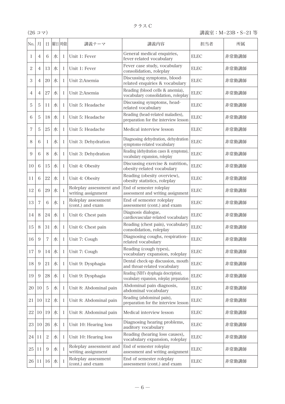| No. | 月              | 日              | 曜日 | 時限 | 講義テーマ                                         | 講義内容                                                                                 | 担当者         | 所属    |
|-----|----------------|----------------|----|----|-----------------------------------------------|--------------------------------------------------------------------------------------|-------------|-------|
| 1   | $\overline{4}$ | 6              | 水  | 1  | Unit 1: Fever                                 | General medical enquiries,<br>fever-related vocabulary                               | <b>ELEC</b> | 非常勤講師 |
| 2   | $\overline{4}$ | 13             | 水  | 1  | Unit 1: Fever                                 | Fever case study, vocabulary<br>consolidation, roleplay                              | ELEC        | 非常勤講師 |
| 3   | $\overline{4}$ | 20             | 水  | 1  | Unit 2:Anemia                                 | Discussing symptoms, blood-<br>related enquiries & vocabulary                        | ELEC        | 非常勤講師 |
| 4   | $\overline{4}$ | 27             | 水  | 1  | Unit 2:Anemia                                 | Reading (blood cells & anemia),<br>vocabulary consolidation, roleplay                | ELEC        | 非常勤講師 |
| 5   | 5              | 11             | 水  | 1  | Unit 5: Headache                              | Discussing symptoms, head-<br>related vocabulary                                     | ELEC        | 非常勤講師 |
| 6   | 5              | 18             | 水  | 1  | Unit 5: Headache                              | Reading (head-related maladies),<br>preparation for the interview lesson             | ELEC        | 非常勤講師 |
| 7   | 5              | 25             | 水  | 1  | Unit 5: Headache                              | Medical interview lesson                                                             | <b>ELEC</b> | 非常勤講師 |
| 8   | 6              | 1              | 水  | 1  | Unit 3: Dehydration                           | Diagnosing dehydration, dehydration<br>symptoms-related vocabulary                   | <b>ELEC</b> | 非常勤講師 |
| 9   | 6              | 8              | 水  | 1  | Unit 3: Dehydration                           | Reading (dehydration cases & symptoms).<br>vocabulary expansion, roleplay            | <b>ELEC</b> | 非常勤講師 |
| 10  | 6              | 15             | 水  | 1  | Unit 4: Obesity                               | Discussing exercise & nutrition,<br>obesity-related vocabulary                       | <b>ELEC</b> | 非常勤講師 |
| 11  | 6              | 22             | 水  | 1  | Unit 4: Obesity                               | Reading (obesity overview),<br>obesity statistics, roleplay                          | <b>ELEC</b> | 非常勤講師 |
| 12  | 6              | 29             | 水  | 1  | Roleplay assessment and<br>writing assignment | End of semester roleplay<br>assessment and writing assignment                        | ELEC        | 非常勤講師 |
| 13  | $\overline{7}$ | 6              | 水  | 1  | Roleplay assessment<br>(cont.) and exam       | End of semester roleplay<br>assessment (cont.) and exam                              | <b>ELEC</b> | 非常勤講師 |
| 14  | 8              | 24             | 水  | 1  | Unit 6: Chest pain                            | Diagnosis dialogue,<br>cardiovascular-related vocabulary                             | ELEC        | 非常勤講師 |
| 15  | 8              | 31             | 水  | 1  | Unit 6: Chest pain                            | Reading (chest pain), vocabulary<br>consolidation, roleplay                          | <b>ELEC</b> | 非常勤講師 |
| 16  | 9              | 7              | 水  | 1  | Unit 7: Cough                                 | Diagnosing coughs, respiration-<br>related vocabulary                                | ELEC        | 非常勤講師 |
| 17  | 9              | 14             | 水  | 1  | Unit 7: Cough                                 | Reading (cough types),<br>vocabulary expansion, roleplay                             | <b>ELEC</b> | 非常勤講師 |
| 18  | 9              | 21             | 水  | 1  | Unit 9: Dysphagia                             | Dental check-up discussion, mouth<br>and throat-related vocabulary                   | <b>ELEC</b> | 非常勤講師 |
| 19  | 9              | 28             | 水  | 1  | Unit 9: Dysphagia                             | Reading (NIH's dysphagia description),<br>vocabulary expansion, roleplay preparation | <b>ELEC</b> | 非常勤講師 |
| 20  | 10             | 5              | 水  | 1  | Unit 8: Abdominal pain                        | Abdominal pain diagnosis,<br>abdominal vocabulary                                    | <b>ELEC</b> | 非常勤講師 |
| 21  | 10             | 12             | 水  | 1  | Unit 8: Abdominal pain                        | Reading (abdominal pain),<br>preparation for the interview lesson                    | ELEC        | 非常勤講師 |
| 22  | 10             | 19             | 水  | 1  | Unit 8: Abdominal pain                        | Medical interview lesson                                                             | <b>ELEC</b> | 非常勤講師 |
| 23  | 10             | 26             | 水  | 1  | Unit 10: Hearing loss                         | Diagnosing hearing problems,<br>auditory vocabulary                                  | <b>ELEC</b> | 非常勤講師 |
| 24  | 11             | $\overline{c}$ | 水  | 1  | Unit 10: Hearing loss                         | Reading (hearing loss causes).<br>vocabulary expansion, roleplay                     | ELEC        | 非常勤講師 |
| 25  | 11             | 9              | 水  | 1  | Roleplay assessment and<br>writing assignment | End of semester roleplay<br>assessment and writing assignment                        | ELEC        | 非常勤講師 |
| 26  | 11             | 16             | 水  | 1  | Roleplay assessment<br>(cont.) and exam       | End of semester roleplay<br>assessment (cont.) and exam                              | <b>ELEC</b> | 非常勤講師 |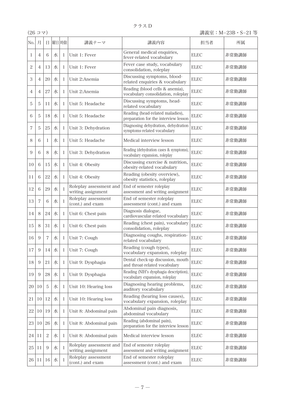| No.            | 月              | Ħ              |   | 曜日 時限        | 講義テーマ                                         | 講義内容                                                                      | 担当者         | 所属    |
|----------------|----------------|----------------|---|--------------|-----------------------------------------------|---------------------------------------------------------------------------|-------------|-------|
| 1              | 4              | 6              | 水 | l            | Unit 1: Fever                                 | General medical enquiries.<br>fever-related vocabulary                    | ELEC        | 非常勤講師 |
| $\overline{2}$ | $\overline{4}$ | 13             | 水 | $\mathbf{I}$ | Unit 1: Fever                                 | Fever case study, vocabulary<br>consolidation, roleplay                   | <b>ELEC</b> | 非常勤講師 |
| 3              | $\overline{4}$ | 20             | 水 | 1            | Unit 2:Anemia                                 | Discussing symptoms, blood-<br>related enquiries & vocabulary             | <b>ELEC</b> | 非常勤講師 |
| 4              | $\overline{4}$ | 27             | 水 | 1            | Unit 2:Anemia                                 | Reading (blood cells & anemia),<br>vocabulary consolidation, roleplay     | <b>ELEC</b> | 非常勤講師 |
| 5              | 5              | 11             | 水 | 1            | Unit 5: Headache                              | Discussing symptoms, head-<br>related vocabulary                          | <b>ELEC</b> | 非常勤講師 |
| 6              | 5              | 18             | 水 | $\mathbf{I}$ | Unit 5: Headache                              | Reading (head-related maladies),<br>preparation for the interview lesson  | <b>ELEC</b> | 非常勤講師 |
| 7              | 5              | 25             | 水 | 1            | Unit 3: Dehydration                           | Diagnosing dehydration, dehydration<br>symptoms-related vocabulary        | ELEC        | 非常勤講師 |
| 8              | 6              | 1              | 水 | 1            | Unit 5: Headache                              | Medical interview lesson                                                  | ELEC        | 非常勤講師 |
| 9              | 6              | 8              | 水 | 1            | Unit 3: Dehydration                           | Reading (dehydration cases & symptoms),<br>vocabulary expansion, roleplay | ELEC        | 非常勤講師 |
| 10             | 6              | 15             | 水 | 1            | Unit 4: Obesity                               | Discussing exercise & nutrition,<br>obesity-related vocabulary            | <b>ELEC</b> | 非常勤講師 |
| 11             | 6              | 22             | 水 | $\mathbf{I}$ | Unit 4: Obesity                               | Reading (obesity overview),<br>obesity statistics, roleplay               | <b>ELEC</b> | 非常勤講師 |
| 12             | 6              | 29             | 水 | 1            | Roleplay assessment and<br>writing assignment | End of semester roleplay<br>assessment and writing assignment             | ELEC        | 非常勤講師 |
| 13             | $\overline{7}$ | 6              | 水 | $\mathbf{I}$ | Roleplay assessment<br>(cont.) and exam       | End of semester roleplay<br>assessment (cont.) and exam                   | <b>ELEC</b> | 非常勤講師 |
| 14             | 8              | 24             | 水 | 1            | Unit 6: Chest pain                            | Diagnosis dialogue,<br>cardiovascular-related vocabulary                  | ELEC        | 非常勤講師 |
| 15             | 8              | 31             | 水 | 1            | Unit 6: Chest pain                            | Reading (chest pain), vocabulary<br>consolidation, roleplay               | <b>ELEC</b> | 非常勤講師 |
| 16             | 9              | $\overline{7}$ | 水 | 1            | Unit 7: Cough                                 | Diagnosing coughs, respiration-<br>related vocabulary                     | ELEC        | 非常勤講師 |
| 17             | 9              | 14             | 水 | 1            | Unit 7: Cough                                 | Reading (cough types),<br>vocabulary expansion, roleplay                  | <b>ELEC</b> | 非常勤講師 |
| 18             | 9              | 21             | 水 | 1            | Unit 9: Dysphagia                             | Dental check-up discussion, mouth<br>and throat-related vocabulary        | ELEC        | 非常勤講師 |
| 19             | 9              | 28             | 水 | 1            | Unit 9: Dysphagia                             | Reading (NIH's dysphagia description),<br>vocabulary expansion, roleplay  | <b>ELEC</b> | 非常勤講師 |
| 20             | 10             | 5              | 水 | 1            | Unit 10: Hearing loss                         | Diagnosing hearing problems,<br>auditory vocabulary                       | ELEC        | 非常勤講師 |
| 21             | 10             | 12             | 水 | 1            | Unit 10: Hearing loss                         | Reading (hearing loss causes),<br>vocabulary expansion, roleplay          | <b>ELEC</b> | 非常勤講師 |
| 22             | 10             | 19             | 水 | $\mathbf{I}$ | Unit 8: Abdominal pain                        | Abdominal pain diagnosis,<br>abdominal vocabulary                         | <b>ELEC</b> | 非常勤講師 |
| 23             | 10             | 26             | 水 | 1            | Unit 8: Abdominal pain                        | Reading (abdominal pain),<br>preparation for the interview lesson         | ELEC        | 非常勤講師 |
| 24             | 11             | $\overline{c}$ | 水 | 1            | Unit 8: Abdominal pain                        | Medical interview lesson                                                  | <b>ELEC</b> | 非常勤講師 |
| 25             | 11             | 9              | 水 | 1            | Roleplay assessment and<br>writing assignment | End of semester roleplay<br>assessment and writing assignment             | ELEC        | 非常勤講師 |
| 26             | 11             | 16             | 水 | 1            | Roleplay assessment<br>(cont.) and exam       | End of semester roleplay<br>assessment (cont.) and exam                   | <b>ELEC</b> | 非常勤講師 |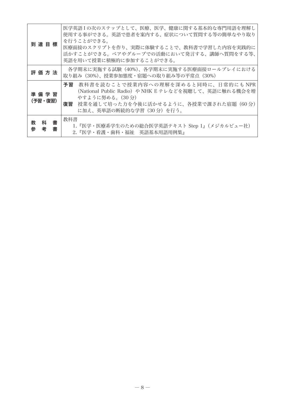| 到達目標                       | 医学英語Ⅰの次のステップとして、医療、医学、健康に関する基本的な専門用語を理解し<br>使用する事ができる。英語で患者を案内する、症状について質問する等の簡単なやり取り<br>を行うことができる。<br>医療面接のスクリプトを作り、実際に体験することで、教科書で学習した内容を実践的に<br>活かすことができる。ペアやグループでの活動において発言する、講師へ質問をする等、<br>英語を用いて授業に積極的に参加することができる。 |
|----------------------------|------------------------------------------------------------------------------------------------------------------------------------------------------------------------------------------------------------------------|
| 評価方法                       | 各学期末に実施する試験(40%)、各学期末に実施する医療面接ロールプレイにおける<br> 取り組み(30%)、授業参加熊度・宿題への取り組み等の平常点(30%)                                                                                                                                       |
| 準 備 学 習<br>(予習・復習)         | 予習<br>教科書を読むことで授業内容への理解を深めると同時に、日常的にもNPR<br>(National Public Radio) や NHK E テレなどを視聴して、英語に触れる機会を増<br>やすように努める。(30分)<br>復習<br>- 授業を通して培った力を今後に活かせるように、各授業で課された宿題(60 分)<br>に加え、英単語の断続的な学習(30 分)を行う。                       |
| 科<br>教<br>書<br>考<br>参<br>書 | 教科書<br>1.『医学・医療系学生のための総合医学英語テキスト Step 1』(メジカルビュー社)<br>2.『医学・看護・歯科・福祉 英語基本用語用例集』                                                                                                                                        |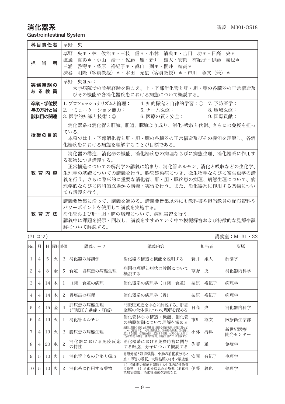# 消化器系 講義 M301-OS18

Gastrointestinal System

| 科目責任者                      | 草野<br>央                                                                                                                                                                                                                                            |  |  |  |  |
|----------------------------|----------------------------------------------------------------------------------------------------------------------------------------------------------------------------------------------------------------------------------------------------|--|--|--|--|
| 担当<br>者                    | 草野<br>央*・林 俊治*・三枝 信*・小林 清典*・吉田 功*・日高 央*<br>真彰*・小山 浩一・佐藤 雅・新井 雄太・安岡 有紀子・伊藤 義也*<br>渡邊<br>三浦<br>啓壽*・柴原 裕紀子*・眞山 到*・櫻井 靖高*<br> 明降(客員教授)*・木田  光広(客員教授)*・市川  尊文(兼)*<br>渋谷                                                                                 |  |  |  |  |
| 実務経験の<br>あ る 教 員           | 草野 央ほか:<br> 大学病院での診療経験を踏まえ、上・下部消化管と肝・胆・膵の各臓器の正常構浩及 <br>びその機能や各消化器疾患における病態について概説する。                                                                                                                                                                 |  |  |  |  |
| 卒業・学位授<br>与の方針と当<br>該科目の関連 | Ⅰ. プロフェッショナリズムと倫理:  4. 知的探究と自律的学習:○ 7. 予防医学:<br>2. コミュニケーション能力: ---5. チーム医療:<br>8. 地域医療:<br>3. 医学的知識と技術:◎     6. 医療の質と安全:<br>9. 国際貢献:                                                                                                              |  |  |  |  |
| 授業の目的                      | 消化器系は消化管と肝臓、胆道、膵臓より成り、消化・吸収と代謝、さらには免疫を担っ<br>ている。<br>本項では上・下部消化管と肝・胆・膵の各臓器の正常構造及びその機能を理解し、各消<br>化器疾患における病態を理解することが目標である。                                                                                                                            |  |  |  |  |
| 教育内容                       | 消化器の構造、消化器の機能、消化器疾患の病理ならびに病熊生理、消化器系に作用す<br>る薬物につき講義する。<br>正常構造についての解剖学の講義に始まり、消化管ホルモン、消化と吸収などの生化学、<br>生理学の基礎についての講義を行う。腸管感染症につき、微生物学ならびに寄生虫学の講<br>義を行う。さらに臨床的に重要な消化管、肝・胆・膵疾患の病理、病熊生理について、病<br>理学的ならびに内科的立場から講義・実習を行う。また、消化器系に作用する薬物につい<br>ても講義を行う。 |  |  |  |  |
| 教育方法                       | 講義要旨集に沿って、講義を進める。講義要旨集以外にも教科書や担当教員の配布資料や<br>パワーポイントを使用して講義を実施する。<br>消化管および肝・胆・膵の病理について、病理実習を行う。<br>講義中に課題を提示・回収し、講義をすすめていく中で模範解答および特徴的な見解や誤<br>解について解説する。                                                                                          |  |  |  |  |

|     | $(21 \; \text{J} \; \text{\ensuremath{\mathcal{R}}})$<br>講義室:M−31・32 |    |   |                |                         |                                                                                                                                     |    |     |                 |  |
|-----|----------------------------------------------------------------------|----|---|----------------|-------------------------|-------------------------------------------------------------------------------------------------------------------------------------|----|-----|-----------------|--|
| No. | 月                                                                    | Ħ. |   | 曜日 時限          | 講義テーマ                   | 講義内容                                                                                                                                |    | 担当者 | 所属              |  |
|     | 4                                                                    | 5  | 火 | 2              | 消化器の解剖学                 | 消化器の構造と機能を説明する                                                                                                                      | 新井 | 雄太  | 解剖学             |  |
| 2   | $\overline{4}$                                                       | 8  | 金 | 5              | 食道・胃疾患の病熊生理             | 病因の理解と病状の診断について<br>概説する                                                                                                             | 草野 | 央   | 消化器内科学          |  |
| 3   | 4                                                                    | 14 | 木 | -1             | 口腔・食道の病理                | 消化器系の病理学(口腔・食道)                                                                                                                     | 柴原 | 裕紀子 | 病理学             |  |
| 4   | 4                                                                    | 14 | 木 | 2              | 胃疾患の病理                  | 消化器系の病理学(胃)                                                                                                                         | 柴原 | 裕紀子 | 病理学             |  |
| 5   | 4                                                                    | 15 | 金 | $\overline{4}$ | 肝疾患の病熊生理<br>(門脈圧亢進症・肝癌) | 門脈圧亢進を中心に解説する。肝細<br>胞癌の全体像について理解を深める                                                                                                | 日高 | 央   | 消化器内科学          |  |
| 6   | 4                                                                    | 19 | 火 | 1              | 消化管ホルモン                 | 消化管ホルモンの構造・機能、消化管<br>の粘膜防御について理解を深める                                                                                                | 市川 | 尊文  | 医療衛生学部          |  |
| 7   | $\overline{4}$                                                       | 19 | 火 | 2              | 腸疾患の病熊生理                | 最初に腸管の構造と生理機能(運動や消化吸収、排便反射など)<br>について確認する。つぎに腸疾患を、①腫瘍性疾患、②炎症にはついて確認する。つぎに腸疾患を、①腫瘍性疾患、②炎症にはついて確認する。<br>定因する疾患、③運動異常に起因する疾患、④その他にわけて、 | 小林 | 清典  | 新世紀医療<br>開発センター |  |
| 8   | 4                                                                    | 20 | 水 | $\overline{c}$ | 消化器における免疫反応 <br>の特性     | 消化器系における免疫応答に関与<br>する細胞、分子について概説する                                                                                                  | 佐藤 | 雅   | 免疫学             |  |
| 9   | 5                                                                    | 10 | 火 | ı              | 消化管上皮の分泌と吸収             | 胃酸分泌と制御機構、小腸の消化液分泌と<br>水・溶質の吸収、大腸粘膜のイオン輸送他                                                                                          | 安岡 | 有紀子 | 生理学             |  |
| 10  | 5                                                                    | 10 | 火 | 2              | 消化系に作用する薬物              | 1) 消化器の機能を調節する生体内活性物質<br>の役割 2) 消化器疾患の治療薬(消化性<br>潰瘍治療薬、消化管運動改善薬など)                                                                  | 伊藤 | 義也  | 薬理学             |  |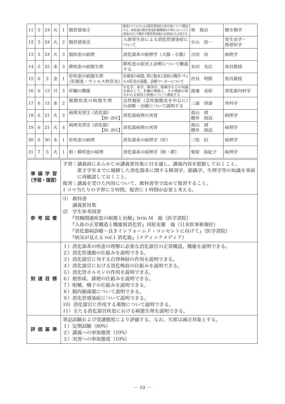| 11 | 5                                                                                                                                                                                                                                                                                                                                                                                | 24   | 火 | 1              | 腸管感染①                                                   | 細菌とウイルスによる腸管感染症と食中毒について概説<br>する。病原菌が腸管感染防御機構を巧妙にかいくぐり<br>感染をおこす機序や腸管感染後の合併症にも言及する |          | 林 俊治    | 微生物学          |
|----|----------------------------------------------------------------------------------------------------------------------------------------------------------------------------------------------------------------------------------------------------------------------------------------------------------------------------------------------------------------------------------|------|---|----------------|---------------------------------------------------------|-----------------------------------------------------------------------------------|----------|---------|---------------|
| 12 | 5                                                                                                                                                                                                                                                                                                                                                                                | 24   | 火 | 2              | 腸管感染(2)                                                 | 人体寄生虫による消化管感染症に<br>ついて                                                            |          | 小山浩一    | 寄生虫学·<br>熱帯医学 |
| 13 | 5                                                                                                                                                                                                                                                                                                                                                                                | 24   | 火 | 3              | 腸疾患の病理                                                  | 消化器系の病理学(大腸・小腸)                                                                   |          | 吉田 功    | 病理学           |
| 14 | 5                                                                                                                                                                                                                                                                                                                                                                                | 25   | 水 | 3              | 膵疾患の病熊生理                                                | 膵疾患の症状と診断について概説<br>する                                                             |          | 木田 光広   | 客員教授          |
| 15 | 6                                                                                                                                                                                                                                                                                                                                                                                | 3    | 金 | 1              | 肝疾患の病態生理<br>(肝硬変・ウィルス性肝炎)                               | 肝硬変の病態、特に腹水と黄疸の機序・ウィ<br>ルス肝炎の基礎、診断マーカーについて                                        | 渋谷       | 明隆      | 客員教授          |
| 16 | 6                                                                                                                                                                                                                                                                                                                                                                                | 13   | 月 | 3              | 肝臓の機能                                                   | 生化学、薬学、解剖学、組織学などの知識<br>ニー・・・・・・・・。<br>を統合して、肝臓の機能と、その機能が損<br>なわれる原因と病態について講義する    |          | 渡邊 真彰   | 消化器内科学        |
| 17 | 6                                                                                                                                                                                                                                                                                                                                                                                | 15   | 水 | $\mathfrak{D}$ | 腹膜疾患の病熊生理                                               | 急性腹症(急性腹膜炎を中心に)<br>の診断・治療について説明する                                                 | 三浦       | 啓壽      | 外科学           |
| 18 | 6                                                                                                                                                                                                                                                                                                                                                                                | 21   | 火 | 3              | 病理実習① (消化器)<br>$[M-201]$                                | 消化器病理の実習                                                                          | 眞山<br>櫻井 | 到<br>靖高 | 病理学           |
| 19 | 6                                                                                                                                                                                                                                                                                                                                                                                | 21   | 火 | $\overline{4}$ | 病理実習2 (消化器)<br>$[M-201]$                                | 消化器病理の実習                                                                          | 眞山<br>櫻井 | 到<br>靖高 | 病理学           |
| 20 | 6                                                                                                                                                                                                                                                                                                                                                                                | 30   | 木 | 1              | 肝疾患の病理                                                  | 消化器系の病理学(肝)                                                                       |          | 三枝 信    | 病理学           |
| 21 | $\overline{7}$                                                                                                                                                                                                                                                                                                                                                                   | 5    | 火 | 1              | 胆・膵疾患の病理                                                | 消化器系の病理学(胆・膵)                                                                     |          | 柴原 裕紀子  | 病理学           |
|    | 予習:講義前にあらかじめ講義要旨集に目を通し、講義内容を把握しておくこと。<br>第2学年までに履修した消化器系に関する解剖学、組織学、生理学等の知識を事前<br>準 備 学 習<br>に再確認しておくこと。<br>(予習・復習)<br>復習:講義を受けた内容について、教科書等で改めて復習すること。<br>1 コマ当たりの予習に 2 時間、復習に 1 時間が必要と考える。<br>(1) 教科書<br>講義要旨集<br>(2) 学生参考図書<br>参考図書<br>『胃酸関連疾患の病熊と治療』Irrin M 他(医学書院)<br>『人体の正常構造と機能Ⅲ消化管』河原克雅 他(日本医事新報社)<br>『消化器病診療-良きインフォームド・コンセントに向けて』(医学書院)<br>『病気が見える vol.1 消化器』(メディックメディア) |      |   |                |                                                         |                                                                                   |          |         |               |
|    | 1) 消化器系の疾患の理解に必要な消化器官の正常構造、機能を説明できる。<br>2) 消化管運動の仕組みを説明できる。<br>3) 消化器官に対する自律神経の作用を説明できる。<br>4) 消化器官における消化吸収の仕組みを説明できる。<br>5) 消化管ホルモンの作用を説明できる。<br>6) 便形成、排便の仕組みを説明できる。<br>到 達 目 標<br>7) 咀嚼、嚥下の仕組みを説明できる。<br>8)腸内細菌叢について説明できる。<br>9) 消化管感染症について説明できる。<br>10) 消化器官に作用する薬物について説明できる。<br>11) 主たる消化器官疾患における病態生理を説明できる。                                                                |      |   |                |                                                         |                                                                                   |          |         |               |
|    |                                                                                                                                                                                                                                                                                                                                                                                  | 評価基準 |   |                | 1) 定期試験 (80%)<br>2) 講義への参加態度 (10%)<br>3) 実習への参加態度 (10%) | 筆記試験および受講態度により評価する。なお、欠席は減点対象とする。                                                 |          |         |               |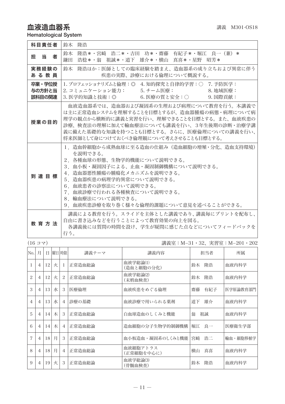# 血液造血器系  $\overline{a}$

Hematological System

| 科目責任者                      | 鈴木 降浩                                                                                                                                                                                                                                                                                                |
|----------------------------|------------------------------------------------------------------------------------------------------------------------------------------------------------------------------------------------------------------------------------------------------------------------------------------------------|
| 担当<br>者                    | 隆浩*・宮﨑 浩二*・吉田 功*・齋藤 有紀子*・堀江 良一(兼)*<br>鈴木<br>浩稔*・翁 祖誠*・道下 雄介*・横山 真喜*・星野 昭芳*<br>鎌田                                                                                                                                                                                                                     |
| 実務経験の<br>ある教員              | 鈴木 降浩ほか:医師としての臨床経験を踏まえ、造血器系の成り立ちおよび異常に伴う<br>疾患の実際、診療における倫理について概説する。                                                                                                                                                                                                                                  |
| 卒業・学位授<br>与の方針と当<br>該科目の関連 | 1. プロフェッショナリズムと倫理:◎ 4. 知的探究と自律的学習:○ 7. 予防医学:<br>2. コミュニケーション能力: 5. チーム医療: 5. 5 2. 10 2. 地域医療:<br>3. 医学的知識と技術:◎     6. 医療の質と安全:○    9. 国際貢献:                                                                                                                                                          |
| 授業の目的                      | 血液造血器系では、造血器および凝固系の生理および病理について教育を行う。本講義で<br>は主に正常造血システムを理解することを目標とするが、造血器腫瘍の病熊・病理について病<br>理学の観点から横断的に講義と実習を行い、理解できることを目標とする。また、血液疾患の<br>診療、検査法の理解に加えて輸血療法についても講義を行い、3年生後期の診断・治療学講<br>義に備えた基礎的な知識を持つことも目標とする。さらに、医療倫理についての講義を行い、<br>将来医師として身につけておくべき倫理観について考えさせることも目標とする。                             |
| 到達目標                       | 1.造血幹細胞から成熟血球に至る造血の仕組み(造血細胞の増殖・分化、造血支持環境)<br>を説明できる。<br>2.各種血球の形態、生物学的機能について説明できる。<br>3.血小板・凝固因子による、止血・凝固制御機構について説明できる。<br>4.造血器悪性腫瘍の腫瘍化メカニズムを説明できる。<br>5.造血器疾患の病理学的異常について説明できる。<br>6. 血液患者の診察法について説明できる。<br>7.血液診療で行われる各種検査について説明できる。<br>8 輪血療法について説明できる。<br>9.血液疾患診療を取り巻く様々な倫理的課題について意見を述べることができる。 |
| 教 育 方 法                    | 講義による教育を行う。スライドを主体とした講義であり、講義毎にプリントを配布し、<br>自由に書き込みなどを行うことによって教育効果の向上を図る。<br>各講義後には質問の時間を設け、学生が疑問に感じた点などについてフィードバックを<br>行う。                                                                                                                                                                          |

(16 コマ) 講義室:M−31・32、実習室:M−201・202

| No.            | 月              | Ħ  |   | 曜日 時限          | 講義テーマ  | 講義内容                   | 担当者       | 所属       |
|----------------|----------------|----|---|----------------|--------|------------------------|-----------|----------|
|                | $\overline{4}$ | 12 | 火 | 1              | 正常造血総論 | 血液学総論(1)<br>(造血と細胞の分化) | 隆浩<br>鈴木  | 血液内科学    |
| $\overline{c}$ | $\overline{4}$ | 12 | 火 | 2              | 正常造血総論 | 血液学総論(2)<br>(末梢血検査)    | 隆浩<br>鈴木  | 血液内科学    |
| 3              | $\overline{4}$ | 13 | 水 | 3              | 医療倫理   | 血液疾患をめぐる倫理             | 齋藤<br>有紀子 | 医学原論教育部門 |
| $\overline{4}$ | $\overline{4}$ | 13 | 水 | $\overline{4}$ | 診療の基礎  | 血液診療で用いられる薬剤           | 道下<br>雄介  | 血液内科学    |
| 5              | $\overline{4}$ | 14 | 木 | 3              | 正常造血総論 | 白血球造血のしくみと機能           | 翁<br>祖誠   | 血液内科学    |
| 6              | $\overline{4}$ | 14 | 木 | $\overline{4}$ | 正常造血総論 | 造血細胞の分子生物学的制御機構        | 良一<br>堀江  | 医療衛生学部   |
| 7              | $\overline{4}$ | 18 | 月 | 3              | 正常造血総論 | 血小板造血・凝固系のしくみと機能       | 浩二<br>宮崎  | 輪血・細胞移植学 |
| 8              | $\overline{4}$ | 18 | 月 | $\overline{4}$ | 正常造血総論 | 血液細胞アトラス<br>(正常細胞を中心に) | 真喜<br>横山  | 血液内科学    |
| 9              | $\overline{4}$ | 19 | 火 | 3              | 正常造血総論 | 血液学総論(3)<br>(骨髄血検査)    | 降浩<br>鈴木  | 血液内科学    |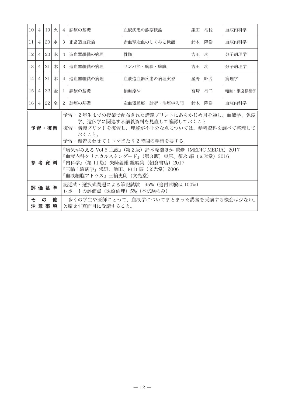| 10 <sup>1</sup> | $\overline{4}$                                                                                                                                                                                                                                                                                                                              | 19 | 火 | $\overline{4}$ | 診療の基礎               | 血液疾患の診察概論                        | 鎌田 浩稔 |       | 血液内科学    |
|-----------------|---------------------------------------------------------------------------------------------------------------------------------------------------------------------------------------------------------------------------------------------------------------------------------------------------------------------------------------------|----|---|----------------|---------------------|----------------------------------|-------|-------|----------|
| 11              | $\overline{4}$                                                                                                                                                                                                                                                                                                                              | 20 | 水 | 3              | 正常造血総論              | 赤血球造血のしくみと機能                     | 鈴木 降浩 |       | 血液内科学    |
| 12              | $\overline{4}$                                                                                                                                                                                                                                                                                                                              | 20 | 水 | $\overline{4}$ | 造血器組織の病理            | 骨髄                               | 吉田 功  |       | 分子病理学    |
| 13              | $\overline{4}$                                                                                                                                                                                                                                                                                                                              | 21 | 木 | 3              | 造血器組織の病理            | リンパ節・胸腺・脾臓                       | 吉田 功  |       | 分子病理学    |
| 4               | $\overline{4}$                                                                                                                                                                                                                                                                                                                              | 21 | 木 | 4              | 造血器組織の病理            | 血液造血器疾患の病理実習                     | 星野    | 昭芳    | 病理学      |
| 15 <sup>1</sup> | $\overline{4}$                                                                                                                                                                                                                                                                                                                              | 22 | 金 | $\mathbf{I}$   | 診療の基礎               | 輸血療法                             |       | 宮崎 浩二 | 輪血・細胞移植学 |
| 16              | $\overline{4}$                                                                                                                                                                                                                                                                                                                              | 22 | 金 | 2              | 診療の基礎               | 造血器腫瘍 診断・治療学入門                   | 鈴木 降浩 |       | 血液内科学    |
|                 | 予習:2年生までの授業で配布された講義プリントにあらかじめ目を通し、血液学、免疫<br>学、遺伝学に関連する講義資料を見直して確認しておくこと<br>予習・復習<br>復習:講義プリントを復習し、理解が不十分な点については、参考資料を調べて整理して<br>おくこと。<br>予習・復習あわせてlコマ当たり2時間の学習を要する。<br>『病気がみえる Vol.5 血液』(第2版)鈴木隆浩ほか 監修(MEDIC MEDIA)2017<br>『血液内科クリニカルスタンダード』(第3版)東原、須永 編(文光堂)2016<br>参考資料<br>『内科学』(第 11 版)矢崎義雄 総編集(朝倉書店)2017<br>『三輪血液病学』浅野、池田、内山 編(文光堂)2006 |    |   |                |                     |                                  |       |       |          |
|                 |                                                                                                                                                                                                                                                                                                                                             |    |   |                | 『血液細胞アトラス』三輪史朗(文光堂) | 記述式・選択式問題による筆記試験 95%(追再試験は 100%) |       |       |          |
|                 | 評価基準<br>レポートの評価点 (医療倫理) 5% (本試験のみ)<br>そ<br>多くの学生や医師にとって、血液学についてまとまった講義を受講する機会は少ない。<br>$\sigma$<br>他<br>注意事項<br>欠席せず真面目に受講すること。                                                                                                                                                                                                              |    |   |                |                     |                                  |       |       |          |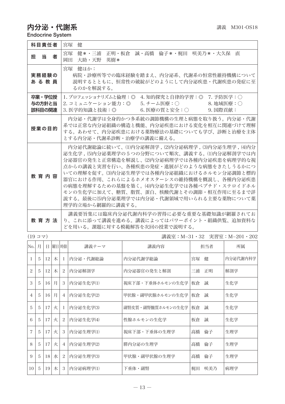# $\mathbf{\mathcal{D}}$ 分泌・代謝糸  $\blacksquare$   $\blacksquare$   $\blacksquare$   $\blacksquare$   $\blacksquare$   $\blacksquare$   $\blacksquare$   $\blacksquare$   $\blacksquare$   $\blacksquare$   $\blacksquare$   $\blacksquare$   $\blacksquare$   $\blacksquare$   $\blacksquare$   $\blacksquare$   $\blacksquare$   $\blacksquare$   $\blacksquare$   $\blacksquare$   $\blacksquare$   $\blacksquare$   $\blacksquare$   $\blacksquare$   $\blacksquare$   $\blacksquare$   $\blacksquare$   $\blacksquare$   $\blacksquare$

Endocrine System

| 科目責任者                      | 宮塚<br>侓                                                                                                                                                                                                                                                                                                                                                                                                                               |
|----------------------------|---------------------------------------------------------------------------------------------------------------------------------------------------------------------------------------------------------------------------------------------------------------------------------------------------------------------------------------------------------------------------------------------------------------------------------------|
| 当<br>者<br>担                | 健*・三浦 正明・板倉 誠・高橋 倫子*・梶田 咲美乃*・大久保 直<br>宮塚<br>大助・天野 英樹*<br>岡田                                                                                                                                                                                                                                                                                                                                                                           |
| 実務経験の<br>あ る 教 員           | 宮塚 健ほか:<br>病院・診療所等での臨床経験を踏まえ、内分泌系、代謝系の恒常性維持機構について<br>説明するとともに、恒常性の破綻がどのようにして内分泌疾患・代謝疾患の発症に至<br>るのかを解説する。                                                                                                                                                                                                                                                                                                                              |
| 卒業・学位授<br>与の方針と当<br>該科目の関連 | 1. プロフェッショナリズムと倫理:◎<br>4. 知的探究と自律的学習:◎ 7. 予防医学:○<br>5. チーム医療:○ 8. 地域医療:○<br>2. コミュニケーション能力:◎<br>9. 国際貢献:<br>3. 医学的知識と技術:◎<br>6. 医療の質と安全:○                                                                                                                                                                                                                                                                                             |
| 授業の目的                      | 内分泌・代謝学は全身的かつ多系統の調節機構の生理と病態を取り扱う。内分泌・代謝<br>系では正常な内分泌組織の構造と機能、内分泌疾患における変化を相互に関連づけて理解<br>する。あわせて、内分泌疾患における薬物療法の基礎についても学び、診断と治療を主体<br>とする内分泌・代謝系診断・治療学の講義に備える。                                                                                                                                                                                                                                                                           |
| 教育内容                       | 内分泌代謝総論に続いて、⑴内分泌解剖学,(2)内分泌病理学,(3)内分泌生理学,(4)内分<br>泌生化学 , ⑸内分泌薬理学の5つの分野について順次、講義する。⑴内分泌解剖学では内<br>分泌器官の発生と正常構造を解説し、⑵内分泌病理学では各種内分泌疾患を病理学的な視<br>点からの講義と実習を行い、各種疾患の発症・進展がどのような病態をきたしうるかにつ<br>いての理解を促す。(3)内分泌生理学では各種内分泌組織におけるホルモン分泌調節と標的<br>器官における作用、これらによるホメオスターシスの維持機構を概説し、各種内分泌疾患<br>の病態を理解するための基盤を築く。⑷内分泌生化学では各種ペプチド・ステロイドホル<br>モンの生化学に加えて、糖質、脂質、蛋白、核酸代謝とその調節・相互作用に至るまで詳<br>説する。最後に⑸内分泌薬理学では内分泌・代謝領域で用いられる主要な薬物について薬<br>理学的立場から網羅的に講義する。 |
| <b>教 音 方 法</b>             | 講義要旨集には臨床内分泌代謝内科学の習得に必要な重要な基礎知識が網羅されてお<br>り、これに添って講義を進める。講義によってはパワーポイント・組織供覧、追加資料な<br>どを用いる。課題に対する模範解答を次回の授業で説明する。                                                                                                                                                                                                                                                                                                                    |

|                | (1977) |    |   |                |           |                   |    | 講義室:M−31・32 実習室:M−201・202 |          |
|----------------|--------|----|---|----------------|-----------|-------------------|----|---------------------------|----------|
| No. 月          |        | Ħ. |   | 曜日 時限          | 講義テーマ     | 講義内容              |    | 担当者                       | 所属       |
| L              | 5      | 12 | 木 | $\mathbf{I}$   | 内分泌・代謝総論  | 内分泌代謝学総論          | 宮塚 | 健                         | 内分泌代謝内科学 |
| 2              | 5      | 12 | 木 | 2              | 内分泌解剖学    | 内分泌器官の発生と解剖       | 三浦 | 正明                        | 解剖学      |
| 3              | 5      | 16 | 月 | 3              | 内分泌生化学(1) | 視床下部・下垂体ホルモンの生化学  | 板倉 | 誠                         | 生化学      |
| 4              | 5      | 16 | 月 | $\overline{4}$ | 内分泌生化学(2) | 甲状腺・副甲状腺ホルモンの生化学  | 板倉 | 誠                         | 生化学      |
| 5              | 5      | 17 | 火 | -1             | 内分泌生化学(3) | 副腎皮質・副腎髄質ホルモンの生化学 | 板倉 | 誠                         | 生化学      |
| 6              | 5      | 17 | 火 | 2              | 内分泌生化学(4) | 性腺ホルモンの生化学        | 板倉 | 誠                         | 生化学      |
| $\overline{7}$ | 5      | 17 | 火 | 3              | 内分泌生理学(1) | 視床下部・下垂体の生理学      | 高橋 | 倫子                        | 生理学      |
| 8              | 5      | 17 | 火 | $\overline{4}$ | 内分泌生理学(2) | 膵内分泌の生理学          | 高橋 | 倫子                        | 生理学      |
| 9              | 5      | 18 | 水 | 2              | 内分泌生理学(3) | 甲状腺・副甲状腺の生理学      | 高橋 | 倫子                        | 生理学      |
| 10             | -5     | 19 | 木 | 3              | 内分泌病理学(1) | 下垂体・副腎            | 梶田 | 咲美乃                       | 病理学      |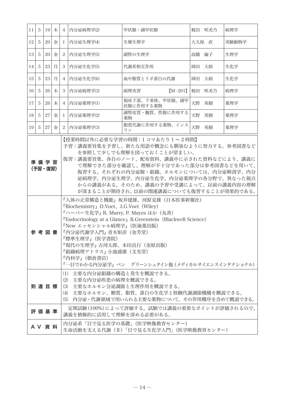| 11 | 5                                                                                                                                                                                                                                                                                                                                                                                                                                                                                                                                                                                                                                                                                                                               | 19     | 木 | $\overline{4}$                                                      | 内分泌病理学(2)               | 甲状腺・副甲状腺                                   |       | 梶田 咲美乃 | 病理学   |
|----|---------------------------------------------------------------------------------------------------------------------------------------------------------------------------------------------------------------------------------------------------------------------------------------------------------------------------------------------------------------------------------------------------------------------------------------------------------------------------------------------------------------------------------------------------------------------------------------------------------------------------------------------------------------------------------------------------------------------------------|--------|---|---------------------------------------------------------------------|-------------------------|--------------------------------------------|-------|--------|-------|
| 12 | 5                                                                                                                                                                                                                                                                                                                                                                                                                                                                                                                                                                                                                                                                                                                               | 20     | 金 | 1                                                                   | 内分泌生理学(4)               | 生殖生理学                                      | 大久保 直 |        | 実験動物学 |
| 13 | 5                                                                                                                                                                                                                                                                                                                                                                                                                                                                                                                                                                                                                                                                                                                               | 20     | 金 | 2                                                                   | 内分泌生理学(5)               | 副腎の生理学                                     | 高橋    | 倫子     | 生理学   |
| 14 | 5                                                                                                                                                                                                                                                                                                                                                                                                                                                                                                                                                                                                                                                                                                                               | 23     | 月 | 3                                                                   | 内分泌生化学(5)               | 代謝系相互作用                                    | 岡田    | 大助     | 生化学   |
| 15 | 5                                                                                                                                                                                                                                                                                                                                                                                                                                                                                                                                                                                                                                                                                                                               | 23     | 月 | 4                                                                   | 内分泌生化学(6)               | 血中脂質とリポ蛋白の代謝                               | 岡田 大助 |        | 生化学   |
| 16 | 5                                                                                                                                                                                                                                                                                                                                                                                                                                                                                                                                                                                                                                                                                                                               | 26     | 木 | 3                                                                   | 内分泌病理学(3)               | 病理実習<br>$[M-201]$                          | 梶田    | 咲美乃    | 病理学   |
| 17 | 5                                                                                                                                                                                                                                                                                                                                                                                                                                                                                                                                                                                                                                                                                                                               | 26     | 木 | 4                                                                   | 内分泌薬理学(1)               | 視床下部、下垂体、甲状腺、副甲<br>状腺に作用する薬物               | 天野    | 英樹     | 薬理学   |
| 18 | 5                                                                                                                                                                                                                                                                                                                                                                                                                                                                                                                                                                                                                                                                                                                               | 27     | 金 | 1                                                                   | 内分泌薬理学(2)               | 副腎皮質・髄質、性腺に作用する<br>薬物                      | 天野    | 英樹     | 薬理学   |
| 19 | 5                                                                                                                                                                                                                                                                                                                                                                                                                                                                                                                                                                                                                                                                                                                               | 27     | 金 | $\mathbf{2}$                                                        | 内分泌薬理学(3)               | 脂質代謝に作用する薬物、インス<br>リン                      | 天野 英樹 |        | 薬理学   |
|    | 【授業時間以外に必要な学習の時間:1コマあたり1~2時間】<br>予習:講義要旨集を予習し、新たな用語や概念にも馴染むように努力する。参考図書など<br>を参照して少しでも理解を図っておくことが望ましい。<br>復習:講義要旨集、各自のノート、配布資料、講義中に示された資料などにより、講義に<br>準備学習<br>て理解できた部分を確認し、理解が不十分であった部分は参考図書などを用いて、<br>(予習・復習)<br>復習する。それぞれの内分泌腺・組織、ホルモンについては、内分泌解剖学、内分<br>泌病理学、内分泌生理学、内分泌生化学、内分泌薬理学の各分野で、異なった視点<br>からの講義がある。そのため、講義の予習や受講によって、以前の講義内容の理解<br>が深まることが期待され、以前の関連講義についても復習することが効果的である。<br>『人体の正常構造と機能』坂井建雄、河原克雄(日本医事新報社)<br>FBiochemistry』D.Voet、J.G.Voet (Wiley)<br>『ハーパー生化学』 R. Murry, P. Mayes ほか (丸善)<br><b>"Endocrinology at a Glance, B. Greenstein (Blackwell Science)</b><br>『New エッセンシャル病理学』(医歯薬出版)<br>『内分泌代謝学入門』 青木矩彦 (金芳堂)<br>参 考 図 書<br>『標準生理学』(医学書院)<br>『現代の生理学』古河太郎、本田良行(金原出版)<br>『組織病理アトラス』小池盛雄(文光堂)<br>『内科学』(朝倉書店) |        |   |                                                                     |                         |                                            |       |        |       |
|    | 『一目でわかる内分泌学』 ベン  グリーンシュタイン他 (メディカルサイエンスインタナショナル)<br>(1) 主要な内分泌組織の構造と発生を概説できる。<br>(2) 主要な内分泌疾患の病理を概説できる。<br>(3) 主要なホルモン分泌調節と生理作用を概説できる。<br>到達目標<br>主要なホルモン、糖質、脂質、蛋白の生化学と核酸代謝調節機構を概説できる。<br>(4)<br>(5) 内分泌・代謝領域で用いられる主要な薬物について、その作用機序を含めて概説できる。                                                                                                                                                                                                                                                                                                                                                                                                                                                                                   |        |   |                                                                     |                         |                                            |       |        |       |
|    |                                                                                                                                                                                                                                                                                                                                                                                                                                                                                                                                                                                                                                                                                                                                 | 評価基準   |   |                                                                     | 講義を積極的に活用して理解を深める必要がある。 | 定期試験(100%)によって評価する。試験では講義の重要なポイントが評価されるので、 |       |        |       |
|    |                                                                                                                                                                                                                                                                                                                                                                                                                                                                                                                                                                                                                                                                                                                                 | A V 資料 |   | 内分泌系「目で見る医学の基礎」(医学映像教育センター)<br>生命活動を支える代謝(Ⅱ)「目で見る生化学入門」(医学映像教育センター) |                         |                                            |       |        |       |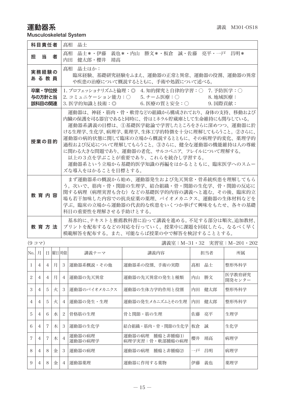Musculoskeletal System

| 科目責任者                      | 髙相<br>晶士                                                                                                                                                                                                                                                                                                                                                                                                                       |
|----------------------------|--------------------------------------------------------------------------------------------------------------------------------------------------------------------------------------------------------------------------------------------------------------------------------------------------------------------------------------------------------------------------------------------------------------------------------|
| 担当<br>者                    | 晶士*・伊藤 義也*・内山 勝文*・板倉 誠・佐藤 亮平・一戸 昌明*<br>髙相<br>内田<br>健太郎・櫻井 靖高                                                                                                                                                                                                                                                                                                                                                                   |
| 実務経験の<br>あ る 教 員           | 髙相 晶士ほか:<br>臨床経験、基礎研究経験をふまえ、運動器の正常と異常、運動器の役割、運動器の異常<br>や疾患の治療について概説するとともに、手術や処置について述べる。                                                                                                                                                                                                                                                                                                                                        |
| 卒業・学位授<br>与の方針と当<br>該科目の関連 | 1. プロフェッショナリズムと倫理:◎ 4. 知的探究と自律的学習:○ 7. 予防医学:○<br>2. コミュニケーション能力:○         5. チーム医療:○                             8. 地域医療:<br>3. 医学的知識と技術: ◎ 6. 医療の質と安全: ○ 9. 国際貢献:                                                                                                                                                                                                                                                             |
| 授業の目的                      | 運動器は、神経・筋肉・骨・軟骨などの組織から構成されており、身体の支持、移動および<br>内臓の保護を司る器官であると同時に、骨はミネラル貯蔵庫として生命維持にも関与している。<br>運動器系講義の目標は、①基礎医学総論で学習したところをさらに深めつつ、運動器に於<br>ける生理学、生化学、病理学、薬理学、生体工学的特徴を十分に理解してもらうこと。 ②さらに、<br>運動器の病的状態に関して臨床の立場から概説するとともに、その病理学的変化、薬理学的<br>過程および反応について理解してもらうこと。 ③さらに、健全な運動器の機能維持は人の尊厳<br>に関わる大きな問題であり、運動器の老化、サルコペニア、フレイルについて理解する。<br>以上の3点を学ぶことが重要であり、これらを統合し学習する。<br>運動器系という立場から基礎的医学知識の再編をはかるとともに、臨床医学へのスムー<br>ズな導入をはかることを目標とする。 |
| 教育内容                       | まず運動器系の概説から始め、運動器発生および先天異常・骨系統疾患を理解してもら<br>う。次いで、筋肉・骨・関節の生理学、結合組織・骨・関節の生化学、骨・関節の反応に<br>関する病理(病理実習も含む)などの基礎医学的内容の講義へと進む。その後、臨床的立<br>場も若干加味した内容での抗炎症薬の薬理、バイオメカニクス、運動器の生体材料などを<br>学ぶ。臨床の立場から運動器の代表的な疾患をいくつか挙げて興味をもたせ、各々の基礎<br>科目の重要性を理解させる手助けとする。                                                                                                                                                                                 |
| 教 音 方 法                    | 基本的に、テキストと推薦教科書に沿って講義を進める。 不足する部分は順次、追加教材、<br>プリントを配布するなどの対応を行っていく。授業中に課題を回収したら、なるべく早く<br>模範解答を配布する。また、可能ならば授業の中で解答を検討することとする。                                                                                                                                                                                                                                                                                                 |

(9 コマ) 講義室:M−31・32 実習室:M−201・202

| No.            | 月              | Ħ              |   | 曜日  時限         | 講義テーマ             | 講義内容                                    |    | 担当者 | 所属               |
|----------------|----------------|----------------|---|----------------|-------------------|-----------------------------------------|----|-----|------------------|
|                | $\overline{4}$ | $\overline{4}$ | 月 | 3              | 運動器系概説・その他        | 運動器系の役割、手術の実際                           | 髙相 | 晶士  | 整形外科学            |
| 2              | $\overline{4}$ | 4              | 月 | $\overline{4}$ | 運動器の先天異常          | 運動器の先天異常の発生と種類                          | 内山 | 勝文  | 医学教育研究<br>開発センター |
| 3              | 4              | 5              | 火 | 3              | 運動器のバイオメカニクス      | 運動器の生体力学的作用と役割                          | 内田 | 健太郎 | 整形外科学            |
| $\overline{4}$ | $\overline{4}$ | 5              | 火 | $\overline{4}$ | 運動器の発生・生理         | 運動器の発生メカニズムとその生理                        | 内田 | 健太郎 | 整形外科学            |
| 5              | $\overline{4}$ | 6              | 水 | 2              | 骨格筋の生理            | 骨と関節・筋の生理                               | 佐藤 | 亮平  | 生理学              |
| 6              | 4              | 7              | 木 | 3              | 運動器の生化学           | 結合組織・筋肉・骨・関節の生化学                        | 板倉 | 誠   | 生化学              |
| 7              | $\overline{4}$ |                | 木 | $\overline{4}$ | 運動器の病理<br>運動器の病理学 | 運動器の病理<br> 腫瘍と非腫瘍(1)<br>病理学実習:骨・軟部腫瘍の病理 | 櫻井 | 靖高  | 病理学              |
| $\mathbf{R}$   | $\overline{4}$ | 8              | 金 | 3              | 運動器の病理            | 運動器の病理<br>腫瘍と非腫瘍(2)                     | 一戸 | 昌明  | 病理学              |
| 9              | $\overline{4}$ | 8              | 金 | $\overline{4}$ | 運動器薬理             | 運動器に作用する薬物                              | 伊藤 | 義也  | 薬理学              |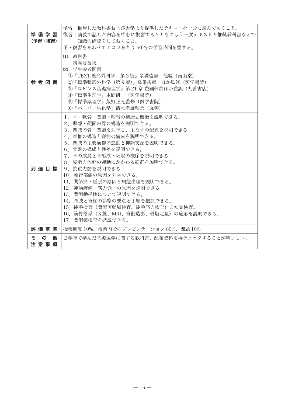| 準備学習<br>(予習・復習) | 予習:推奨した教科書および大学より提供したテキストを十分に読んでおくこと。<br>復習:講義で話した内容を中心に復習するとともにもう一度テキストと推奨教科書などで<br>知識の確認をしておくこと。<br>予・復習をあわせて 1 コマあたり 60 分の学習時間を要する。                                                                                                                                                                                                                                                                                                                            |
|-----------------|-------------------------------------------------------------------------------------------------------------------------------------------------------------------------------------------------------------------------------------------------------------------------------------------------------------------------------------------------------------------------------------------------------------------------------------------------------------------|
| 参 考 図 書         | (1) 教科書<br>講義要旨集<br>(2) 学生参考図書<br>①『TEXT 整形外科学 第3版』糸満盛憲 他編(南山堂)<br>②『標準整形外科学(第9版)』鳥巣岳彦 ほか監修(医学書院)<br>③『ロビンス基礎病理学』第 21 章 豊國伸哉ほか監訳(丸善書店)<br>4 『標準生理学』本間研一 (医学書院)<br>(5) 『標準薬理学』飯野正光監修(医学書院)<br>(6) 『ハーパー生化学』清水孝雄監訳(丸善)                                                                                                                                                                                                                                              |
| 到達目標            | 1. 骨・軟骨・関節・靭帯の構造と機能を説明できる。<br>2. 頭部・顔面の骨の構造を説明できる。<br>3. 四肢の骨・関節を列挙し、主な骨の配置を説明できる。<br>4.脊椎の構造と脊柱の構成を説明できる。<br>5. 四肢の主要筋群の運動と神経支配を説明できる。<br>6. 骨盤の構成と性差を説明できる。<br>7. 骨の成長と骨形成・吸収の機序を説明できる。<br>8 姿勢と体幹の運動にかかわる筋群を説明できる。<br>9. 抗重力筋を説明できる<br>10 腰背部痛の原因を列挙できる。<br>11.関節痛・腫脹の原因と病熊生理を説明できる。<br>12.運動麻痺・筋力低下の原因を説明できる<br>13. 関節動揺性について説明できる。<br>14. 四肢と脊柱の診察の要点と手順を把握できる。<br>15. 徒手検査(関節可動域検査、徒手筋力検査)と知覚検査。<br>16.筋骨格系(X線、MRI、脊髄造影、骨塩定量)の適応を説明できる。<br>17. 関節鏡検査を概説できる。 |
| 評価基準            | 授業熊度 10%、授業内でのプレゼンテーション 80%、課題 10%                                                                                                                                                                                                                                                                                                                                                                                                                                |
| その<br>他<br>注意事項 | 2学年で学んだ基礎医学に関する教科書、配布資料を再チェックすることが望ましい。                                                                                                                                                                                                                                                                                                                                                                                                                           |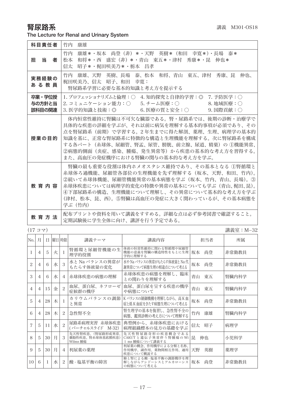The Lecture for Renal and Urinary System

| 科目責任者                      | 竹内<br>康雄                                                                                                                                                                                                                                                                                                  |
|----------------------------|-----------------------------------------------------------------------------------------------------------------------------------------------------------------------------------------------------------------------------------------------------------------------------------------------------------|
| 担 当 者                      | 康雄*・坂本 尚登(非)*・天野 英樹*(和田 幸寛*)・長場 泰*<br>竹内<br>和将*・西 盛宏(非)*・青山 東五*・津村 秀康*・昆 伸也*<br>松本<br> 昭子*・梶田咲美乃*・栃本  昌孝<br>信太                                                                                                                                                                                            |
| 実務経験の<br>あ る 教 員           | 竹内 康雄、天野 英樹、長場 泰、松本 和将、青山 東五、津村 秀康、昆 伸也、<br>梶田咲美乃、信太 昭子、和田<br>幸寛:<br>腎尿路系学習に必要な基本的知識と考え方を提示する                                                                                                                                                                                                             |
| 卒業・学位授<br>与の方針と当<br>該科目の関連 | 1. プロフェッショナリズムと倫理:○ 4. 知的探究と自律的学習:◎ 7. 予防医学:○<br>2. コミュニケーション能力:○<br>8. 地域医療: 〇<br>5. チーム医療:○<br>6. 医療の質と安全:○<br>3. 医学的知識と技術:◎<br>$9.$ 国際貢献: $\bigcirc$                                                                                                                                                   |
| 授業の目的                      | 体内恒常性維持に腎臓は不可欠な臓器である。腎・尿路系では、後期の診断・治療学で<br>具体的な疾患の詳細を学ぶが、それ以前に病気を理解する基本的事項が必須であり、その<br>点を腎尿路系(前期)で学習する。2年生までに得た解剖、薬理、生理、病理学の基本的<br>知識を基に、正常な腎尿路系に特徴的な構造と生理機能を理解する。次に腎尿路系を構成<br>する各パート(糸球体、尿細管、腎盂、尿管、膀胱、前立腺、尿道、精巣)の ①機能異常、<br>②病態的側面(炎症、感染、腫瘍、発生異常等)から疾患の基本的な考え方を習得する。<br>また、高血圧の発症機序における腎臓の関与の基本的な考え方を学ぶ。 |
| 教 育 内 容                    | 腎臓の最も重要な役割は体内ホメオスタシス維持であり、その基本となる ①腎循環と<br>糸球体ろ過機能、尿細管各部位の生理機能を先ず理解する(坂本、天野、和田、竹内)。<br>②続いて糸球体機能、尿細管機能異常の基本病熊を学ぶ(坂本、竹内、青山、長場)。③<br>糸球体疾患については病理学的変化の特徴や異常の基本についても学ぶ(青山、梶田、昆)。<br>④下部尿路系の構造、生理機能について理解し、その異常について基本的な考え方を学ぶ<br>(津村、松本、昆、西)。⑤腎臓は高血圧の発症に大きく関わっているが、その基本病熊を<br>学ぶ(竹内)                          |
| 教育方法                       | 配布プリントや資料を用いて講義をすすめる。詳細な点は必ず参考図書で確認すること。<br>定期試験後に学生全体に向け、講評を行う予定である。                                                                                                                                                                                                                                     |

|     | (17 コマ)<br>講義室:M-32 |    |   |                             |                                                  |                                                              |          |       |  |
|-----|---------------------|----|---|-----------------------------|--------------------------------------------------|--------------------------------------------------------------|----------|-------|--|
| No. | 月                   | Ħ  |   | 曜日 時限                       | 講義テーマ                                            | 講義内容                                                         | 担当者      | 所属    |  |
|     | 4                   | 5  | 火 |                             | 腎循環と尿細管機能の生<br>理学的役割                             | 体液の恒常性維持に関わる腎循環や尿細管<br>機能の意義を腎臓の構造特性をもとに生理<br>学的に理解する        | 坂本<br>尚登 | 非常勤教員 |  |
| 2   | $\overline{4}$      | 6  | 水 | 3                           | 水と Na バランスの異常が<br>もたらす体液量の変化                     | 水や Na バランスの異常がもたらす体液量と Na 代<br>謝異常について病熊生理の相違点について考える        | 坂本<br>尚登 | 非常勤教員 |  |
| 3   | $\overline{A}$      | 6  | 水 | $\overline{4}$              | 糸球体疾患の病熊の理解                                      | 糸球体疾患の病熊を理解し、臨床<br>との関わりを理解する                                | 青山<br>東五 | 腎臓内科学 |  |
| 4   | $\overline{4}$      | 15 | 金 | $\mathcal{P}_{\mathcal{L}}$ | 血尿、蛋白尿、ネフローゼ<br>症候群の機序                           | 血尿、蛋白尿を呈する疾患の機序<br>や病熊について                                   | 青山<br>東五 | 腎臓内科学 |  |
| 5   | $\overline{A}$      | 28 | 木 |                             | カリウムバランスの調節 <br>と異常                              | K バランスの制御機構を理解しながら、高 K 血<br><b>症と低 K 血症をきたす病熊生理について考える</b>   | 坂本<br>尚登 | 非常勤教員 |  |
| 6   | 4                   | 28 | 木 | 2                           | 急性腎不全                                            | 腎生理学の基本を復習し、急性腎不全の<br>病熊、鑑別診断の考え方について理解する                    | 竹内<br>康雄 | 腎臓内科学 |  |
| 7   | 5                   | 11 | 水 | $\overline{c}$              | 尿路系病理実習 糸球体疾患<br>(バーチャルスライド M-32)                | 典型例から、糸球体疾患における<br>病理組織標本の見方の基礎を学ぶ                           | 信太<br>昭子 | 病理学   |  |
| 8   | 5                   | 30 | 月 | 3                           | 先天性腎疾患、(腎尿路形成異常、<br>囊胞性疾患、腎糸球体基底膜疾患)<br>Wilms 腫瘍 | 先天性腎尿路奇形の疾患概念である<br>CAKUT と遺伝子異常伴う腎腫瘍の Wi<br>1 ms 腫瘍について講義する | 伸也<br>昆  | 小児科学  |  |
| 9   | 5                   | 30 | 月 | 4                           | 利尿薬の薬理                                           | 利尿薬の概念、作用機序による分類と名称、<br>作用機序、副作用、薬物間相互作用、適用<br>疾患について概説する    | 英樹<br>天野 | 薬理学   |  |
| 10  | 6                   |    | 水 | 2                           | 酸 - 塩基平衡の障害                                      | 肺と腎による酸 - 塩基平衡の調節機序を理<br>解しながらアシドーシスとアルカローシス<br>の病態について考える   | 坂本<br>尚登 | 非常勤教員 |  |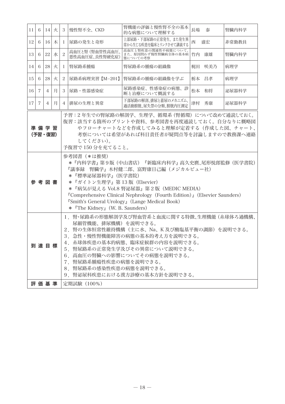| 11                                                                                                                                                                                                                                                                                                                                                                                                                                                                                                                                                                                                                     | 6                                                                                                                                                                                                                                                                                                                                                  | 14             | 火 | 3              | 慢性腎不全、CKD                         | 腎機能の評価と慢性腎不全の基本<br>的な病態について理解する                        | 長場 | 泰     | 腎臓内科学 |
|------------------------------------------------------------------------------------------------------------------------------------------------------------------------------------------------------------------------------------------------------------------------------------------------------------------------------------------------------------------------------------------------------------------------------------------------------------------------------------------------------------------------------------------------------------------------------------------------------------------------|----------------------------------------------------------------------------------------------------------------------------------------------------------------------------------------------------------------------------------------------------------------------------------------------------------------------------------------------------|----------------|---|----------------|-----------------------------------|--------------------------------------------------------|----|-------|-------|
| 12                                                                                                                                                                                                                                                                                                                                                                                                                                                                                                                                                                                                                     | 6                                                                                                                                                                                                                                                                                                                                                  | 16             | 木 | $\mathbf{I}$   | 尿路の発生と奇形                          | 上部尿路・下部尿路の正常発生、また発生異<br>常から牛じる疾患を臨床とリンクさせて講義する         | 西  | 盛宏    | 非常勤教員 |
| 13                                                                                                                                                                                                                                                                                                                                                                                                                                                                                                                                                                                                                     | 6                                                                                                                                                                                                                                                                                                                                                  | 22             | 水 | $\overline{c}$ | 高血圧と腎 (腎血管性高血圧、<br>悪性高血圧症、良性腎硬化症) | 高血圧と腎疾患の関連性や病態について、<br>また、原因問わず慢性腎臓病全体の基本病<br>態についての考察 | 竹内 | 康雄    | 腎臓内科学 |
| 14                                                                                                                                                                                                                                                                                                                                                                                                                                                                                                                                                                                                                     | 6                                                                                                                                                                                                                                                                                                                                                  | 28             | 火 | $\mathbf{I}$   | 腎尿路系腫瘍                            | 腎尿路系の腫瘍の組織像                                            | 梶田 | 咲美乃   | 病理学   |
| 15                                                                                                                                                                                                                                                                                                                                                                                                                                                                                                                                                                                                                     | 6                                                                                                                                                                                                                                                                                                                                                  | 28             | 火 | 2              | 尿路系病理実習【M-201】                    | 腎尿路系の腫瘍の組織像を学ぶ                                         |    | 栃本 昌孝 | 病理学   |
| 16                                                                                                                                                                                                                                                                                                                                                                                                                                                                                                                                                                                                                     | $\overline{7}$                                                                                                                                                                                                                                                                                                                                     | $\overline{4}$ | 月 | 3              | 尿路・性器感染症                          | 尿路感染症、性感染症の病態、診<br>断と治療について概説する                        |    | 松本 和将 | 泌尿器科学 |
| 17                                                                                                                                                                                                                                                                                                                                                                                                                                                                                                                                                                                                                     | $\overline{7}$                                                                                                                                                                                                                                                                                                                                     | $\overline{4}$ | 月 | $\overline{4}$ | 排尿の生理と異常                          | 下部尿路の解剖、排尿と蓄尿のメカニズム、<br>過活動膀胱、尿失禁の分類、膀胱内圧測定            |    | 津村 秀康 | 泌尿器科学 |
| 予習:2年生での腎尿路の解剖学、生理学、循環系(腎循環)について改めて通読しておく。<br>復習:該当する箇所のプリントや資料、参考図書を再度通読しておく。自分なりに概略図<br>やフローチャートなどを作成してみると理解が定着する(作成した図、チャート、<br>準備学習<br>(予習・復習)<br>考察については希望があれば科目責任者が疑問点等を討論しますので教務課へ連絡<br>してください)。<br>予復習で150分を充てること。<br>参考図書 (*は推奨)<br>*『内科学書』第9版(中山書店)『新臨床内科学』高久史麿、尾形悦郎監修(医学書院)<br>『議事録 腎臓学』木村健二郎、富野康日己編(メジカルビュー社)<br>* 『標準泌尿器科学』(医学書院)<br>* 『ガイトン生理学』第13版 (Elsevier)<br>参 考 図 書<br>* 『病気が見える Vol.8 腎泌尿器』第2版 (MEDIC MEDIA)<br>"Comprehensive Clinical Nephrology (Fourth Edition)』 (Elsevier Saunders)<br><b>"Smith's General Urology</b> , (Lange Medical Book)<br>* <sup>F</sup> The Kidney』 (W. B. Saunders) |                                                                                                                                                                                                                                                                                                                                                    |                |   |                |                                   |                                                        |    |       |       |
|                                                                                                                                                                                                                                                                                                                                                                                                                                                                                                                                                                                                                        | 1. 腎・尿路系の形熊解剖学及び腎血管系と血流に関する特徴、生理機能 (糸球体ろ過機構、<br>尿細管機能、排尿機構)を説明できる。<br>2.腎の生体恒常性維持機構(主に水、Na、K 及び酸塩基平衡の調節)を説明できる。<br>3. 急性・慢性腎機能障害の病態の基本的考え方を説明できる。<br>4. 糸球体疾患の基本的病態、臨床症候群の内容を説明できる。<br>到達目標<br>5. 腎尿路系の正常発生学及びその異常について説明できる。<br>6. 高血圧の腎臓への影響についてその病態を説明できる。<br>7. 腎尿路系腫瘍性疾患の病態を説明できる。<br>8. 腎尿路系の感染性疾患の病態を説明できる。<br>9. 腎泌尿科疾患における漢方診療の基本方針を説明できる。 |                |   |                |                                   |                                                        |    |       |       |
|                                                                                                                                                                                                                                                                                                                                                                                                                                                                                                                                                                                                                        |                                                                                                                                                                                                                                                                                                                                                    | 評価基準           |   |                | 定期試験 (100%)                       |                                                        |    |       |       |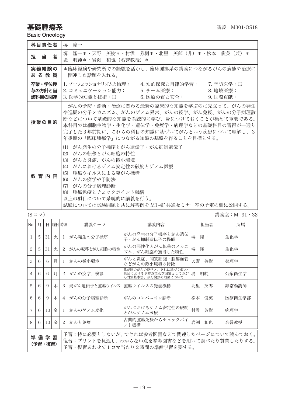### 基礎腫瘍系 インディング インター おおし おおし おおし 講義 M301-OS18

Basic Oncology

| 科目責任者                      | 堺 降一                                                                                                                                                                                                                                                          |  |  |  |  |  |  |  |
|----------------------------|---------------------------------------------------------------------------------------------------------------------------------------------------------------------------------------------------------------------------------------------------------------|--|--|--|--|--|--|--|
| 担当者                        | 堺 降一*・天野 英樹*・村雲 芳樹*・北里 英郎(非)*・松本 俊英(兼)*<br>堤 明純*・岩渕 和也(名誉教授)*                                                                                                                                                                                                 |  |  |  |  |  |  |  |
| 実務経験の<br>あ る 教 員           | *臨床経験や研究所での経験を活かし、臨床腫瘍系の講義につながるがんの病熊や治療に<br>関連した話題を入れる。                                                                                                                                                                                                       |  |  |  |  |  |  |  |
| 卒業・学位授<br>与の方針と当<br>該科目の関連 | 1. プロフェッショナリズムと倫理: 4. 知的探究と自律的学習: 7. 予防医学:◎<br>2. コミュニケーション能力: -- 5. チーム医療: ----<br>8. 地域医療:<br>3. 医学的知識と技術:◎     6. 医療の質と安全:     9. 国際貢献:                                                                                                                    |  |  |  |  |  |  |  |
| 授業の目的                      | がんの予防・診断・治療に関わる最新の臨床的な知識を学ぶのに先立って、がんの発生<br>や進展の分子メカニズム、がんのゲノム異常、がんの疫学、がん免疫、がんの分子病理診<br>断などについて基礎的な知識を系統的に学び、身につけておくことが極めて重要である。<br>本科目では細胞生物学・生化学・遺伝学・免疫学・病理学などの基礎科目の習得が一通り<br> 完了した3年前期に、これらの科目の知識に基づいてがんという疾患について理解し、3<br>年後期の「臨床腫瘍学」につながる知識の基盤を作ることを目標とする。 |  |  |  |  |  |  |  |
| 教育内容                       | がん発生の分子機序とがん遺伝子・がん抑制遺伝子<br>(1)<br>(2) がんの転移とがん細胞の特性<br>(3) がんと炎症、がんの微小環境<br>(4) がんにおけるゲノム安定性の破綻とゲノム医療<br>(5)<br>腫瘍ウイルスによる発がん機構<br>(6) がんの疫学や予防法<br>(7) がんの分子病理診断<br>(8) 腫瘍免疫とチェックポイント機構<br>以上の項目について系統的に講義を行う。<br>試験については試験問題と共に解答例を M1-4F 共通セミナー室の所定の柵に公開する。 |  |  |  |  |  |  |  |

(8 コマ) 講義室:M−31・32

| No.l           | 月                                                                                                                                         |    |   | 日 曜日時限         | 講義テーマ         | 講義内容                                                              | 担当者      | 所属     |
|----------------|-------------------------------------------------------------------------------------------------------------------------------------------|----|---|----------------|---------------|-------------------------------------------------------------------|----------|--------|
|                | 5                                                                                                                                         | 31 | 火 | -1.            | がん発生の分子機序     | がんの発生の分子機序とがん遺伝<br>子・がん抑制遺伝子の機能                                   | 堺<br>隆一  | 生化学    |
| $\mathfrak{D}$ | 5                                                                                                                                         | 31 | 火 | $\mathcal{L}$  | がんの転移とがん細胞の特性 | がんの悪性化とがん転移のメカニ<br>ズム、がん細胞の獲得した特性                                 | 堺<br>隆一  | 生化学    |
| 3              | 6                                                                                                                                         | 6  | 月 | L              | がんの微小環境       | がんと炎症、間質細胞・腫瘍血管<br>などがんの微小環境の特徴                                   | 天野<br>英樹 | 薬理学    |
| $\overline{4}$ | 6                                                                                                                                         | 6  | 月 | 2.             | がんの疫学、検診      | 我が国のがんの疫学と、それに基づく個人·<br>集団における予防方策及び国策としてのが<br>ん対策基本法、がん検診の効果について | 明純<br>堤  | 公衆衛生学  |
| 5              | 6                                                                                                                                         | 9  | 木 | 3              | 発がん遺伝子と腫瘍ウイルス | 腫瘍ウイルスの発癌機構                                                       | 北里<br>英郎 | 非常勤講師  |
| 6              | 6                                                                                                                                         | 9  | 木 | $\overline{4}$ | がんの分子病理診断     | がんのコンパニオン診断                                                       | 俊英<br>松本 | 医療衛生学部 |
| 7              | 6                                                                                                                                         | 10 | 金 | $\mathbf{I}$   | がんのゲノム変化      | がんにおけるゲノム安定性の破綻<br>とがんゲノム医療                                       | 村雲<br>芳樹 | 病理学    |
| 8              | 6                                                                                                                                         | 10 | 金 | 2              | がんと免疫         | 古典的腫瘍免疫からチェックポイ<br>ント機構                                           | 岩渕<br>和也 | 名誉教授   |
|                | 予習:特に必要としないが、できれば参考図書などで関連したページについて読んでおく。<br>準備学習<br>復習:プリントを見返し、わからない点を参考図書などを用いて調べたり質問したりする。<br>(予習・復習)<br>予習・復習あわせてlコマ当たり2時間の準備学習を要する。 |    |   |                |               |                                                                   |          |        |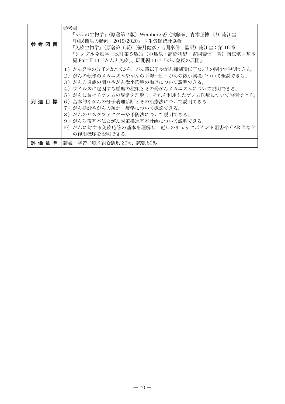| 参 考 図 書 | 参考書<br>『がんの生物学』(原著第2版)Weinberg 著(武藤誠、青木正博 訳)南江堂<br>『国民衛生の動向 2019/2020』 厚生労働統計協会<br>『免疫生物学』(原著第9版)(笹月健彦 / 吉開泰信 監訳)南江堂:第 16 章<br>『シンプル免疫学(改訂第5版)』(中島泉・高橋利忠・吉開泰信 著)南江堂:基本<br> 編 Part II 11「がんと免疫」、展開編 11-2「がん免疫の展開」                                                                                                                                                                                                |
|---------|-----------------------------------------------------------------------------------------------------------------------------------------------------------------------------------------------------------------------------------------------------------------------------------------------------------------------------------------------------------------------------------------------------------------|
| 到達目標    | 1)がん発生の分子メカニズムを、がん遺伝子やがん抑制遺伝子などとの関りで説明できる。<br>2)がんの転移のメカニズムやがんの不均一性・がんの微小環境について概説できる。<br>3)がんと炎症の関りやがん微小環境の働きについて説明できる。<br>4)ウイルスに起因する腫瘍の種類とその発がんメカニズムについて説明できる。<br>5)がんにおけるゲノムの異常を理解し、それを利用したゲノム医療について説明できる。<br>6)基本的ながんの分子病理診断とその治療法について説明できる。<br>7)がん検診やがんの統計・疫学について概説できる。<br>8)がんのリスクファクターや予防法について説明できる。<br>9) がん対策基本法とがん対策推進基本計画について説明できる。<br>10)がんに対する免疫応答の基本を理解し、近年のチェックポイント阻害や CAR-T など<br>の作用機序を説明できる。 |
| 評 価 基 準 | 講義・学習に取り組む熊度 20%、試験 80%                                                                                                                                                                                                                                                                                                                                                                                         |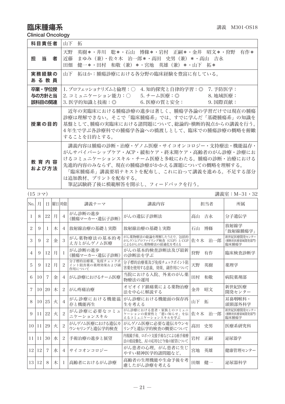### **臨床腫瘍系** インファイル インター エングストランス おおところ 講義 M301-OS18

Clinical Oncology

| 科目責任者                      | 山下<br>拓                                                                                                                                                                                                                                                                    |
|----------------------------|----------------------------------------------------------------------------------------------------------------------------------------------------------------------------------------------------------------------------------------------------------------------------|
| 担当<br>者                    | 英樹*・井川 聡*・石山 博條*・岩村 正嗣*・金井 昭文*・狩野 有作*<br>天野<br>近藤<br>まゆみ(兼)・佐々木 治一郎*・高田 史男(兼)*・高山 吉永<br>健一*・田村 和敬(兼)*・宮地 英雄(兼)*・山下 拓*<br>田畑                                                                                                                                                |
| 実務経験の<br>あ る 教 員           | 拓ほか:腫瘍診療における各分野の臨床経験を豊富に有している。<br>山下                                                                                                                                                                                                                                       |
| 卒業・学位授<br>与の方針と当<br>該科目の関連 | 1. プロフェッショナリズムと倫理:◯<br>4. 知的探究と自律的学習:◎ 7. 予防医学:<br>2. コミュニケーション能力:○         5. チーム医療:◎                             8. 地域医療:<br>6. 医療の質と安全:<br>3. 医学的知識と技術:◎<br>9. 国際貢献:                                                                                                    |
| 授業の目的                      | 近年の実臨床における腫瘍診療の進歩は著しく、腫瘍学各論の学習だけでは現在の腫瘍<br>診療は理解できない。そこで「臨床腫瘍系」では、すでに学んだ「基礎腫瘍系」の知識を<br>基盤として、腫瘍の実臨床における諸問題について、総論的・横断的視点からの講義を行う。<br>4年生で学ぶ各診療科での腫瘍学各論への橋渡しとして、臨床での腫瘍診療の概略を俯瞰<br>することを目的とする。                                                                               |
| 教 育 内 容<br>および方法           | 講義内容は腫瘍の診断・治療・ゲノム医療・サイコオンコロジー・支持療法・機能温存・<br>がんサバイバーシップケア・ACP・緩和ケア・終末期ケア・高齢者のがん診療・診療にお<br>けるコミュニケーションスキル・チーム医療と多岐にわたる。腫瘍の診断・治療における<br>先進的内容のみならず、現在の腫瘍診療がかかえる課題についての概略を理解する。<br>「臨床腫瘍系」講義要項テキストを配布し、これに沿って講義を進める。不足する部分<br>は追加教材、プリントを配布する。<br>筆記試験終了後に模範解答を開示し、フィードバックを行う。 |

|     | $(15 \n  x)$    |                |       |                | 講義室:M−31・32                                  |                                                                             |            |                                       |
|-----|-----------------|----------------|-------|----------------|----------------------------------------------|-----------------------------------------------------------------------------|------------|---------------------------------------|
| No. | 月               | Ħ              | 曜日 時限 |                | 講義テーマ                                        | 講義内容                                                                        | 担当者        | 所属                                    |
| -1  | 8               | 22             | 月     | $\overline{4}$ | がん診断の進歩<br>(腫瘍マーカー・遺伝子診断)                    | がんの遺伝子診断法                                                                   | 高山<br>吉永   | 分子遺伝学                                 |
| 2   | 9               | L              | 木     | 4              | 放射線治療の基礎と実際                                  | 放射線治療の基礎と実際                                                                 | 博條<br>石山   | 放射線学<br>「放射線腫瘍学」                      |
| 3   | 9               | 2              | 金     | 3              | がん薬物療法の基本的考<br>え方とがんゲノム医療                    | がん薬物療法の総論を理解したうえで、包括的<br>がんゲノムプロファイリング検査 (CGP) と CGP<br>によるがんがん薬物療法の最適化を考える | 佐々木<br>治一郎 | 新世紀医療開発センター<br>(横断的医療領域開発部門)<br>臨床腫瘍学 |
| 4   | 9               | 12             | 月     | -1             | がん診断の進歩<br>(腫瘍マーカー・遺伝子診断)                    | がんの基本的検査診断法及び最新<br>の診断法を学ぶ                                                  | 狩野<br>有作   | 臨床検査診断学                               |
| 5   | 9               | 12             | 月     | 2              | 分子標的治療薬、免疫チェックポ<br>イント阻害薬の薬理効果および副<br>作用について | 分子標的治療薬及び免疫チェックポイント阻<br>害薬を使用する意義、効果、副作用について                                | 天野<br>英樹   | 薬理学                                   |
| 6   | 10              | $\overline{7}$ | 金     | 4              | がん診療におけるチーム医療                                | 当院における入院、外来のがん薬<br>物療法の運用                                                   | 田村<br>和敬   | 病院薬剤部                                 |
| 7   | 10 <sup>1</sup> | 20             | 木     | 2              | がん疼痛治療                                       | オピオイド鎮痛薬による薬物治療<br>法を中心に解説する                                                | 金井<br>昭文   | 新世紀医療<br>開発センター                       |
| 8   | 10 <sup>1</sup> | 25             | 火     | $\overline{4}$ | がん診療における機能温<br>存と機能再生                        | がん診療における機能面の保存再<br>生を考える                                                    | 山下<br>拓    | 耳鼻咽喉科・<br>頭頸部外科学                      |
| 9   | 11              | 22             | 火     | $\overline{2}$ | がん診療に必要なコミュ<br>ニケーションスキル                     | がん診療における患者・家族とのコミュニ<br>ケーションの重要性と「悪い知らせ」を伝<br>えるコミュニケーションスキルを学ぶ             | 治一郎<br>佐々木 | 新世紀医療開発センター<br>(横断的医療領域開発部門)<br>臨床腫瘍学 |
|     | 10 11           | 29             | 火     | $\overline{2}$ | がんゲノム医療における遺伝カ<br>ウンセリングと遺伝学的検査              | がんゲノム医療に必要な遺伝カウンセ<br>リングと遺伝学的検査の概要について                                      | 史男<br>高田   | 医療系研究科                                |
| 11  | 11              | 30             | 水     | 2              | 手術治療の進歩と展望                                   | 内視鏡手術、ロボット支援手術などによる癌手術療<br>法の低侵襲化、AIの応用など今後の展望について                          | 岩村<br>正嗣   | 泌尿器学                                  |
| 12  | 12              | $\overline{7}$ | 水     | $\overline{4}$ | サイコオンコロジー                                    | がん患者の心理。がん患者に生じ<br>やすい精神医学的諸問題など。                                           | 宮地<br>英雄   | 健康管理センター                              |
|     | 13 12           | 8              | 木     | -1             | 高齢者におけるがん診療                                  | 高齢者の生理機能や生命予後を考<br>慮したがん診療を考える                                              | 健一<br>田畑   | 泌尿器科学                                 |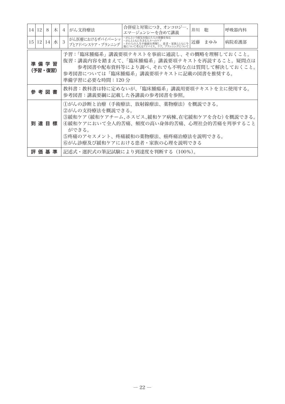|                 | 14 12                                                                                                                                                                                                         | 8     | 木    | $\overline{4}$                                                                                                                                                                                                                    | がん支持療法                                                                 | 合併症と対策につき、オンコロジー、<br>エマージェンシーを含めて講義                                                                 | 井川 聡 |     | 呼吸器内科 |  |
|-----------------|---------------------------------------------------------------------------------------------------------------------------------------------------------------------------------------------------------------|-------|------|-----------------------------------------------------------------------------------------------------------------------------------------------------------------------------------------------------------------------------------|------------------------------------------------------------------------|-----------------------------------------------------------------------------------------------------|------|-----|-------|--|
| 15 <sup>1</sup> |                                                                                                                                                                                                               | 12 14 | l zK | 3                                                                                                                                                                                                                                 | がん医療におけるザバイバーシッ <br>プとアドバンスケア・プランニング                                   | ・がんという病気を抱えた人の体験を知る<br>・がんとともに生きる人々へのケア<br>・その人の人生や価値を理解し、患者・家族とともに今<br>後について考えるアドバイス、ケア、プランニングについて | 近藤   | まゆみ | 病院看護部 |  |
|                 | 予習:「臨床腫瘍系」講義要項テキストを事前に通読し、その概略を理解しておくこと。<br>復習:講義内容を踏まえて、「臨床腫瘍系」講義要項テキストを再読すること。疑問点は<br>準備学習<br>参考図書や配布資料等により調べ、それでも不明な点は質問して解決しておくこと。<br>(予習・復習)<br>参考図書については「臨床腫瘍系」講義要項テキストに記載の図書を推奨する。<br>準備学習に必要な時間:120 分 |       |      |                                                                                                                                                                                                                                   |                                                                        |                                                                                                     |      |     |       |  |
|                 | 参 考 図 書                                                                                                                                                                                                       |       |      |                                                                                                                                                                                                                                   | 教科書:教科書は特に定めないが、「臨床腫瘍系」講義用要項テキストを主に使用する。<br>参考図書:講義要綱に記載した各講義の参考図書を参照。 |                                                                                                     |      |     |       |  |
|                 | 到 達 目 標                                                                                                                                                                                                       |       |      | ⑴がんの診断と治療(手術療法、放射線療法、薬物療法)を概説できる。<br>②がんの支持療法を概説できる。<br>③緩和ケア (緩和ケアチーム、ホスピス、緩和ケア病棟、在宅緩和ケアを含む) を概説できる。<br>④緩和ケアにおいて全人的苦痛、頻度の高い身体的苦痛、心理社会的苦痛を列挙すること<br>ができる。<br>⑤疼痛のアセスメント、疼痛緩和の薬物療法、癌疼痛治療法を説明できる。<br>⑥がん診療及び緩和ケアにおける患者・家族の心理を説明できる |                                                                        |                                                                                                     |      |     |       |  |
|                 | 評 価 基 準                                                                                                                                                                                                       |       |      |                                                                                                                                                                                                                                   | 記述式・選択式の筆記試験により到達度を判断する (100%)。                                        |                                                                                                     |      |     |       |  |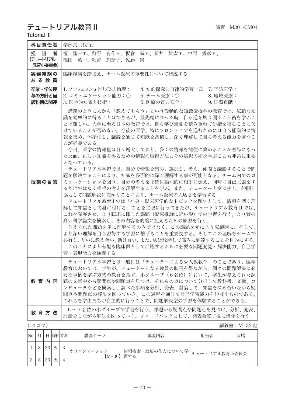# テュートリアル教育 II することの すいしゃ すいしゅう すいかん 演習 M301-CM04

Tutorial II

| 科目責任者                                      | 学部長 (代行)                                                                                                                                                                                                                                                                                                                                                                                                                                                                                                                                                                                                                                                                                                                                                                                                                                                                                                                          |  |  |  |  |  |
|--------------------------------------------|-----------------------------------------------------------------------------------------------------------------------------------------------------------------------------------------------------------------------------------------------------------------------------------------------------------------------------------------------------------------------------------------------------------------------------------------------------------------------------------------------------------------------------------------------------------------------------------------------------------------------------------------------------------------------------------------------------------------------------------------------------------------------------------------------------------------------------------------------------------------------------------------------------------------------------------|--|--|--|--|--|
| 11日 当り コンプログラム<br>者<br>(テュートリアル<br>教育小委員会) | 堺 隆一*、狩野 有作*、板倉 誠*、新井 雄太*、中西 秀彦*、<br>福田 英一、細野 加奈子、佐藤 崇                                                                                                                                                                                                                                                                                                                                                                                                                                                                                                                                                                                                                                                                                                                                                                                                                                                                            |  |  |  |  |  |
| 実務経験の<br>あ る 教 員                           | 臨床経験を踏まえ、チーム医療の重要性について概説する。                                                                                                                                                                                                                                                                                                                                                                                                                                                                                                                                                                                                                                                                                                                                                                                                                                                                                                       |  |  |  |  |  |
| 卒業・学位授<br>与の方針と当<br>該科目の関連                 | 1. プロフェッショナリズムと倫理: 4. 知的探究と自律的学習:◎ 7. 予防医学:<br>2. コミュニケーション能力:○<br>5. チーム医療:○<br>8. 地域医療:<br>3. 医学的知識と技術:<br>6. 医療の質と安全:<br>9. 国際貢献:                                                                                                                                                                                                                                                                                                                                                                                                                                                                                                                                                                                                                                                                                                                                                                                              |  |  |  |  |  |
| 授業の目的                                      | 講義のように人から「教えてもらう」という受動的な知識伝授型の教育では、広範な知<br>識を効率的に得ることはできるが、最先端に立った時、自ら道を切り開くこと術を学ぶこ<br>とは難しい。大学に至る日本の教育では、自ら学び議論を積み重ねて研鑽を積むことに欠<br>けていることが否めない。今後の医学、特にフロンティアを進むためには自ら能動的に情<br>報を集め、体系化し、議論を通じて知識を蓄積し、深く理解して自ら考える能力を培うこ<br>とが必要である。<br>今日、医学の情報量は日々増大しており、多くの情報を簡便に集めることが容易になっ<br>た反面、正しい知識を得るための情報の取得方法とその選択の術を学ぶことも非常に重要<br>となっている。<br>テュートリアル学習では、自分で情報を集め、選択し、考え、仲間と議論することで問<br>題を解決することにより、知識を多面的に深く理解する事が可能となる。チーム内でのコ<br>ミュニケーションを図り、自分の考えを正確に論理的に相手に伝え、同時に自己主張をす<br>るだけではなく相手の考えを理解することを学ぶ。また、テューターと密に接し、仲間と<br>協力して問題解決に向かうことにより、チーム医療の大切さを学習する<br>テュートリアル教育Iでは「社会・臨床医学的なトピックを題材として、情報を深く理<br>解して知識として身に付ける」ことを主眼に行ってきたが、テュートリアル教育 II では、<br>これを発展させ、より臨床に即した課題(臨床推論に近い形)での学習を行う。より質の<br>高い科学論文を検索し、その内容を的確に捉えるための練習を行う。<br>与えられた課題を単に理解するのみではなく、この課題を元により広範囲に、そして、<br>より深い理解を自ら習得する学習に繋げることを重要視する。そしてこの理解をチームで<br>共有し、互いに教え合い、助け合い、また、切磋琢磨して高みに到達することを目的にする。<br>このことにより有能な臨床医として活躍するために必要な問題発見・解決能力、自己学<br>習・表現能力を涵養する。 |  |  |  |  |  |
| 教育内容                                       | テュートリアル学習とは一般には「テューターによる少人数教育」のことであり、医学<br>教育においては、学生が、テューターとなる教員の助言を得ながら、個々の問題解決に必<br>要な事柄を学ぶ方式の教育を指す。小グループ(6名位)において、学生が与えられた課<br>題の文章中から疑問点や問題点を見つけ、それらの点について分担して教科書、文献、コ<br>ンピュータなどを検索し、調べた事柄を分析、発表、討論して、知識を深め合いながら疑<br>問点や問題点の解決を図っていき、この過程を通じて自己学習能力を伸ばすものである。<br>これらを学生たちが自主的に行うことで、問題解決型の学習を体験することができる。                                                                                                                                                                                                                                                                                                                                                                                                                                                                                                                                                                                                                    |  |  |  |  |  |
| 教育方法                                       | 6~7名位の小グループで学習を行う。課題から疑問点や問題点を見つけ、分析、発表、<br>討論をしながら解決を図っていく。フィードバックとして、発表会終了後に講評を行う。                                                                                                                                                                                                                                                                                                                                                                                                                                                                                                                                                                                                                                                                                                                                                                                                                                              |  |  |  |  |  |
| $(14 \nightharpoonup \neg \neg$            | 講義室:M-32 他                                                                                                                                                                                                                                                                                                                                                                                                                                                                                                                                                                                                                                                                                                                                                                                                                                                                                                                        |  |  |  |  |  |
| Nole Lolenberg                             | ○ 地主 二 一<br>进单山家<br>相亚类<br>能层                                                                                                                                                                                                                                                                                                                                                                                                                                                                                                                                                                                                                                                                                                                                                                                                                                                                                                     |  |  |  |  |  |

| No. 月 |    | 曜日 時限      | 講義テーマ      | 講義内容 | 扣当者                                       | 所属 |  |
|-------|----|------------|------------|------|-------------------------------------------|----|--|
|       | 23 | $^{\circ}$ | オリエンテーション  |      | 情報検索・収集の仕方について学  <sub>テュートリアル教育小委員会</sub> |    |  |
| 2     | 23 |            | 【M-36】 習する |      |                                           |    |  |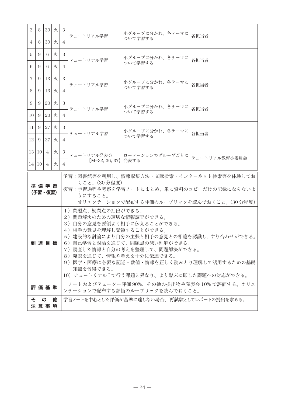| 3               | 8                                                                                                                                                                                                                                                                                                                                                            | 30 <sup>1</sup> | 火 | -3             | テュートリアル学習           | 小グループに分かれ、各テーマに<br>各担当者                                                      |               |  |
|-----------------|--------------------------------------------------------------------------------------------------------------------------------------------------------------------------------------------------------------------------------------------------------------------------------------------------------------------------------------------------------------|-----------------|---|----------------|---------------------|------------------------------------------------------------------------------|---------------|--|
| 4               | 8                                                                                                                                                                                                                                                                                                                                                            | 30 <sup>1</sup> | 火 | 4              |                     | ついて学習する                                                                      |               |  |
| 5               | 9                                                                                                                                                                                                                                                                                                                                                            | 6               | 火 | 3              | テュートリアル学習           | 小グループに分かれ、各テーマに                                                              | 各担当者          |  |
| 6               | 9                                                                                                                                                                                                                                                                                                                                                            | 6               | 火 | 4              |                     | ついて学習する                                                                      |               |  |
| $\overline{7}$  | 9                                                                                                                                                                                                                                                                                                                                                            | 13 <sup>1</sup> | 火 | 3              | テュートリアル学習           | 小グループに分かれ、各テーマに                                                              | 各担当者          |  |
| 8               | 9                                                                                                                                                                                                                                                                                                                                                            | 13              | 火 | $\overline{4}$ |                     | ついて学習する                                                                      |               |  |
| 9               | 9                                                                                                                                                                                                                                                                                                                                                            | 20              | 火 | 3              | テュートリアル学習           | 小グループに分かれ、各テーマに                                                              | 各担当者          |  |
| 10 <sup>1</sup> | 9                                                                                                                                                                                                                                                                                                                                                            | 20              | 火 | $\overline{4}$ |                     | ついて学習する                                                                      |               |  |
| 11              | 9                                                                                                                                                                                                                                                                                                                                                            | 27              | 火 | 3              | テュートリアル学習           | 小グループに分かれ、各テーマに                                                              | 各担当者          |  |
| 2               | 9                                                                                                                                                                                                                                                                                                                                                            | 27              | 火 | $\overline{4}$ |                     | ついて学習する                                                                      |               |  |
|                 | 13 10                                                                                                                                                                                                                                                                                                                                                        | $\overline{4}$  | 火 | 3              | テュートリアル発表会          | ローテーションでグループごとに                                                              | テュートリアル教育小委員会 |  |
|                 |                                                                                                                                                                                                                                                                                                                                                              | 14 10 4         | 火 | $\overline{4}$ | 【M-32, 36, 37】 発表する |                                                                              |               |  |
|                 | 予習:図書館等を利用し、情報収集方法・文献検索・インターネット検索等を体験してお<br>くこと。(30分程度)<br>準 備 学 習<br>復習:学習過程や考察を学習ノートにまとめ、単に資料のコピーだけの記録にならないよ<br>(予習・復習)<br>うにすること。<br>オリエンテーションで配布する評価のルーブリックを読んでおくこと。(30分程度)                                                                                                                                                                              |                 |   |                |                     |                                                                              |               |  |
|                 | 1)問題点、疑問点の抽出ができる。<br>2)問題解決のための適切な情報調査ができる。<br>3) 自分の意見を要領よく相手に伝えることができる。<br>4)相手の意見を理解し受領することができる。<br>5)建設的な討論により自分の主張と相手の意見との相違を認識し、すり合わせができる。<br>6) 自己学習と討論を通じて、問題点の深い理解ができる。<br>到達目標<br>7) 調査した情報と自分の考えを整理して、問題解決ができる。<br>8)発表を通じて、情報や考えを十分に伝達できる。<br>9) 医学・医療に必要な記述・数値・情報を正しく読みとり理解して活用するための基礎<br>知識を習得できる。<br>10)テュートリアルⅠで行う課題と異なり、より臨床に即した課題への対応ができる。 |                 |   |                |                     |                                                                              |               |  |
|                 |                                                                                                                                                                                                                                                                                                                                                              | 評 価 基 準         |   |                |                     | ノートおよびテューター評価 90%、その他の提出物や発表会 10% で評価する。オリエ<br>ンテーションで配布する評価のルーブリックを読んでおくこと。 |               |  |
|                 | 学習ノートを中心とした評価が基準に達しない場合、再試験としてレポートの提出を求める。<br>÷.<br>$\sigma$<br>他<br>注意事項                                                                                                                                                                                                                                                                                    |                 |   |                |                     |                                                                              |               |  |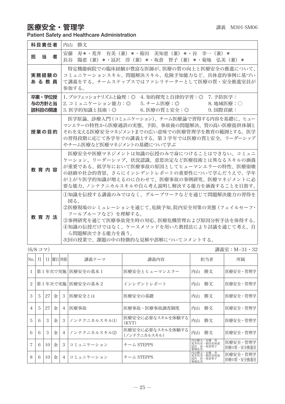### 医療安全・管理学 講義 M301-SM06

|                                    |  | Patient Safety and Healthcare Administration |
|------------------------------------|--|----------------------------------------------|
| المتمدان والتماسي والمستوقف المسار |  |                                              |

| 科目責任者                      | 内山<br>勝文                                                                                                                                                                                                                                                             |
|----------------------------|----------------------------------------------------------------------------------------------------------------------------------------------------------------------------------------------------------------------------------------------------------------------|
| 当<br>者<br>担                | 寿*・荒井 有美(兼)*・箱田 美知恵(兼)*・谷 幸一(兼)*<br>安藤<br>陽恵(兼)*・冨沢 淳(兼)*・坂倉 智子(兼)*・菊地 弘美(兼)*<br>長谷                                                                                                                                                                                  |
| 実務経験の<br>あ る 教 員           | 特定機能病院での臨床経験が豊富な医師が、医療の質の向上と医療安全の推進について、<br>コミュニケーションスキル、問題解決スキル、危険予知能力など、具体意的事例に基づい<br>て講義をする。チームステップスではファシリテーターとして医療の質・安全推進室員が<br>参加する。                                                                                                                            |
| 卒業・学位授<br>与の方針と当<br>該科目の関連 | 4. 知的探究と自律的学習:◎ 7. 予防医学:<br>1. プロフェッショナリズムと倫理:◎<br>2. コミュニケーション能力:◎<br>8. 地域医療:〇<br>5. チーム医療:◎<br>6. 医療の質と安全:◎    9. 国際貢献:<br>3. 医学的知識と技術:◎                                                                                                                          |
| 授業の目的                      | 医学原論、診療入門 (コミュニケーション)、チーム医療論で習得する内容を基礎に、ヒュー<br>マンエラーの特性から医療過誤の実熊、予防、事故後の問題解決、質の高い医療提供体制と<br>それを支える医療安全マネジメントまでの広い意味での医療管理学を教育の範囲とする。 医学<br>の習得段階に応じて各学年での講義とする。第3学年では医療の質と安全、リーダーシップ<br>やチーム医療など医療マネジメントの基礎について学ぶ                                                    |
| 教育内容                       | 医療安全や医療マネジメントは知識の伝授のみで身につけることはできない。コミュニ<br>ケーション、リーダーシップ、状況認識、意思決定など医療技術とは異なるスキルの涵養<br>が重要である。低学年において医療事故の原因としてヒューマンエラーの特性、医療崩壊<br>の経緯や社会的背景、さらにインシデントレポートの重要性について学んだうえで、学年<br>が上がり医学的知識が増えるのに合わせて、医療事故の事例研究、医療マネジメントに必<br>要な能力、ノンテクニカルスキルや自ら考え説明し解決する能力を涵養することを目指す。 |
| 教育方法                       | 1)知識を伝授する講義のみではなく、グループワークなどを通じて問題解決能力の習得を<br>図る。<br>②医療現場のシミュレーションを通じて、危険予知、院内安全対策の実態 (フェイルセーフ・<br>フールプルーフなど)を理解する。<br>③事例研究を通じて医療事故発生時の対応、 医療危機管理および原因分析手法を体得する。<br>④知識の伝授だけではなく、ケースメソッドを用いた教授法により討議を通じて考え、自<br>ら問題解決できる能力を養う。<br>次回の授業で、課題の中の特徴的な見解や誤解についてコメントする。  |

|                | 講義室:M−31・32 |    |                                         |                |                    |                                  |          |                                                                                      |
|----------------|-------------|----|-----------------------------------------|----------------|--------------------|----------------------------------|----------|--------------------------------------------------------------------------------------|
| No.            | 月           | Ħ  |                                         |                | 講義テーマ              | 講義内容                             | 担当者      | 所属                                                                                   |
|                |             |    |                                         |                | 医療安全の基本 1          | 医療安全とヒューマンエラー                    | 勝文<br>内山 | 医療安全・管理学                                                                             |
| 2              |             |    |                                         |                | 医療安全の基本2           | インシデントレポート                       | 勝文<br>内山 | 医療安全・管理学                                                                             |
| 3              | 5           | 27 | 金                                       | 3              | 医療安全とは             | 医療安全の基礎                          | 勝文<br>内山 | 医療安全・管理学                                                                             |
| 4              | 5           | 27 | 金                                       | 4              | 医療事故               | 医療事故・医療事故調査制度                    | 勝文<br>内山 | 医療安全・管理学                                                                             |
| 5              | 6           | 3  | 金                                       | 3              | ノンテクニカルスキル(1)      | 医療安全に必要なスキルを体験する<br>(KYT)        | 勝文<br>内山 | 医療安全・管理学                                                                             |
| 6              | 6           | 3  | 金                                       | $\overline{4}$ | ノンテクニカルスキル(2)      | 医療安全に必要なスキルを体験する<br>(ノンテクニカルスキル) | 勝文<br>内山 | 医療安全・管理学                                                                             |
| $\overline{7}$ | 6           | 10 | 金                                       | 3              | コミュニケーション          | $F - \Delta$ STEPPS              |          | 医療安全・管理学<br>医療の質・安全推進室                                                               |
| 8              | 6           | 10 | 金                                       | $\overline{4}$ | コミュニケーション          | チーム STEPPS                       | 菊地弘美     | 医療安全・管理学<br>医療の質・安全推進室                                                               |
|                |             |    | $(6/8 \nightharpoonup \nightharpoonup)$ |                | 第1年次で実施<br>第1年次で実施 | 曜日 時限                            |          | 内山勝文・安藤 寿<br>荒井有美・箱田美知恵<br>冨沢 淳・坂倉智子<br>菊地弘美<br>内山勝文・安藤 寿<br>荒井有美・箱田美知恵<br>冨沢 淳・坂倉智子 |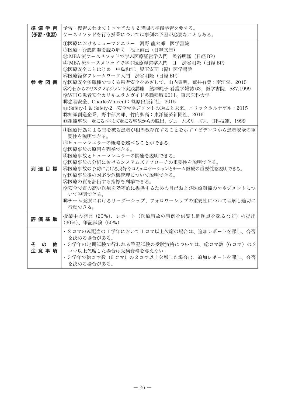| 準備学習            | 予習・復習あわせて1コマ当たり2時間の準備学習を要する。                                                                                                                                                                                                                                                                                                                                                                                                                                                                                                          |
|-----------------|---------------------------------------------------------------------------------------------------------------------------------------------------------------------------------------------------------------------------------------------------------------------------------------------------------------------------------------------------------------------------------------------------------------------------------------------------------------------------------------------------------------------------------------|
| (予習・復習)         | ケースメソッドを行う授業については事例の予習が必要なこともある。                                                                                                                                                                                                                                                                                                                                                                                                                                                                                                      |
| 参考図書            | ①医療におけるヒューマンエラー 河野 龍太郎 医学書院<br>②医療・介護問題を読み解く 池上直己(日経文庫)<br>③ MBA 流ケースメソッドで学ぶ医療経営学入門 渋谷明隆(日経 BP)<br>④ MBA 流ケースメソッドで学ぶ医療経営学入門 Ⅱ 渋谷明隆 (日経 BP)<br>⑤医療安全ことはじめ 中島和江、児玉安司(編)医学書院<br>⑥医療経営フレームワーク入門 渋谷明隆(日経 BP)<br>⑦医療安全多職種でつくる患者安全をめざして、山内豊明、荒井有美:南江堂、2015<br>⑧今日からのリスクマネジメント実践講座 鮎澤純子 看護学雑誌 63、 医学書院、 587.1999<br>(9)WHO患者安全カリキュラムガイド多職種版 2011、東京医科大学<br>⑩患者安全、CharlesVincent:篠原出版新社、2015<br>10 Safety-1 & Safety-2-安全マネジメントの過去と未来、エリックホルナゲル:2015<br>⑫知識創造企業、野中郁次郎、竹内弘高:東洋経済新聞社、2016<br><b>13組織事故一起こるべくして起こる事故からの脱出、ジェームズリーズン、日科技連、1999</b> |
| 到達目標            | ①医療行為による害を被る患者が相当数存在することを示すエビデンスから患者安全の重<br>要性を説明できる。<br>2ヒューマンエラーの概略を述べることができる。<br>3医療事故の原因を列挙できる。<br>4)医療事故とヒューマンエラーの関連を説明できる。<br>55医療事故の分析におけるシステムズアプローチの重要性を説明できる。<br>66医療事故の予防における良好なコミュニケーションとチーム医療の重要性を説明できる。<br>(7)医療事故後の対応や危機管理について説明できる。<br>8医療の質を評価する指標を列挙できる。<br><b>⑨安全で質の高い医療を効率的に提供するための自己および医療組織のマネジメントにつ</b><br>いて説明できる。<br>10チーム医療におけるリーダーシップ、フォロワーシップの重要性について理解し適切に<br>行動できる。                                                                                                                                       |
| 評価基準            | 授業中の発言(20%)、レポート(医療事故の事例を供覧し問題点を探るなど)の提出<br>(30%)、筆記試験 (50%)                                                                                                                                                                                                                                                                                                                                                                                                                                                                          |
| その<br>他<br>注意事項 | • 2 コマのみ配当の1学年において1コマ以上欠席の場合は、追加レポートを課し、合否<br>を決める場合がある。<br>・3学年の定期試験で行われる筆記試験の受験資格については、総コマ数(6コマ)の2<br>コマ以上欠席した場合は受験資格を与えない。<br>・3学年で総コマ数(6 コマ)の2コマ以上欠席した場合は、追加レポートを課し、合否<br>を決める場合がある。                                                                                                                                                                                                                                                                                                                                              |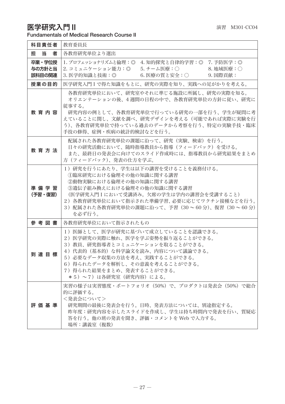### 医字研究人門Ⅱ  $^{12}$  in the contraction of the contraction of the contraction of the contraction of the contraction of the contraction of the contraction of the contraction of the contraction of the contraction of the contract Fundamentals of Medical Research Course II

| 科目責任者                      | 教育委員長                                                                                                                                                                                                                                                                        |
|----------------------------|------------------------------------------------------------------------------------------------------------------------------------------------------------------------------------------------------------------------------------------------------------------------------|
| 当<br>担<br>者                | 各教育研究単位より選出                                                                                                                                                                                                                                                                  |
| 卒業・学位授<br>与の方針と当<br>該科目の関連 | 1. プロフェッショナリズムと倫理: ◎ 4. 知的探究と自律的学習: ◎ 7. 予防医学: ◎<br>2. コミュニケーション能力:◎ 5. チーム医療:○<br>8. 地域医療:〇<br>3. 医学的知識と技術:◎<br>6. 医療の質と安全:○    9. 国際貢献:                                                                                                                                    |
| 授業の目的                      | 医学研究入門Ⅰで得た知識をもとに、研究の実際を知り、実践への足がかりを考える。                                                                                                                                                                                                                                      |
| 教育内容                       | 各教育研究単位において、研究室やそれに準じる施設に所属し、研究の実際を知る。<br>オリエンテーションの後、4 週間の日程の中で、各教育研究単位の方針に従い、研究に<br>従事する。<br>研究内容の例として、各教育研究単位で行っている研究の一部を行う、学生が疑問に考<br>えていることに関し、文献を調べ、研究デザインを考える(可能であれば実際に実験を行<br>う)、各教育研究単位で持っている過去のデータから考察を行う、特定の実験手技・臨床<br>手技の修得、症例・疾病の統計的検討などを行う。                    |
| 教育方法                       | 配属された各教育研究単位の課題に沿って、研究(実験、検索)を行う。<br>日々の研究活動において、随時指導教員から指導(フィードバック)を受ける。<br>また、最終日の発表会に向けてのスライド作成時には、指導教員から研究結果をまとめ<br>方(フィードバック)、発表の仕方を学ぶ。                                                                                                                                 |
| 準備学習<br>(予習・復習)            | 1)研究を行うにあたり、学生は以下の講習を受けることを義務付ける。<br>①臨床研究における倫理その他の知識に関する講習<br>(2)動物実験における倫理その他の知識に関する講習<br>(3)遺伝子組み換えにおける倫理その他の知識に関する講習<br>(医学研究入門Iにおいて受講済み。欠席の学生は学内の講習会を受講すること)<br>2) 各教育研究単位において指示された準備学習、必要に応じてワクチン接種などを行う。<br>3) 配属された各教育研究単位の課題に沿って、予習 (30~60分)、復習 (30~60分)<br>を必ず行う。 |
| 参考図書                       | 各教育研究単位において指示されたもの                                                                                                                                                                                                                                                           |
| 到達目標                       | 1) 医師として、医学が研究に基づいて成立していることを認識できる。<br>2)医学研究の実際に触れ、医学を学ぶ姿勢を振り返ることができる。<br>3) 教員、研究指導者とコミュニケーションを取ることができる。<br>4)代表的(基本的)な科学論文を読み、内容について議論できる。<br>5) 必要なデータ収集の方法を考え、実践することができる。<br>6) 得られたデータを解析し、その意義を考えることができる。<br>7) 得られた結果をまとめ、発表することができる。<br>*5)~7)は各研究室(研究内容)による。        |
| 評 価 基 準                    | 実習の様子は実習態度・ポートフォリオ(50%)で、プロダクトは発表会(50%)で総合<br>的に評価する。<br><発表会について><br>研究期間の最後に発表会を行う。日時、発表方法については、別途指定する。<br>昨年度:研究内容を示したスライドを作成し、学生は持ち時間内で発表を行い、質疑応<br>答を行う。他の班の発表を聞き、評価・コメントを Web で入力する。<br>場所:講義室(複数)                                                                     |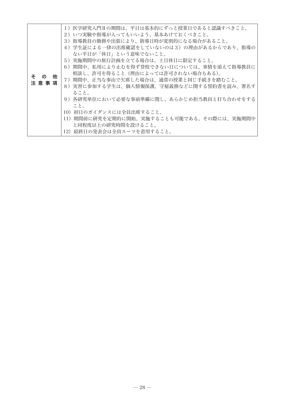| その<br>他<br>注意事項 | 1)医学研究入門Ⅱの期間は、平日は基本的にずっと授業日であると認識すべきこと。<br>2)いつ実験や指導が入ってもいいよう、基本あけておくべきこと。<br>3)指導教員の勤務や出張により、指導日時が変則的になる場合があること。<br>4) 学生証による一律の出席確認をしていないのは3) の理由があるからであり、指導の<br>ない平日が「休日」という意味でないこと。<br>5)実施期間中の旅行計画を立てる場合は、土日休日に限定すること。<br>6)期間中、私用により止むを得ず登校できない日については、事情を添えて指導教員に<br>相談し、許可を得ること(理由によっては許可されない場合もある)。<br>7)期間中、正当な事由で欠席した場合は、通常の授業と同じ手続きを踏むこと。<br>8)実習に参加する学生は、個人情報保護、守秘義務などに関する誓約書を読み、署名す<br>ること。<br>9)各研究単位において必要な事前準備に関し、あらかじめ担当教員と打ち合わせをする<br>こと。 |
|-----------------|-------------------------------------------------------------------------------------------------------------------------------------------------------------------------------------------------------------------------------------------------------------------------------------------------------------------------------------------------------------------------------------------------------------------------------------------------------------|
|                 | 10) 初日のガイダンスには全員出席すること。<br>11)期間前に研究を定期的に開始、実施することも可能である。その際には、実施期間中                                                                                                                                                                                                                                                                                                                                                                                        |
|                 | と同程度以上の研究時間を設けること。<br>12) 最終日の発表会は全員スーツを着用すること。                                                                                                                                                                                                                                                                                                                                                                                                             |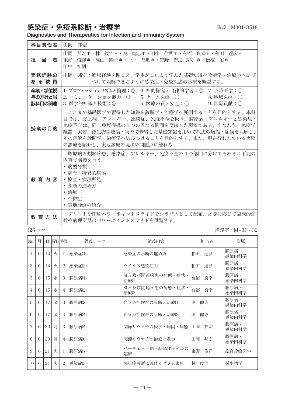# 感染症·免疫系診断·治療学 みんじょう まんじゅう 講義 M301-OS18

Diagnostics and Therapeutics for Infection and Immunity System

| 科目責任者                      | 山岡<br>邦宏                                                                                                                                                                                                                                             |
|----------------------------|------------------------------------------------------------------------------------------------------------------------------------------------------------------------------------------------------------------------------------------------------|
| 担当者                        | 山岡<br>邦宏*・林 俊治*・奥 健志*・田中 住明*・有沼 良幸*・和田 達彦*<br>東野<br>俊洋*・高山 陽子*・一戸 昌明*・狩野 繁之(非)*・松枝 佑*<br>知樹<br>田中                                                                                                                                                    |
| 実務経験の<br>あ る 教 員           | 山岡<br>- 邦宏:臨床経験を踏まえ、学生がこれまで学んだ基礎知識を診断学・治療学へ結び<br>つけて理解できるように感染症・免疫疾患の診療を概説する。                                                                                                                                                                        |
| 卒業・学位授<br>与の方針と当<br>該科目の関連 | 1. プロフェッショナリズムと倫理:◎ 4. 知的探究と自律的学習:◎ 7. 予防医学:○<br>2. コミュニケーション能力:◎  5. チーム医療:◎      8. 地域医療:○<br>3. 医学的知識と技術:◎     6. 医療の質と安全:○    9. 国際貢献:○                                                                                                          |
| 授業の目的                      | これまで基礎医学で習得した知識を診断学・治療学へ展開することを目的とする。本科<br>目では、膠原病、アレルギー、感染症、免疫不全を扱う。膠原病・アレルギーと感染症・<br>免疫不全は、同じ免疫機構の2つの異なる側面を反映した現象である。すなわち、免疫学<br>総論・実習、微生物学総論・実習で修得した基礎知識を用いて疾患の病熊・症候を理解し、<br>その理解を診断学・治療学へ結びつけることを目的とする。また、現在行われている実際<br>の診療を紹介し、実地診療の現状や問題点に触れる。 |
| 教 音 内 容                    | 膠原病と類縁疾患、感染症、アレルギー、免疫不全の4つ部門に分けてそれぞれ下記の<br>内容で講義を行う。<br>・病型分類<br>• 病歴・特異的症候<br>• 検査・病理所見<br>• 診断の進め方<br>・治療<br>・合併症<br>• 実地診療の紹介                                                                                                                     |
| 教 育 方 法                    | プリントや印刷パワーポイントスライドをシラバスとして配布、必要に応じて臨床的症<br>候や病理所見はパワーポイントスライドを供覧する。                                                                                                                                                                                  |

(26 コマ) 講義室:M−31・32

| No.            | 月 |    |   | 日曜日時限          | 講義テーマ  | 講義内容                       | 担当者      | 所属            |
|----------------|---|----|---|----------------|--------|----------------------------|----------|---------------|
|                | 6 | 14 | 火 | 1              | 感染症(1) | 感染症の診断の進め方                 | 達彦<br>和田 | 膠原病.<br>感染内科学 |
| 2              | 6 | 14 | 火 | 2              | 感染症(2) | ウイルス感染症(1)                 | 達彦<br>和田 | 膠原病・<br>感染内科学 |
| 3              | 6 | 15 | 水 | 3              | 膠原病(1) | SLE 及び関連疾患の病態・症状・<br>治療(1) | 有沼<br>良幸 | 膠原病・<br>感染内科学 |
| $\overline{4}$ | 6 | 15 | 水 | $\overline{4}$ | 膠原病(2) | SLE 及び関連疾患の病態・症状·<br>治療(2) | 有沼<br>良幸 | 膠原病・<br>感染内科学 |
| 5              | 6 | 17 | 金 | 3              | 膠原病(3) | 血管炎症候群の診断と治療(1)            | 健志<br>奥  | 膠原病・<br>感染内科学 |
| 6              | 6 | 17 | 金 | $\overline{4}$ | 膠原病(4) | 血管炎症候群の診断と治療(2)            | 奥<br>健志  | 膠原病・<br>感染内科学 |
| 7              | 6 | 20 | 月 | 3              | 膠原病(5) | 関節リウマチの疫学・病因・病熊            | 邦宏<br>山岡 | 膠原病・<br>感染内科学 |
| 8              | 6 | 20 | 月 | $\overline{4}$ | 膠原病(6) | 関節リウマチの治療の進歩               | 山岡<br>邦宏 | 膠原病・<br>感染内科学 |
| 9              | 6 | 21 | 火 | -1             | 膠原病(7) | ベーチェット病・結晶性関節炎の<br>臨床      | 東野<br>俊洋 | 総合診療医学        |
| 10             | 6 | 21 | 火 | 2              | 感染症(3) | 感染症診断におけるグラム染色             | 林<br>俊治  | 微生物学          |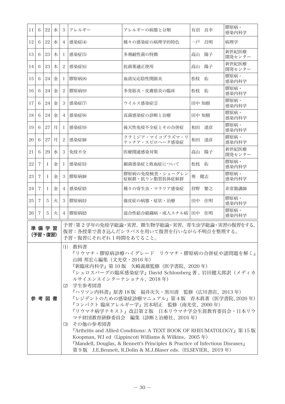| 11                                                                                                                                                                                                                                                                                                                                                                                                                                                                                                                                                                                                                                                                                                                                                | 6              | 22              | 水 | 3                       | アレルギー                | アレルギーの病態と分類                                                                          | 有沼 良幸 | 膠原病·<br>感染内科学   |
|---------------------------------------------------------------------------------------------------------------------------------------------------------------------------------------------------------------------------------------------------------------------------------------------------------------------------------------------------------------------------------------------------------------------------------------------------------------------------------------------------------------------------------------------------------------------------------------------------------------------------------------------------------------------------------------------------------------------------------------------------|----------------|-----------------|---|-------------------------|----------------------|--------------------------------------------------------------------------------------|-------|-----------------|
| 12                                                                                                                                                                                                                                                                                                                                                                                                                                                                                                                                                                                                                                                                                                                                                | 6              | 22              | 水 | $\overline{4}$          | 感染症(4)               | 種々の感染症の病理学的特色                                                                        | 一戸 昌明 | 病理学             |
| 13                                                                                                                                                                                                                                                                                                                                                                                                                                                                                                                                                                                                                                                                                                                                                | 6              | 23              | 木 | 1                       | 感染症(5)               | 多剤耐性菌の特徴                                                                             | 高山 陽子 | 新世紀医療<br>開発センター |
| 14                                                                                                                                                                                                                                                                                                                                                                                                                                                                                                                                                                                                                                                                                                                                                | 6              | 23              | 木 | $\mathbf{2}$            | 感染症(6)               | 抗菌薬適正使用                                                                              | 高山 陽子 | 新世紀医療<br>開発センター |
| 15                                                                                                                                                                                                                                                                                                                                                                                                                                                                                                                                                                                                                                                                                                                                                | 6              | 24              | 金 | 1                       | 膠原病(8)               | 血清反応陰性関節炎                                                                            | 松枝 佑  | 膠原病·<br>感染内科学   |
| 16                                                                                                                                                                                                                                                                                                                                                                                                                                                                                                                                                                                                                                                                                                                                                | 6              | 24              | 金 | $\overline{\mathbf{c}}$ | 膠原病(9)               | 多発筋炎・皮膚筋炎の臨床                                                                         | 松枝 佑  | 膠原病·<br>感染内科学   |
| 17                                                                                                                                                                                                                                                                                                                                                                                                                                                                                                                                                                                                                                                                                                                                                | 6              | 24              | 金 | 3                       | 感染症(7)               | ウイルス感染症(2)                                                                           | 田中 知樹 | 膠原病·<br>感染内科学   |
| 18                                                                                                                                                                                                                                                                                                                                                                                                                                                                                                                                                                                                                                                                                                                                                | 6              | 24              | 金 | $\overline{4}$          | 感染症(8)               | 真菌感染症の診断と治療                                                                          | 田中 知樹 | 膠原病·<br>感染内科学   |
| 19                                                                                                                                                                                                                                                                                                                                                                                                                                                                                                                                                                                                                                                                                                                                                | 6              | 27              | 月 | 1                       | 感染症(9)               | 後天性免疫不全症とその合併症                                                                       | 和田 達彦 | 膠原病・<br>感染内科学   |
| 20                                                                                                                                                                                                                                                                                                                                                                                                                                                                                                                                                                                                                                                                                                                                                | 6              | 27              | 月 | 2                       | 感染症(10)              | クラミジア・マイコプラズマ・リ<br>ケッチア・スピロヘータ感染症                                                    | 和田 達彦 | 膠原病·<br>感染内科学   |
| 21                                                                                                                                                                                                                                                                                                                                                                                                                                                                                                                                                                                                                                                                                                                                                | 6              | 29              | 水 | 3                       | 免疫不全                 | 医療関連感染対策                                                                             | 高山 陽子 | 新世紀医療<br>開発センター |
| 22                                                                                                                                                                                                                                                                                                                                                                                                                                                                                                                                                                                                                                                                                                                                                | $\overline{7}$ | 1               | 金 | 1                       | 感染症(11)              | 細菌感染症と敗血症について                                                                        | 松枝 佑  | 膠原病·<br>感染内科学   |
| 23                                                                                                                                                                                                                                                                                                                                                                                                                                                                                                                                                                                                                                                                                                                                                | $\overline{7}$ | 1               | 金 | 3                       | 膠原病(10)              | 膠原病の免疫検査・シェーグレン<br>症候群・抗リン脂質抗体症候群                                                    | 奥 健志  | 膠原病·<br>感染内科学   |
| 24                                                                                                                                                                                                                                                                                                                                                                                                                                                                                                                                                                                                                                                                                                                                                | $\overline{7}$ | 1               | 金 | $\overline{4}$          | 感染症(12)              | 種々の寄生虫・マラリア感染症                                                                       | 狩野 繁之 | 非常勤講師           |
| 25                                                                                                                                                                                                                                                                                                                                                                                                                                                                                                                                                                                                                                                                                                                                                | $\overline{7}$ | 5               | 火 | 3                       | 膠原病(11)              | 強皮症の病態・症状・治療                                                                         | 田中 住明 | 膠原病・<br>感染内科学   |
| 26                                                                                                                                                                                                                                                                                                                                                                                                                                                                                                                                                                                                                                                                                                                                                | $\overline{7}$ | 5               | 火 | $\overline{4}$          | 膠原病(12)              | 混合性結合組織病・成人スチル病   田中 住明                                                              |       | 膠原病·<br>感染内科学   |
|                                                                                                                                                                                                                                                                                                                                                                                                                                                                                                                                                                                                                                                                                                                                                   |                | 準備学習<br>(予習・復習) |   |                         | 予習・復習にそれぞれ1時間をあてること。 | 予習:第2学年の免疫学総論・実習、微生物学総論・実習、寄生虫学総論・実習の復習をする。<br>復習:各授業で書き込んだシラバスを用いて復習を行いながら不明点を整理する。 |       |                 |
| (1) 教科書<br>『リウマチ・膠原病診療ハイグレード リウマチ・膠原病の合併症や諸問題を解く』<br>山岡 邦宏ら編集(文光堂・2016年)<br>『新臨床内科学』第10版 矢崎義雄監修(医学書院、2020年)<br>『シュロスバーグの臨床感染症学』David Schlossberg 著, 岩田健太郎訳(メディカ<br>ルサイエンスインターナショナル、2018年)<br>学生参考図書<br>(2)<br>『ハリソン内科書』原書 18 版 福井次矢・黒川清 監修(広川書店、2013 年)<br>『レジデントのための感染症診療マニュアル』第4版 青木眞著(医学書院、2020年)<br>参 考 図 書<br>『コンパクト 臨床アレルギー学』宮本昭正 監修(南光堂、2000年)<br>『リウマチ病学テキスト』改訂第2版 日本リウマチ学会生涯教育委員会・日本リウ<br>マチ財団教育研修委員会 編集 (診断と治療社、2016年)<br>(3)<br>その他の参考図書<br>『Arthritis and Allied Conditions: A TEXT BOOK OF RHEUMATOLOGY』第 15 版<br>Koopman, WJ ed (Lippincott Williams & Wilkins, 2005年)<br><b>"Mandell, Douglas, &amp; Bennett's Principles &amp; Practice of Infectious Diseases</b><br>第9版 J.E.Bennett, R.Dolin & M.J.Blaser eds. (ELSEVIER、2019年) |                |                 |   |                         |                      |                                                                                      |       |                 |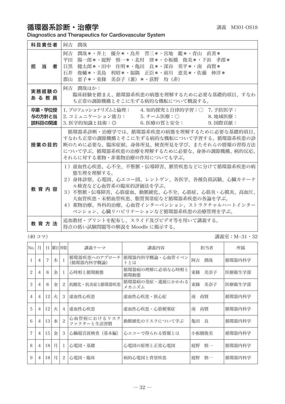# 循環器系診断·治療学 みずきょう まんじゅう まいきょう 講義 M301-OS18

Diagnostics and Therapeutics for Cardiovascular System

| 科目責任者                      | 潤哉<br>阿古                                                                                                                                                                                                                                                                                      |
|----------------------------|-----------------------------------------------------------------------------------------------------------------------------------------------------------------------------------------------------------------------------------------------------------------------------------------------|
| 11日 当り こうきょう<br>者          | 潤哉*・井上 優介*・鳥井 晋三*・宮地 鑑*・青山 直善*<br>阿古<br>平田<br> 陽一郎*・庭野  慎一*・北村  律*・小板橋  俊美*・下浜  孝郎*<br>健太郎*・田中 住明*・亀田 良*・深谷 英平*・南 尚賢*<br>目黒<br>俊輔*・美島 利昭*・福隅 正臣*・前川 恵美*・佐藤 伸洋*<br>石井<br>郡山<br>恵子*・東條 美奈子(兼)*・荻野 均(非)                                                                                          |
| 実務経験の<br>あ る 教 員           | 阿古 潤哉ほか:<br>臨床経験を踏まえ、循環器系疾患の病熊を理解するために必要な基礎的項目、すなわ<br>ち正常の調節機構とそこに生ずる病的な機転について概説する。                                                                                                                                                                                                           |
| 卒業・学位授<br>与の方針と当<br>該科目の関連 | 1.プロフェッショナリズムと倫理:  4.知的探究と自律的学習:○ 7.予防医学:<br>2. コミュニケーション能力: 5. チーム医療:○ 8. 地域医療:<br>3. 医学的知識と技術:◎     6. 医療の質と安全:     9. 国際貢献:                                                                                                                                                                |
| 授業の目的                      | 循環器系診断・治療学では、循環器系疾患の病熊を理解するために必要な基礎的項目、<br>すなわち正常の調節機構とそこに生ずる病的な機転について学習する。循環器系疾患の診<br>断のために必要な、臨床症候、身体所見、検査所見を学び、またそれらの情報の習得方法<br>について学ぶ。循環器系疾患の治療を理解するために必要な、身体の調節機構、病的反応、<br>それらに対する薬物・非薬物治療の作用についても学ぶ。                                                                                    |
| 教育内容                       | 1)虚血性心疾患、心不全、不整脈・伝導障害、脈管疾患などに分けて循環器系疾患の病<br>熊生理を理解する。<br>2)身体診察、心電図、心エコー図、レントゲン、各医学、各種負荷試験、心臓カテーテ<br>ル検査など心血管系の臨床的評価法を学ぶ。<br>3)不整脈・伝導障害、心筋虚血、動脈硬化、心不全、心筋症、心筋炎・心膜炎、高血圧、<br>大血管疾患・末梢血管疾患、脂質異常症など循環器系疾患の各論を学ぶ。<br>4)薬物治療、外科的治療、心血管インターベンション、ストラクチャルハートインター<br>ベンション、心臓リハビリテーションなど循環器系疾患の治療管理を学ぶ。 |
| <b>教 音 方 法</b>             | 追加教材・プリントを配布し、スライド及びビデオ等を用いて講義する。<br>得点の低い試験問題等の解説を Moodle に掲示する。                                                                                                                                                                                                                             |

(40 コマ) 講義室:M−31・32

| No.            | 月              | Ħ  |   | 曜日 時限          | 講義テーマ                      | 講義内容                     | 担当者       | 所属     |
|----------------|----------------|----|---|----------------|----------------------------|--------------------------|-----------|--------|
|                | $\overline{4}$ | 7  | 木 |                | 循環器疾患へのアプローチ<br>(循環器内科学概論) | 循環器内科学概論・心血管イベン<br>トとは   | 阿古<br>潤哉  | 循環器内科学 |
| $\mathfrak{D}$ | $\overline{4}$ | 8  | 金 | L              | 心時相と循環動熊                   | 循環器病の理解に必須な心時相と<br>循環動態  | 東條<br>美奈子 | 医療衛生学部 |
| 3              | 4              | 8  | 金 | 2              | 抗酸化・抗炎症と循環器疾患              | 循環器病の発症・進展にかかわる<br>メカニズム | 美奈子<br>東條 | 医療衛生学部 |
| $\overline{4}$ | $\overline{4}$ | 12 | 火 | 3              | 虚血性心疾患                     | 虚血性心疾患・狭心症               | 南<br>尚賢   | 循環器内科学 |
| 5              | 4              | 12 | 火 | $\overline{4}$ | 虚血性心疾患                     | 虚血性心疾患・心筋梗塞症             | 南<br>尚賢   | 循環器内科学 |
| 6              | $\overline{4}$ | 13 | 水 | $\mathfrak{D}$ | 心血管病におけるリスク<br>ファクターと生活習慣  | 動脈硬化のリスクについて学ぶ           | 亀田<br>良   | 循環器内科学 |
| 7              | $\overline{4}$ | 15 | 金 | 3              | 心臓超音波検査 (基本編)              | 心エコーで得られる情報とは            | 小板橋俊美     | 循環器内科学 |
| 8              | 4              | 18 | 月 | L              | 心電図・基礎                     | 心電図の原理と正常心電図             | 慎一<br>庭野  | 循環器内科学 |
| 9              | $\overline{4}$ | 18 | 月 | $\mathcal{L}$  | 心雷図・臨床                     | 病的心電図と背景疾患               | 庭野<br>慎一  | 循環器内科学 |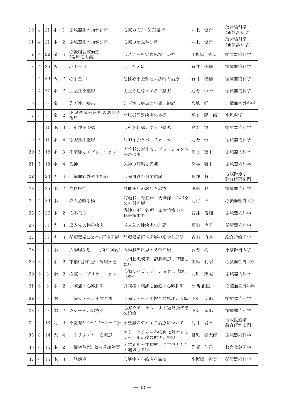| 10 | 4              | 21             | 木 | 1              | 循環器系の画像診断          | 心臓の CT・MRI 診断                   | 井上 優介     | 放射線科学<br>(画像診断学) |
|----|----------------|----------------|---|----------------|--------------------|---------------------------------|-----------|------------------|
| 11 | $\overline{4}$ | 21             | 木 | 2              | 循環器系の画像診断          | 心臓の核医学診断                        | 井上<br>優介  | 放射線科学<br>(画像診断学) |
| 12 | $\overline{4}$ | 22             | 金 | 4              | 心臓超音波検査<br>(臨床応用編) | 心エコーを実臨床で活かす                    | 小板橋<br>俊美 | 循環器内科学           |
| 13 | $\overline{4}$ | 26             | 火 | 1              | 心不全 1              | 心不全とは                           | 石井<br>俊輔  | 循環器内科学           |
| 14 | $\overline{4}$ | 26             | 火 | 2              | 心不全 2              | 急性心不全管理:診断と治療                   | 石井<br>俊輔  | 循環器内科学           |
| 15 | $\overline{4}$ | 27             | 水 | 2              | 上室性不整脈             | 上室を起源とする不整脈                     | 庭野<br>慎一  | 循環器内科学           |
| 16 | 5              | 6              | 金 | 1              | 先天性心疾患             | 先天性心疾患の分類と治療                    | 鑑<br>宮地   | 心臓血管外科学          |
| 17 | 5              | 6              | 金 | $\overline{2}$ | 小児循環器疾患の診断と<br>治療  | 小児循環器疾患の特徴                      | 平田<br>陽一郎 | 小児科学             |
| 18 | 5              | 11             | 水 | 3              | 心室性不整脈             | 心室を起源とする不整脈                     | 庭野<br>慎一  | 循環器内科学           |
| 19 | 5              | 11             | 水 | 4              | 徐脈性不整脈             | 病的徐脈とペースメーカー                    | 庭野<br>慎一  | 循環器内科学           |
| 20 | 5              | 18             | 水 | 3              | 不整脈とアブレーション        | 不整脈に対するアブレーション治<br>療の進歩         | 深谷<br>英平  | 循環器内科学           |
| 21 | 5              | 18             | 水 | 4              | 失神                 | 失神の病態と鑑別                        | 深谷<br>英平  | 循環器内科学           |
| 22 | 5              | 24             | 火 | 4              | 心臓血管外科学総論          | 心臓血管外科学総論                       | 晋三<br>鳥井  | 地域医療学<br>教育研究部門  |
| 23 | 5              | 25             | 水 | $\overline{c}$ | 高血圧症               | 高血圧症の診断と治療                      | 良<br>亀田   | 循環器内科学           |
| 24 | 5              | 26             | 木 | 1              | 成人心臓手術             | 冠動脈・弁膜症・大動脈・心不全<br>の外科治療        | 北村<br>律   | 心臓血管外科学          |
| 25 | 5              | 26             | 木 | 2              | 心不全3               | 慢性心不全管理:薬物治療から心<br>臓移植まで        | 石井<br>俊輔  | 循環器内科学           |
| 26 | 5              | 31             | 火 | 3              | 成人先天性心疾患           | 成人先天性疾患の基礎                      | 恵子<br>郡山  | 循環器内科学           |
| 27 | 5              | 31             | 火 | 4              | 循環器系における再生医療       | 循環器系再生医療の現状と展望                  | 青山<br>直善  | 総合診療医学           |
| 28 | 6              | $\overline{2}$ | 木 | 1              | 大動脈疾患<br>《特別講義》    | 大動脈炎疾患とその治療                     | 荻野<br>均   | 東京医科大学           |
| 29 | 6              | $\overline{c}$ | 木 | $\overline{c}$ | 末梢動脈疾患・静脈疾患        | 末梢動脈疾患・静脈疾患の基礎と<br>臨床           | 美島<br>利昭  | 心臓血管外科学          |
| 30 | 6              | 3              | 金 | 2              | 心臓リハビリテーション        | 心臓リハビリテーションの基礎と<br>必要性          | 前川<br>恵美  | 循環器内科学           |
| 31 | 6              | 8              | 水 | $\overline{c}$ | 弁膜症・心臓腫瘍           | 弁膜症の病熊と治療・心臓腫瘍                  | 福隅 正臣     | 心臓血管外科学          |
| 32 | 6              | 9              | 木 | 1              | 心臓カテーテル検査法         | 心臓カテーテル検査の原理と実際                 | 孝郎<br>下浜  | 循環器内科学           |
| 33 | 6              | 9              | 木 | 2              | カテーテル治療法           | 心臓カテーテルによる冠動脈疾患<br>の治療          | 孝郎<br>下浜  | 循環器内科学           |
| 34 | 6              | 13             | 月 | 4              | 不整脈とペースメーカー治療      | 不整脈のデバイス治療について                  | 晋三<br>鳥井  | 地域医療学<br>教育研究部門  |
| 35 | 6              | 14             | 火 | $\overline{4}$ | ストラクチャー心疾患         | ストラクチャー心疾患に対するカ<br>テーテル治療の現状と展望 | 目黒<br>健太郎 | 循環器内科学           |
| 36 | 6              | 16             | 木 | 2              | 心臓突然死と救急救命処置       | 突然死を来す病態と医学生として<br>の適切な BLS     | 佐藤<br>伸洋  | 救命救急医学           |
| 37 | 6              | 16             | 木 | 3              | 心筋疾患               | 心筋症・心筋炎を識る                      | 小板橋<br>俊美 | 循環器内科学           |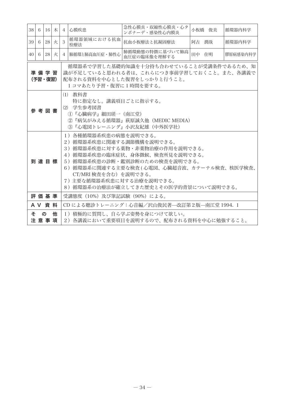| 38              | 6                                                                                                                                                            | 16                                    | 木 | $\overline{4}$                                                                                                                                                                                                                                                                                         | <b> 心膜疾患</b>                                                                                                                    | 急性心膜炎・収縮性心膜炎・心タ<br>ンポナーデ・感染性心内膜炎           | 小板橋 俊美 | 循環器内科学   |  |  |
|-----------------|--------------------------------------------------------------------------------------------------------------------------------------------------------------|---------------------------------------|---|--------------------------------------------------------------------------------------------------------------------------------------------------------------------------------------------------------------------------------------------------------------------------------------------------------|---------------------------------------------------------------------------------------------------------------------------------|--------------------------------------------|--------|----------|--|--|
| 39              | -6                                                                                                                                                           | 28                                    | 火 | 3                                                                                                                                                                                                                                                                                                      | 循環器領域における抗血<br>栓療法                                                                                                              | 抗血小板療法と抗凝固療法                               | 阿古 潤哉  | 循環器内科学   |  |  |
| 40 <sup>1</sup> | 6                                                                                                                                                            | 28                                    | 火 | $\overline{4}$                                                                                                                                                                                                                                                                                         | 肺循環と肺高血圧症・肺性心                                                                                                                   | 肺循環動態の特徴に基づいて肺高<br>血圧症の臨床像を理解する            | 田中 住明  | 膠原病感染内科学 |  |  |
|                 | 循環器系で学習した基礎的知識を十分持ち合わせていることが受講条件であるため、知<br>進備学習<br>識が不足していると思われる者は、これらにつき事前学習しておくこと。また、各講義で<br>配布される資料を中心とした復習をしっかりと行うこと。<br>(予習・復習)<br>1コマあたり予習・復習に1時間を要する。 |                                       |   |                                                                                                                                                                                                                                                                                                        |                                                                                                                                 |                                            |        |          |  |  |
|                 |                                                                                                                                                              | 参 考 図 書                               |   |                                                                                                                                                                                                                                                                                                        | (1) 教科書<br>特に指定なし。講義項目ごとに指示する。<br>(2) 学生参考図書<br>①『心臓病学』細田瑳一(南江堂)<br>②『病気がみえる循環器』萩原誠久他(MEDIC MEDIA)<br>3『心電図トレーニング』小沢友紀雄 (中外医学社) |                                            |        |          |  |  |
|                 |                                                                                                                                                              | 到達目標                                  |   | 1)各種循環器系疾患の病態を説明できる。<br>2)循環器系疾患に関連する調節機構を説明できる。<br>3) 循環器系疾患に対する薬物・非薬物治療の作用を説明できる。<br>4) 循環器系疾患の臨床症状、身体徴候、検査所見を説明できる。<br>5) 循環器系疾患の診断・鑑別診断のための検査を説明できる。<br>6) 循環器系に関連する主要な検査 ( 心電図、心臓超音波、カテーテル検査、核医学検査、<br>CT/MRI 検査を含む)を説明できる。<br>7) 主要な循環器系疾患に対する治療を説明できる。<br>8)循環器系の治療法が確立してきた歴史とその医学的背景について説明できる。 |                                                                                                                                 |                                            |        |          |  |  |
|                 |                                                                                                                                                              | 評価基準                                  |   |                                                                                                                                                                                                                                                                                                        | 受講熊度(10%)及び筆記試験(90%)による。                                                                                                        |                                            |        |          |  |  |
|                 |                                                                                                                                                              | AV 資料                                 |   |                                                                                                                                                                                                                                                                                                        |                                                                                                                                 | CD による聴診トレーニング:心音編/沢山俊民著―改訂第2版―南江堂 1994. 1 |        |          |  |  |
|                 | そ                                                                                                                                                            | $\boldsymbol{\mathcal{D}}$<br>注 意 事 項 | 他 | 1)積極的に質問し、自ら学ぶ姿勢を身につけて欲しい。<br>2)各講義において重要項目を説明するので、配布される資料を中心に勉強すること。                                                                                                                                                                                                                                  |                                                                                                                                 |                                            |        |          |  |  |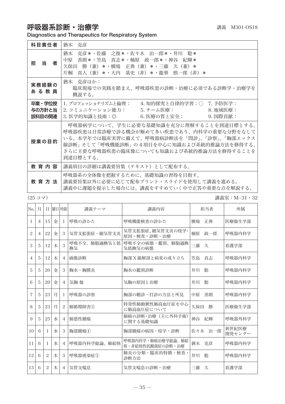# 呼吸器系診断·治療学 みちょう インタンス まんこう まいきょう 講義 M301-OS18

Diagnostics and Therapeutics for Respiratory System

| 科目責任者                      | 猶木 克彦                                                                                                                                                                                                                                  |
|----------------------------|----------------------------------------------------------------------------------------------------------------------------------------------------------------------------------------------------------------------------------------|
| 当<br>者<br>担                | 猶木<br>克彦*・佐藤 之俊*・佐々木 治一郎*・井川<br>聡*<br>善朗*・笠島 真志*・楠原 政一郎*・神谷 紀輝*<br>中原<br>*・横場 正典(兼)*・三藤<br>久保田<br>勝 (兼)<br>久 (兼) *<br>- 真人(兼)*・大内 基史(非)*・龍華 慎一郎(非)*<br>片桐                                                                              |
| 実務経験の<br>あ る 教 員           | 猶木 克彦ほか:<br>臨床現場での実践を踏まえ、呼吸器疾患の診断・治療に必須である診断学・治療学を<br>概説する。                                                                                                                                                                            |
| 卒業・学位授<br>与の方針と当<br>該科目の関連 | Ⅰ. プロフェッショナリズムと倫理:  4. 知的探究と自律的学習:○ 7. 予防医学:<br>2. コミュニケーション能力:            5. チーム医療:                                     8. 地域医療:<br>3. 医学的知識と技術:◎<br>6. 医療の質と安全:<br>9. 国際貢献:                                                          |
| 授業の目的                      | 呼吸器病学について、学生に必要な基礎知識を充分に理解することを到達目標とする。<br>呼吸器疾患は日常診療で診る機会が極めて多い疾患であり、内科学の重要な分野をなして<br>いる。本学年では臨床実習に備えて、呼吸器病診断法を「問診」、「診察」、「胸部エックス<br>線診断」そして「呼吸機能診断」の4項目を中心に知識および系統的推論方法を修得する。<br>さらに主要な呼吸器疾患の臨床像についても知識および系統的推論方法を修得することを<br>到達目標とする。 |
| 教育内容                       | 講義項目の詳細は講義要旨集(テキスト)として配布する。                                                                                                                                                                                                            |
| 教 音 方 法                    | 呼吸器系の全体像を把握するために、基礎知識の習得を目指す。<br>講義要旨集以外に必要に応じて配布プリント・スライドを使用して講義を進める。<br>講義中に課題を提示した場合には、講義をすすめていく中で正答や重要な点を解説する。                                                                                                                     |

(25 コマ) 講義室:M−31・32

| No.            | 月 | Ħ  | 曜日 時限 |                | 講義テーマ              | 講義内容                                  | 担当者        | 所属              |
|----------------|---|----|-------|----------------|--------------------|---------------------------------------|------------|-----------------|
| L              | 4 | 15 | 金     | $\mathbf{I}$   | 呼吸の診かた             | 呼吸機能検査の診かた                            | 構場<br>正典   | 医療衛生学部          |
| 2              | 4 | 22 | 金     | 3              | 気管支拡張症・細気管支炎       | 気管支拡張症、細気管支炎の疫学・<br>原因・検査・診断・治療       | 楠原<br>政一郎  | 呼吸器内科学          |
| 3              | 5 | 12 | 木     | 3              | 呼吸不全、肺胞過換気と低<br>換気 | 呼吸不全の病熊・鑑別、肺胞過換<br>気低換気の病態            | 三藤<br>久    | 看護学部            |
| $\overline{4}$ | 5 | 12 | 木     | 4              | 画像診断               | 胸部 X 線解剖と病変の成り立ち                      | 真志<br>等鳥   | 呼吸器内科学          |
| 5              | 5 | 20 | 金     | 3              | 胸水・胸膜炎             | 胸水の鑑別診断                               | 井川<br>聡    | 呼吸器内科学          |
| 6              | 5 | 20 | 金     | 4              | 気胸 他               | 気胸の原因と治療                              | 井川<br>聡    | 呼吸器内科学          |
| 7              | 5 | 23 | 月     | L              | 呼吸器の診察             | 胸部の聴診・打診の方法と所見                        | 中原<br>善朗   | 呼吸器内科学          |
| 8              | 5 | 23 | 月     | $\overline{c}$ | 肺循環障害(1)           | 特発性肺動脈性肺高血圧症を中心<br>に肺高血圧症について         | 久保田<br>勝   | 医療衛生学部          |
| 9              | 5 | 25 | 水     | 4              | 肺悪性腫瘍              | 肺癌の診断・治療(主に外科手術)<br>に関する基礎知識          | 神谷<br>紀輝   | 呼吸器外科学          |
| 10             | 6 | -1 | 水     | 3              | 胸部腫瘍(I)            | 胸部腫瘍の病因・疫学・診断                         | 治一郎<br>佐々木 | 新世紀医療<br>開発センター |
| 11             | 6 | -1 | 水     | 4              | 呼吸器内科学総論、肺結核       | 呼吸器内科学・肺癌治療学総論、肺結<br>核・非結核性抗酸菌症の診断・治療 | 克彦<br>猶木   | 呼吸器内科学          |
| 12             | 6 | 2  | 木     | 3              | 呼吸器感染症(1)          | 肺炎の分類・臨床的特徴・検査・<br>診断方法               | 井川<br>聡    | 呼吸器内科学          |
| 13             | 6 | 2  | 木     | $\overline{4}$ | 気管支喘息              | 気管支喘息の診断・治療                           | 三藤<br>久    | 看護学部            |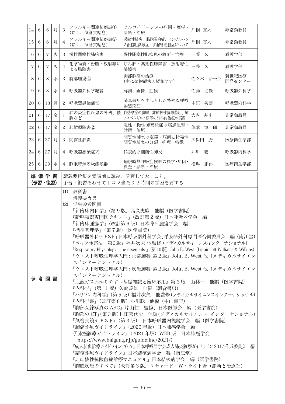| 14                                                                                                                                                                                                                                                                                                                                                                                                                                                                                                                                                                                                                                                                                                                                                                                                                                                                                                                                                                                                                                                                                                            | 6 | 6              | 月 | 3              | アレルギー関連肺疾患(1)<br>(除く、気管支喘息) | サルコイドーシスの病因・疫学・<br>診断・治療                 | 片桐 真人    | 非常勤教員           |
|---------------------------------------------------------------------------------------------------------------------------------------------------------------------------------------------------------------------------------------------------------------------------------------------------------------------------------------------------------------------------------------------------------------------------------------------------------------------------------------------------------------------------------------------------------------------------------------------------------------------------------------------------------------------------------------------------------------------------------------------------------------------------------------------------------------------------------------------------------------------------------------------------------------------------------------------------------------------------------------------------------------------------------------------------------------------------------------------------------------|---|----------------|---|----------------|-----------------------------|------------------------------------------|----------|-----------------|
| 15                                                                                                                                                                                                                                                                                                                                                                                                                                                                                                                                                                                                                                                                                                                                                                                                                                                                                                                                                                                                                                                                                                            | 6 | 6              | 月 | $\overline{4}$ | アレルギー関連肺疾患2<br>(除く、気管支喘息)   | 過敏性肺炎、肺胞蛋白症、ランゲルハン<br>ス細胞組織球症、肺脈管筋腫症について | 片桐 真人    | 非常勤教員           |
| 16                                                                                                                                                                                                                                                                                                                                                                                                                                                                                                                                                                                                                                                                                                                                                                                                                                                                                                                                                                                                                                                                                                            | 6 | $\overline{7}$ | 火 | 3              | 慢性閉塞性肺疾患                    | 慢性閉塞性肺疾患の診断・治療                           | 三藤 久     | 看護学部            |
| 17                                                                                                                                                                                                                                                                                                                                                                                                                                                                                                                                                                                                                                                                                                                                                                                                                                                                                                                                                                                                                                                                                                            | 6 | $\overline{7}$ | 火 | $\overline{4}$ | 化学物質・粉塵・放射線に<br>よる肺障害       | じん肺・薬剤性肺障害・放射線性<br>肺障害                   | 三藤 久     | 看護学部            |
| 18                                                                                                                                                                                                                                                                                                                                                                                                                                                                                                                                                                                                                                                                                                                                                                                                                                                                                                                                                                                                                                                                                                            | 6 | 8              | 水 | 3              | 胸部腫瘍2                       | 胸部腫瘍の治療<br>(主に薬物療法と緩和ケア)                 | 佐々木 治一郎  | 新世紀医療<br>開発センター |
| 19                                                                                                                                                                                                                                                                                                                                                                                                                                                                                                                                                                                                                                                                                                                                                                                                                                                                                                                                                                                                                                                                                                            | 6 | 8              | 水 | $\overline{4}$ | 呼吸器外科学総論                    | 解剖、画像、症候                                 | 佐藤 之俊    | 呼吸器外科学          |
| 20                                                                                                                                                                                                                                                                                                                                                                                                                                                                                                                                                                                                                                                                                                                                                                                                                                                                                                                                                                                                                                                                                                            | 6 | 13             | 月 | 2              | 呼吸器感染症③                     | 肺真菌症を中心とした特殊な呼吸<br>器感染症                  | 中原<br>善朗 | 呼吸器内科学          |
| 21                                                                                                                                                                                                                                                                                                                                                                                                                                                                                                                                                                                                                                                                                                                                                                                                                                                                                                                                                                                                                                                                                                            | 6 | 17             | 金 | 1              | 肺の炎症性疾患の外科、膿<br>胸など         | 肺感染症の膿胸、非結核性抗酸菌症、肺<br>アスペルギルス症等の外科的治療の実際 | 大内 基史    | 非常勤教員           |
| 22                                                                                                                                                                                                                                                                                                                                                                                                                                                                                                                                                                                                                                                                                                                                                                                                                                                                                                                                                                                                                                                                                                            | 6 | 17             | 金 | $\mathbf{2}$   | 肺循環障害2                      | 急性・慢性肺塞栓症の病態生理・<br>診断・治療                 | 龍華 慎一郎   | 非常勤教員           |
| 23                                                                                                                                                                                                                                                                                                                                                                                                                                                                                                                                                                                                                                                                                                                                                                                                                                                                                                                                                                                                                                                                                                            | 6 | 27             | 月 | 3              | 間質性肺炎                       | 間質性肺炎の定義・病態と特発性<br>間質性肺炎の分類・病理・特徴        | 久保田 勝    | 医療衛生学部          |
| $24\,$                                                                                                                                                                                                                                                                                                                                                                                                                                                                                                                                                                                                                                                                                                                                                                                                                                                                                                                                                                                                                                                                                                        | 6 | 27             | 月 | $\overline{4}$ | 呼吸器感染症2                     | 代表的な細菌性肺炎                                | 井川 聡     | 呼吸器内科学          |
| 25                                                                                                                                                                                                                                                                                                                                                                                                                                                                                                                                                                                                                                                                                                                                                                                                                                                                                                                                                                                                                                                                                                            | 6 | 29             | 水 | 4              | 睡眠時無呼吸症候群                   | 睡眠時無呼吸症候群の疫学・原因・<br>検査・診断・治療             | 横場 正典    | 医療衛生学部          |
|                                                                                                                                                                                                                                                                                                                                                                                                                                                                                                                                                                                                                                                                                                                                                                                                                                                                                                                                                                                                                                                                                                               |   |                |   |                |                             |                                          |          |                 |
| 準備学習<br>講義要旨集を受講前に読み、予習しておくこと。<br>(予習・復習)<br>予習・復習あわせて1コマ当たり2時間の学習を要する。<br>(1) 教科書<br>講義要旨集<br>(2)<br>学生参考図書<br>『新臨床内科学』(第9版)高久史麿 他編(医学書院)<br>『新呼吸器専門医テキスト』(改訂第2版)日本呼吸器学会<br>編<br>『新臨床腫瘍学』(改訂第6版)日本臨床腫瘍学会 編<br>『標準薬理学』(第7版)(医学書院)<br>『呼吸器外科テキスト』 日本呼吸器外科学会、呼吸器外科専門医合同委員会 編 (南江堂)<br>『ベイツ診察法 第2版』 福井次矢 他監修 (メディカルサイエンスインターナショナル)<br>『Respiratory Physiology - the essentials-』 (第10版) John B. West (Lippincott Williams & Wilkins)<br>『ウエスト呼吸生理学入門 : 正常肺編 第2版』John B. West 他(メディカルサイエン<br>スインターナショナル)<br>『ウエスト呼吸生理学入門 : 疾患肺編 第2版』John B. West 他(メディカルサイエン<br>スインターナショナル)<br>参考図書<br>『血液ガスわかりやすい基礎知識と臨床応用』第3版 山林一 他編(医学書院)<br>『内科学』(第 11 版)矢崎義雄 他編(朝倉書店)<br>『ハリソン内科学』(第5版)福井次矢 他監修(メディカルサイエンスインターナショナル)<br>『内科学書』(改訂第8版)小川聡 他編 (中山書店)<br>『胸部X線写真の ABC』片山仁 監修、日本医師会 編(医学書院)<br>『胸部の CT』(第3版) 村田喜代史 他編 (メディカルサイエンス・インターナショナル)<br>『気管支鏡テキスト』(第3版) 日本呼吸器内視鏡学会 編(医学書院)<br>『肺癌診療ガイドライン』(2020 年版)日本肺癌学会 編<br>(『肺癌診療ガイドライン』(2021 年版)WEB 版 日本肺癌学会<br>https://www.haigan.gr.jp/guideline/2021/)<br>『成人肺炎診療ガイドライン 2017』 日本呼吸器学会成人肺炎診療ガイドライン 2017 作成委員会 編<br>『結核診療ガイドライン』日本結核病学会 編(南江堂)<br>『非結核性抗酸菌症診療マニュアル』日本結核病学会 編(医学書院) |   |                |   |                |                             |                                          |          |                 |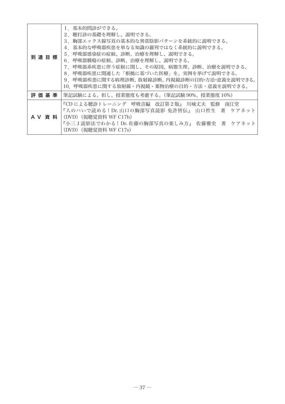| 到達目標 | 1.基本的問診ができる。<br>2. 聴打診の基礎を理解し、説明できる。<br>3.胸部エックス線写真の基本的な異常陰影パターンを系統的に説明できる。<br>4.基本的な呼吸器疾患を単なる知識の羅列ではなく系統的に説明できる。<br>5.呼吸器感染症の症候、診断、治療を理解し、説明できる。<br>6.呼吸器腫瘍の症候、診断、治療を理解し、説明できる。<br>7.呼吸器系疾患に伴う症候に関し、その原因、病熊生理、診断、治療を説明できる。<br>8.呼吸器疾患に関連した「根拠に基づいた医療」を、実例を挙げて説明できる。<br>9.呼吸器疾患に関する病理診断、放射線診断、内視鏡診断の目的・方法・意義を説明できる。<br>10.呼吸器疾患に関する放射線・内視鏡・薬物治療の目的・方法・意義を説明できる。 |
|------|-----------------------------------------------------------------------------------------------------------------------------------------------------------------------------------------------------------------------------------------------------------------------------------------------------------------------------------------------------------------|
| 評価基準 | 筆記試験による。但し、授業態度も考慮する。(筆記試験 90%、授業態度 10%)                                                                                                                                                                                                                                                                                                                        |
|      | 『CD による聴診トレーニング 呼吸音編 改訂第2版』 川城丈夫 監修 南江堂<br>『人のハいで読める!Dr.山口の胸部写真読影 免許皆伝』 山口哲生 著 ケアネット<br>A V 資 料   (DVD) (視聴覚資料 WF C17h)<br>『小三J読影法でわかる!Dr.佐藤の胸部写真の楽しみ方』 佐藤雅史 著 ケアネット<br>(DVD) (視聴覚資料 WF C17s)                                                                                                                                                                   |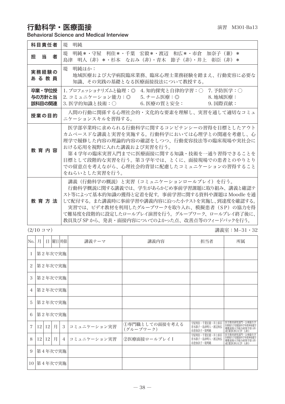#### **行動科字・医療面接 インスタックス あきょう しょうこう あきょう あきょう** 瀬 201-Ba13

Behavioral Science and Medical Interview

| 演習 |           |
|----|-----------|
|    | M301-Ba13 |
|    |           |

| 科目青任者                      | 堤 明純                                                                                                                                                                                                                                                                                                                               |
|----------------------------|------------------------------------------------------------------------------------------------------------------------------------------------------------------------------------------------------------------------------------------------------------------------------------------------------------------------------------|
| 担当<br>者                    | 堤 明純*・守屋 利佳*・千葉 宏毅*・渡辺 和広*・市倉 加奈子(兼)<br>$\ast$<br>島津 明人(非)*・杉本 なおみ(非)・青木 節子(非)・井上 彰臣(非)*                                                                                                                                                                                                                                           |
| 実務経験の<br>あ る 教 員           | 堤 明純ほか:<br>地域医療および大学病院臨床業務、臨床心理十業務経験を踏まえ、行動変容に必要な<br>知識、その実践の基礎となる医療面接技法について教授する。                                                                                                                                                                                                                                                  |
| 卒業・学位授<br>与の方針と当<br>該科目の関連 | 1. プロフェッショナリズムと倫理:◎ 4. 知的探究と自律的学習:○ 7. 予防医学:○<br>2. コミュニケーション能力:◎  5. チーム医療:◎<br>8. 地域医療:<br>3. 医学的知識と技術:○ 40. 6. 医療の質と安全:<br>9. 国際貢献:                                                                                                                                                                                             |
| 授業の目的                      | 人間の行動に関係する心理社会的・文化的な要素を理解し、実習を通して適切なコミュ<br>ニケーションスキルを習得する。                                                                                                                                                                                                                                                                         |
| 教育内容                       | 医学部卒業時に求められる行動科学に関するコンピテンシーの習得を目標としたアウト<br>カムベースドな講義と実習を実施する。行動科学においては心理学との関連を考慮し、心<br>理学で履修した内容の理論的内容の確認をしつつ、行動変容技法等の臨床現場や実社会に<br>おける応用を視野に入れた講義および実習を行う。<br>第4学年の臨床実習入門までに医療面接に関する知識・技術を一通り習得できることを<br>目標として段階的な実習を行う。第3学年では、とくに、面接現場での患者とのやりとり<br>での留意点を考えながら、心理社会的背景に配慮したコミュニケーションの習得すること<br>をねらいとした実習を行う。                     |
| 教育方法                       | 講義(行動科学の概説)と実習(コミュニケーションロールプレイ)を行う。<br>行動科学概説に関する講義では、学生があらかじめ事前学習課題に取り組み、講義と確認テ<br>スト等によって基本的知識の獲得と定着を促す。事前学習に関する資料や課題は Moodle を通<br>して配付する。また講義時に事前学習や講義内容に沿った小テストを実施し、到達度を確認する。<br>実習では、ビデオ教材を利用したグループワークを取り入れ、模擬患者(SP)の協力を得<br>て難易度を段階的に設定したロールプレイ演習を行う。グループワーク、ロールプレイ終了後に、<br>教員及び SP から、 発表・面接内容についてのよかった点、 改善点等のフィードバックを行う。 |

(2/10 コマ) 講義室:M−31・32

| No.            | 日 曜日時限<br>月<br>講義テーマ |    |         |                |             | 講義内容                        | 担当者                                           | 所属                                                           |
|----------------|----------------------|----|---------|----------------|-------------|-----------------------------|-----------------------------------------------|--------------------------------------------------------------|
|                |                      |    | 第2年次で実施 |                |             |                             |                                               |                                                              |
| $\overline{c}$ | 第2年次で実施              |    |         |                |             |                             |                                               |                                                              |
| 3              | 第2年次で実施              |    |         |                |             |                             |                                               |                                                              |
| $\overline{4}$ | 第2年次で実施              |    |         |                |             |                             |                                               |                                                              |
| 5              | 第2年次で実施              |    |         |                |             |                             |                                               |                                                              |
| 6              | 第2年次で実施              |    |         |                |             |                             |                                               |                                                              |
| 7              | 12                   | 12 | 月       | 3              | コミュニケーション実習 | ①専門職としての面接を考える<br>(グループワーク) | 守屋利佳・千葉宏毅・井上彰臣<br>青木節子・島津明人・渡辺和弘<br>市倉加奈子・堤明純 | 医学教育研究部門・公衆衛生学<br>慶應義塾大学総合政策学部(非)<br>産業医科大学 (非)              |
| 8              | 12                   | 12 | 月       | $\overline{4}$ | コミュニケーション実習 | 2医療面接ロールプレイI                | 守屋利佳・千葉宏毅・井上彰臣<br>青木節子・島津明人・渡辺和弘<br>市食加奈子・堤明純 | ・公衆衛生学<br>医療衛生学部健康科学科精神保健学<br>慶應義塾大学総合政策学部 (非)<br>産業医科大学 (非) |
| 9              | 第4年次で実施              |    |         |                |             |                             |                                               |                                                              |
|                | 10 第4年次で実施           |    |         |                |             |                             |                                               |                                                              |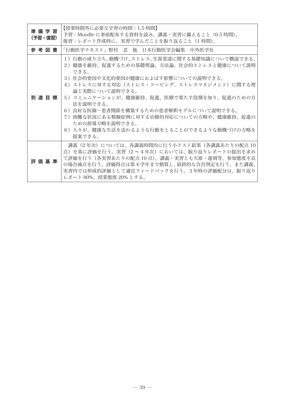| 準備学習<br>(予習・復習) | 【授業時間外に必要な学習の時間:1.5 時間】<br>予習:Moodle に事前配布する資料を読み、講義・実習に備えること(0.5 時間)。<br>復習:レポート作成時に、実習で学んだことを振り返ること(1 時間)。                                                                                                                                                                                                                                                                                                             |
|-----------------|--------------------------------------------------------------------------------------------------------------------------------------------------------------------------------------------------------------------------------------------------------------------------------------------------------------------------------------------------------------------------------------------------------------------------|
| 参 考 図 書         | 「行動医学テキスト」野村 忍 他 日本行動医学会編集 中外医学社                                                                                                                                                                                                                                                                                                                                                                                         |
| 到 達 目 標         | 1)行動の成り立ち、動機づけ、ストレス、生涯発達に関する基礎知識について概説できる。<br>2)健康を維持、促進するための基礎理論、方法論、社会的ストレスと健康について説明<br>できる。<br>3)社会的要因や文化的要因が健康におよぼす影響についての説明できる。<br>4)ストレスに対する対応(ストレス・コーピング、ストレスマネジメント)に関する理<br>論と実際について説明できる。<br>5)コミュニケーションが、健康維持、促進、医療で果たす役割を知り、促進のための方<br>法を説明できる。<br>6)良好な医師―患者関係を構築するための患者解釈モデルについて説明できる。<br>7) 困難な状況にある模擬症例に対する治療的対応についての方略や、健康維持、促進の<br>ための指導方略を説明できる。<br>8)人々が、健康な生活を送れるような行動をとることができるような動機づけの方略を<br>提案できる。 |
| 評 価 基 準         | 講義(2 年次)については、各講義時間内に行う小テスト結果(各講義あたりの配点 10<br>点)を基に評価を行う。実習(2 ~ 4 年次)においては、振り返りレポートの提出を求め<br>て評価を行う(各実習あたりの配点 10 点)。講義・実習とも欠席・遅刻等、参加態度不良<br>の場合減点を行う。評価得点は第4学年まで積算し、最終的な合否判定を行う。また講義、<br>実習内では形成的評価として適官フィードバックを行う。3年時の評価配分は、振り返り<br>レポート 80%、授業熊度 20% とする。                                                                                                                                                              |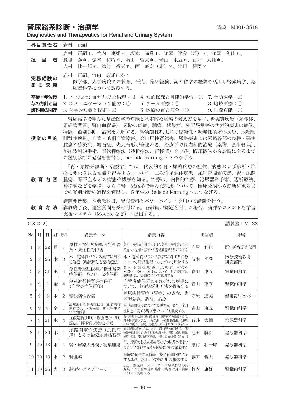## 腎尿路系診断·治療学 みずきょう まんじゅう まいきょう 講義 M301-OS18

Diagnostics and Therapeutics for Renal and Urinary System

| 科目責任者                      | 岩村<br>正嗣                                                                                                                                                                                                                                                                                                        |
|----------------------------|-----------------------------------------------------------------------------------------------------------------------------------------------------------------------------------------------------------------------------------------------------------------------------------------------------------------|
| 11日 当り コンプログラム<br>者        | 岩村<br> 正嗣*、竹内  康雄*、坂本  尚登*、守屋  達美(兼)*、守屋  利佳*、<br>泰*、松本 和将*、藤田 哲夫*、青山 東五*、石井 大輔*、<br>長場<br>壮一郎*、津村 秀康*、西 盛宏(非)*、池田<br>志村<br>勝臣 *                                                                                                                                                                                |
| 実務経験の<br>あ る 教 員           | 岩村 正嗣、竹内 康雄ほか:<br>医学部、大学病院での教育、研究、臨床経験、海外留学の経験を活用し腎臓病学、泌<br>尿器科学について教授する。                                                                                                                                                                                                                                       |
| 卒業・学位授<br>与の方針と当<br>該科目の関連 | 1. プロフェッショナリズムと倫理:◎ 4. 知的探究と自律的学習:◎ 7. 予防医学:◎<br>2. コミュニケーション能力:○  5. チーム医療:○      8. 地域医療:○<br>3. 医学的知識と技術:◎ 6. 医療の質と安全:○ 9. 国際貢献:○                                                                                                                                                                            |
| 授業の目的                      | 腎尿路系で学んだ基礎医学の知識と基本的な病熊の考え方を基に、腎実質疾患(糸球体、<br>尿細管間質、腎内血管系)、尿路の炎症、腫瘍、感染症、先天異常等の代表的疾患の症候、<br>病熊、鑑別診断、治療を理解する。腎実質性疾患には原発性・続発性糸球体疾患、尿細管<br>間質性疾患、血管・毛細血管障害、高血圧性腎障害、尿路疾患には尿路各部の良性・悪性<br> 腫瘍や感染症、結石症、先天奇形が含まれる。治療学では内科的治療(薬物、食事管理)、<br>泌尿器科的手術、腎代替療法(透析療法、腎移植)を学び、臨床徴候から診断に至るまで<br>の鑑別診断の過程を習得し、bedside learningへとつなげる。 |
| 教 音 内 容                    | 「腎・尿路系診断・治療学」では、代表的な腎・尿路疾患の症候、病態および診断・治<br>療に要求される知識を習得する。一次性・二次性糸球体疾患、尿細管間質疾患、腎・尿路<br>腫瘍、腎不全などの病熊や機序を知る。治療は、内科的治療、泌尿器科手術、透析療法、<br>腎移植などを学ぶ。さらに腎・尿路系で学んだ疾患について、臨床徴候から診断に至るま<br>での鑑別診断の過程を修得し、5年生の Bedside learning へとつなげる。                                                                                      |
| 教育方法                       | 講義要旨集、推薦教科書、配布資料とパワーポイントを用いて講義を行う。<br>講義終了後、適官質問を受け付ける。各教員が課題を付した場合、講評やコメントを学習<br>支援システム(Moodle など)に提出する。.                                                                                                                                                                                                      |

(18 コマ) 講義室:M−32

| No.            | 月  | Ħ  |   | 曜日 時限          | 講義テーマ                                       | 講義内容                                                                                      |    | 相当者 | 所属             |
|----------------|----|----|---|----------------|---------------------------------------------|-------------------------------------------------------------------------------------------|----|-----|----------------|
|                | 8  | 22 | 月 |                | 急性・慢性尿細管間質性腎<br>炎・薬剤性腎障害                    | 急性・慢性間質性腎炎および急性・慢性腎盂腎炎<br>の病因・症候・診断と治療を概説できるようにする                                         | 守屋 | 利佳  | 医学教育研究部門       |
| 2              | 8  | 25 | 木 | 3              | 水・電解質バランス異常に対す<br>る治療(輸液療法と薬物療法)            | 水・電解質バランス異常に対する治療<br>について病態生理にもとづいて理解する                                                   | 坂本 | 尚登  | 医療技術教育<br>研究部門 |
| 3              | 8  | 31 | 水 | 4              | 急性腎炎症候群/慢性腎炎<br>症候群/ネフローゼ症候群                | 急性糸球体腎炎、IgA腎症、MPGN、<br>MCNS、FSGS、MN について、その臨床像、<br>病理所見、治療について説明する。                       | 青山 | 東五  | 腎臓内科学          |
| $\overline{4}$ | 9  | 2  | 金 | $\overline{4}$ | 急速進行性腎炎症候群<br>(血管炎症候群①)                     | 血管炎症候群のそれぞれの疾患に<br>ついて、診断と鑑別方法を概説する                                                       | 青山 | 東五  | 腎臓内科学          |
| 5              | 9  | 8  | 木 | 2              | 糖尿病性腎症                                      | 糖尿病性腎症(腎症)の概念、<br>臨<br>床的意義、診断、治療                                                         | 守屋 | 達美  | 健康管理センター       |
| 6              | 9  | 9  | 金 |                | 急速進行性腎炎症候群(血管炎症<br>候群②)、代謝疾患、血液疾患に<br>伴う腎障害 | 腎毛細血管炎について概説する。また、全身<br>性疾患に関する腎疾患についても概説する。                                              | 青山 | 東五  | 腎臓内科学          |
| 7              | 9  | 21 | 水 | 4              | 血液透析(HD)と腹膜透析(PD)<br>療法/腎移植の現状と未来           | 腎代替療法における血液透析と腹膜透析の基礎と臨床。<br>腎移植療法の現状、手術方法、免疫抑制療法、合併症<br>とその治療法、課題、移植療法の未来について講義する        | 石井 | 大輔  | 泌尿器科学          |
| 8              | 9  | 29 | 木 |                | 尿路閉塞性疾患(良性疾<br>患)とその治療尿路結石症                 | 前立腺肥大症を中心に、病態、薬物療法の作用機序、手術<br>療法の有用性などに対する理解を深める。腎臓、尿管、膀胱、<br>尿道に発生する結石症の基礎、診断、治療に関して概説する | 池田 | 勝臣  | 泌尿器科学          |
| 9              | 10 | 13 | 木 |                | 腎・尿路の外傷 / 精巣腫瘍                              | 腎、膀胱および尿道損傷などの尿路外傷およ<br>び若年に発症する精巣腫瘍について講義する                                              | 志村 | 壮一郎 | 泌尿器科学          |
| 10             | 10 | 19 | 水 | 2              | 腎腫瘍                                         | 腎臓に発生する腫瘍、特に腎細胞癌に関<br>する基礎、診断、治療に関して概説する                                                  | 藤田 | 哲夫  | 泌尿器科学          |
| 11             | 10 | 25 | 火 | 3              | 診断へのアプローチI                                  | SLE、強皮症、シェーグレン症候群等の膠<br>原病による腎疾患の臨床、病理所見、治療<br>について説明する                                   | 竹内 | 康雄  | 腎臓内科学          |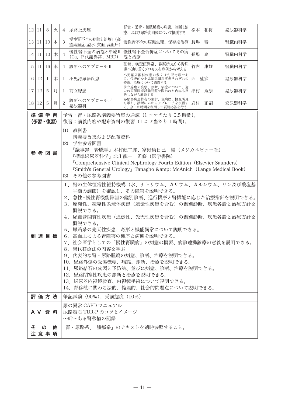|   | 12 11        | 8               | 火 | 4                                                                                                                                                                                                                                                                                                                                                                                                                                                                                                                            | 尿路上皮癌                                                                                                                                                                                                                                                                         | 腎盂・尿管・膀胱腫瘍の病熊、診断と治<br>療、および尿路変向術について概説する                            | 松本 和将   | 泌尿器科学 |  |  |
|---|--------------|-----------------|---|------------------------------------------------------------------------------------------------------------------------------------------------------------------------------------------------------------------------------------------------------------------------------------------------------------------------------------------------------------------------------------------------------------------------------------------------------------------------------------------------------------------------------|-------------------------------------------------------------------------------------------------------------------------------------------------------------------------------------------------------------------------------------------------------------------------------|---------------------------------------------------------------------|---------|-------|--|--|
|   | 13   11      | 10              | 木 | 3                                                                                                                                                                                                                                                                                                                                                                                                                                                                                                                            | 慢性腎不全の病態と治療I (高<br>窒素血症、溢水、貧血、高血圧)                                                                                                                                                                                                                                            | 慢性腎不全の病態生理、保存期治療                                                    | 長場<br>泰 | 腎臓内科学 |  |  |
|   | 14   11   10 |                 | 木 | $\overline{4}$                                                                                                                                                                                                                                                                                                                                                                                                                                                                                                               | 慢性腎不全の病態と治療Ⅱ<br>(Ca, P代謝異常、MBD)                                                                                                                                                                                                                                               | 慢性腎不全合併症についてその病<br>熊と治療                                             | 長場<br>泰 | 腎臓内科学 |  |  |
|   | 15 11        | 16              | 水 | $\overline{4}$                                                                                                                                                                                                                                                                                                                                                                                                                                                                                                               | 診断へのアプローチⅡ                                                                                                                                                                                                                                                                    | 症候、検査値異常、診察所見から腎疾<br>患へ辿り着くプロセスを症例から考える                             | 竹内 康雄   | 腎臓内科学 |  |  |
|   | 16 12        | 1               | 木 | $\mathbf{I}$                                                                                                                                                                                                                                                                                                                                                                                                                                                                                                                 | 小児泌尿器疾患                                                                                                                                                                                                                                                                       | 小児泌尿器科疾患の多くは先天奇形であ<br>る。代表的な小児泌尿器科疾患それぞれの<br>特徴、治療について講義する          | 西 盛宏    | 泌尿器科学 |  |  |
|   | 17   12      | 5               | 月 | 1                                                                                                                                                                                                                                                                                                                                                                                                                                                                                                                            | 前立腺癌                                                                                                                                                                                                                                                                          | 前立腺癌の疫学、診断、治療について、過<br>去の医師国家試験問題で問われた内容も反<br>映しながら解説する             | 津村 秀康   | 泌尿器科学 |  |  |
|   | 18   12      | 5               | 月 | $\overline{c}$                                                                                                                                                                                                                                                                                                                                                                                                                                                                                                               | 診断へのアプローチ/<br>泌尿器科                                                                                                                                                                                                                                                            | 泌尿器疾患特有の主訴、現病歴、検査所見<br>を示し、診断にいたるアプローチを復習す<br>る。余った時間を利用して質疑応答を行う   | 岩村 正嗣   | 泌尿器科学 |  |  |
|   |              | 準備学習<br>(予習・復習) |   |                                                                                                                                                                                                                                                                                                                                                                                                                                                                                                                              |                                                                                                                                                                                                                                                                               | 予習:腎・尿路系講義要旨集の通読(1 コマ当たり 0.5 時間)。<br>復習:講義内容や配布資料の復習(1 コマ当たり 1 時間)。 |         |       |  |  |
|   |              | 参 考 図 書         |   |                                                                                                                                                                                                                                                                                                                                                                                                                                                                                                                              | (1) 教科書<br>講義要旨集および配布資料<br>(2) 学生参考図書<br>『議事録 腎臓学』木村健二郎、富野康日己 編(メジカルビュー社)<br>『標準泌尿器科学』北川龍一 監修(医学書院)<br><b>"Comprehensive Clinical Nephrology Fourth Edition (Elsevier Saunders)</b><br><b>"Smith's General Urology</b> Tanagho & McAnich (Lange Medical Book)<br>(3) その他の参考図書 |                                                                     |         |       |  |  |
|   |              | 到達目標            |   | 1.腎の生体恒常性維持機構(水、ナトリウム、カリウム、カルシウム、リン及び酸塩基<br>平衡の調節)を確認し、その障害を説明できる。<br>2.急性・慢性腎機能障害の鑑別診断、進行機序と腎機能に応じた治療指針を説明できる。<br>3.原発性、続発性糸球体疾患(遺伝性疾患を含む)の鑑別診断、疾患各論と治療方針を<br>概説できる。<br>4. 尿細管間質性疾患(遺伝性、先天性疾患を含む)の鑑別診断、疾患各論と治療方針を<br>概説できる。<br>5.尿路系の先天性疾患、奇形と機能異常について説明できる。<br>6. 高血圧による腎障害の機序と病態を説明できる。<br>7.社会医学としての「慢性腎臓病」の病態の概要、病診連携診療の意義を説明できる。<br>8. 腎代替療法の内容を学ぶ<br>9. 代表的な腎・尿路腫瘍の病態、診断、治療を説明できる。<br>10. 尿路外傷の受傷機転、病態、診断、治療を説明できる。<br>11. 尿路結石の成因と予防法、並びに病態、診断、治療を説明できる。<br>12. 尿路閉塞性疾患の診断と治療を説明できる。<br>13. 泌尿器内視鏡検査、内視鏡手術について説明できる。 |                                                                                                                                                                                                                                                                               |                                                                     |         |       |  |  |
|   |              | 評価方法            |   |                                                                                                                                                                                                                                                                                                                                                                                                                                                                                                                              | 筆記試験 (90%)、受講態度 (10%)                                                                                                                                                                                                                                                         |                                                                     |         |       |  |  |
|   |              | A V 資料          |   | 尿の異常 CAPD マニュアル<br>尿路結石 TUR-P のコツとイメージ<br>~絆~ある腎移植の記録                                                                                                                                                                                                                                                                                                                                                                                                                                                                        |                                                                                                                                                                                                                                                                               |                                                                     |         |       |  |  |
| そ |              | の<br>注意事項       | 他 |                                                                                                                                                                                                                                                                                                                                                                                                                                                                                                                              |                                                                                                                                                                                                                                                                               | 「腎・尿路系」「腫瘍系」のテキストを適時参照すること。                                         |         |       |  |  |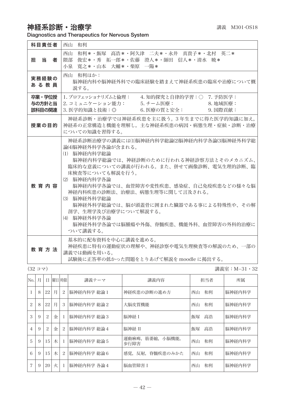## 神経系診断・治療学 みずい インスタン おくしゃ おおしゃ 講義 M301-OS18

Diagnostics and Therapeutics for Nervous System

| 科目責任者                      | 西山 和利                                                                                                                                                                                                                                                                                                                                                                                                                                           |
|----------------------------|-------------------------------------------------------------------------------------------------------------------------------------------------------------------------------------------------------------------------------------------------------------------------------------------------------------------------------------------------------------------------------------------------------------------------------------------------|
| 担当<br>者                    | 西山 和利*・飯塚 高浩*・阿久津 二夫*・永井 真貴子*・北村 英二*<br>隈部<br>- 俊宏*・秀 拓一郎*・佐藤 澄人*・師田 信人*・清水 暁*<br>小泉 寛之*・山本 大輔*・柴原 一陽*                                                                                                                                                                                                                                                                                                                                          |
| 実務経験の<br>あ る 教 員           | 西山 和利ほか:<br>脳神経内科や脳神経外科での臨床経験を踏まえて神経系疾患の臨床や治療について概<br>説する。                                                                                                                                                                                                                                                                                                                                                                                      |
| 卒業・学位授<br>与の方針と当<br>該科目の関連 | 1. プロフェッショナリズムと倫理:<br>4. 知的探究と自律的学習:○ 7. 予防医学:<br>2. コミュニケーション能力: 5. チーム医療:<br>8. 地域医療:<br>3. 医学的知識と技術:◎<br>6. 医療の質と安全:<br>9. 国際貢献:                                                                                                                                                                                                                                                                                                             |
| 授業の目的                      | 神経系診断・治療学では神経系疾患を主に扱う。3年生までに得た医学的知識に加え,<br>神経系の正常構造と機能を理解し、主な神経系疾患の病因・病熊生理・症候・診断・治療<br>についての知識を習得する。                                                                                                                                                                                                                                                                                                                                            |
| 教育内容                       | 神経系診断治療学の講義には(1)脳神経内科学総論(2)脳神経内科学各論(3)脳神経外科学総<br>論(4)脳神経外科学各論が含まれる。<br>(1) 脳神経内科学総論<br>脳神経内科学総論では、神経診断のために行われる神経診察方法とそのメカニズム、<br>臨床的な意義についての講義が行われる。また、併せて画像診断、電気生理的診断、臨<br>床検査等についても解説を行う。<br>(2) 脳神経内科学各論<br>脳神経内科学各論では、血管障害や変性疾患、感染症、自己免疫疾患などの様々な脳<br>神経内科疾患の診断法、治療法、病熊生理等に関して言及される。<br>(3) 脳神経外科学総論<br>脳神経外科学総論では、脳が頭蓋骨に囲まれた臓器である事による特殊性や、その解<br>剖学、生理学及び治療学について解説する。<br>(4) 脳神経外科学各論<br>脳神経外科学各論では脳腫瘍や外傷、脊髄疾患、機能外科、血管障害の外科的治療に<br>ついて講義する。 |
| 教 音 方 法                    | 基本的に配布資料を中心に講義を進める。<br>神経疾患に特有の運動症状の理解や、神経診察や電気生理検査等の解説のため、一部の<br>講義では動画を用いる。<br>試験後に正答率の低かった問題をとりあげて解説を moodle に掲出する。                                                                                                                                                                                                                                                                                                                          |

(32 コマ) 講義室:M−31・32

| No.            | 月 | Ħ  |   | 曜日 時限          | 講義テーマ       | 講義内容                           |    | 担当者 | 所属     |
|----------------|---|----|---|----------------|-------------|--------------------------------|----|-----|--------|
|                | 8 | 22 | 月 | $\overline{c}$ | 脳神経内科学 総論 1 | 神経疾患の診断の進め方                    | 西山 | 和利  | 脳神経内科学 |
| $\overline{c}$ | 8 | 22 | 月 | 3              | 脳神経内科学 総論2  | 大脳皮質機能                         | 西山 | 和利  | 脳神経内科学 |
| 3              | 9 | 2  | 金 | $\mathbf{I}$   | 脳神経内科学 総論3  | 脳神経 I                          | 飯塚 | 高浩  | 脳神経内科学 |
| $\overline{4}$ | 9 | 2  | 金 | $\overline{c}$ | 脳神経内科学 総論4  | 脳神経 II                         | 飯塚 | 高浩  | 脳神経内科学 |
| 5              | 9 | 15 | 木 | -1             | 脳神経内科学 総論 5 | 運動麻痺,<br>筋萎縮,<br>小脳機能,<br>歩行障害 | 西山 | 和利  | 脳神経内科学 |
| 6              | 9 | 15 | 木 | 2              | 脳神経内科学 総論6  | 感覚、反射、脊髄疾患のみかた                 | 西山 | 和利  | 脳神経内科学 |
| 7              | 9 | 20 | 火 |                | 脳神経内科学 各論4  | 脳血管障害 I                        | 西山 | 和利  | 脳神経内科学 |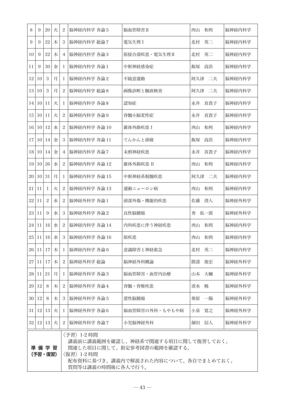| 8                                                                                                                                                                           | 9               | 20             | 火 | 2              | 脳神経内科学 各論 5  | 脳血管障害 II       | 西山 和利     | 脳神経内科学 |
|-----------------------------------------------------------------------------------------------------------------------------------------------------------------------------|-----------------|----------------|---|----------------|--------------|----------------|-----------|--------|
| 9                                                                                                                                                                           | 9               | 22             | 木 | 3              | 脳神経内科学 総論7   | 電気生理 I         | 北村<br>英二  | 脳神経内科学 |
| 10                                                                                                                                                                          | 9               | 22             | 木 | $\overline{4}$ | 脳神経内科学 各論3   | 筋接合部疾患・電気生理Ⅱ   | 北村<br>英二  | 脳神経内科学 |
| 11                                                                                                                                                                          | 9               | $30\,$         | 金 | 1              | 脳神経内科学 各論 1  | 中枢神経感染症        | 飯塚<br>高浩  | 脳神経内科学 |
| 12                                                                                                                                                                          | 10              | 3              | 月 | 1              | 脳神経内科学 各論2   | 不随意運動          | 二夫<br>阿久津 | 脳神経内科学 |
| 13                                                                                                                                                                          | 10              | 3              | 月 | $\overline{2}$ | 脳神経内科学 総論8   | 画像診断と髄液検査      | 阿久津 二夫    | 脳神経内科学 |
| 14                                                                                                                                                                          | 10              | 11             | 火 | 1              | 脳神経内科学 各論8   | 認知症            | 永井 真貴子    | 脳神経内科学 |
| 15                                                                                                                                                                          | 10              | 11             | 火 | 2              | 脳神経内科学 各論9   | 脊髄小脳変性症        | 永井<br>真貴子 | 脳神経内科学 |
| 16                                                                                                                                                                          | 10              | 12             | 水 | 2              | 脳神経内科学 各論 10 | 錐体外路疾患 I       | 西山<br>和利  | 脳神経内科学 |
| 17                                                                                                                                                                          | 10              | 14             | 金 | 3              | 脳神経内科学 各論 11 | てんかんと頭痛        | 飯塚<br>高浩  | 脳神経内科学 |
| 18                                                                                                                                                                          | 10              | 14             | 金 | 4              | 脳神経内科学 各論7   | 末梢神経疾患         | 永井<br>真貴子 | 脳神経内科学 |
| 19                                                                                                                                                                          | 10 <sup>1</sup> | 26             | 水 | 2              | 脳神経内科学 各論 12 | 錐体外路疾患 II      | 西山 和利     | 脳神経内科学 |
| 20                                                                                                                                                                          | 10 <sup>1</sup> | 31             | 月 | 1              | 脳神経内科学 各論 15 | 中枢神経系脱髄疾患      | 阿久津 二夫    | 脳神経内科学 |
| 21                                                                                                                                                                          | 11              | 1              | 火 | 2              | 脳神経内科学 各論 13 | 運動ニューロン病       | 西山 和利     | 脳神経内科学 |
| 22                                                                                                                                                                          | 11              | $\overline{c}$ | 水 | 2              | 脳神経外科学 各論 1  | 頭部外傷・機能的疾患     | 佐藤<br>澄人  | 脳神経外科学 |
| 23                                                                                                                                                                          | 11              | 9              | 水 | 3              | 脳神経外科学 各論2   | 良性脳腫瘍          | 秀拓一郎      | 脳神経外科学 |
| 24                                                                                                                                                                          | 11              | 16             | 水 | 2              | 脳神経内科学 各論 14 | 内科疾患に伴う神経疾患    | 西山<br>和利  | 脳神経内科学 |
| 25                                                                                                                                                                          | 11              | 16             | 水 | 3              | 脳神経内科学 各論 16 | 筋疾患            | 西山<br>和利  | 脳神経内科学 |
| 26                                                                                                                                                                          | 11              | 17             | 木 | 1              | 脳神経内科学 各論6   | 意識障害と神経救急      | 北村<br>英二  | 脳神経内科学 |
| 27                                                                                                                                                                          | 11              | 17             | 木 | $\overline{c}$ | 脳神経外科学 総論    | 脳神経外科概論        | 隈部<br>俊宏  | 脳神経外科学 |
| 28                                                                                                                                                                          | 11              | 21             | 月 | 1              | 脳神経外科学 各論3   | 脳血管障害・血管内治療    | 大輔<br>山本  | 脳神経外科学 |
| 29                                                                                                                                                                          | 12              | 8              | 木 | $\overline{c}$ | 脳神経外科学 各論4   | 脊髄・脊椎疾患        | 清水<br>暁   | 脳神経外科学 |
| 30                                                                                                                                                                          | 12              | 8              | 木 | 3              | 脳神経外科学 各論5   | 悪性脳腫瘍          | 一陽<br>柴原  | 脳神経外科学 |
| 31                                                                                                                                                                          | 12              | 13             | 火 | 1              | 脳神経外科学 各論6   | 脳血管障害の外科・もやもや病 | 小泉<br>寛之  | 脳神経外科学 |
| 32                                                                                                                                                                          |                 | 12 13          | 火 | $\overline{2}$ | 脳神経外科学 各論7   | 小児脳神経外科        | 師田 信人     | 脳神経外科学 |
| 〈予習〉1-2 時間<br>講義前に講義範囲を確認し、神経系で関連する項目に関して復習しておく。<br>準備学習<br>関連した項目に関して、指定参考図書の範囲を確認する。<br>(予習・復習)<br>〈復習〉1-2 時間<br>配布資料に基づき、講義内で解説された内容について、各自でまとめておく。<br>質問等は講義の時間後に各人で行う。 |                 |                |   |                |              |                |           |        |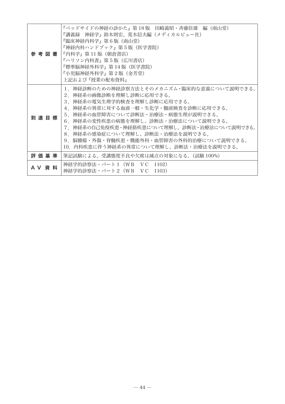|         | 『ベッドサイドの神経の診かた』第 18 版 田崎義昭・斉藤佳雄 編(南山堂)<br>『講義録 神経学』鈴木則宏、荒木信夫編(メディカルビュー社)<br>『臨床神経内科学』第6版(南山堂)<br>『神経内科ハンドブック』第5版(医学書院)<br>参 考 図 書   『内科学』第11 版 (朝倉書店)<br>『ハリソン内科書』第5版(広川書店)<br>『標準脳神経外科学』第 14 版(医学書院)<br>『小児脳神経外科学』第2版(金芳堂)<br>上記および『授業の配布資料』                                                                                                                                                  |
|---------|------------------------------------------------------------------------------------------------------------------------------------------------------------------------------------------------------------------------------------------------------------------------------------------------------------------------------------------------------------------------------------------------|
| 到 達 目 標 | 1. 神経診断のための神経診察方法とそのメカニズム・臨床的な意義について説明できる。<br>2.神経系の画像診断を理解し診断に応用できる。<br>3.神経系の電気生理学的検査を理解し診断に応用できる。<br>4.神経系の異常に対する血液一般・生化学・髄液検査を診断に応用できる。<br>5 神経系の血管障害について診断法・治療法・病態生理が説明できる。<br>6.神経系の変性疾患の病熊を理解し、診断法・治療法について説明できる。<br>7.神経系の自己免疫疾患・神経筋疾患について理解し、診断法・治療法について説明できる。<br>8.神経系の感染症について理解し、診断法・治療法を説明できる。<br>9.脳腫瘍・外傷・脊髄疾患・機能外科・血管障害の外科的治療について説明できる。<br>10.内科疾患に伴う神経系の異常について理解し、診断法・治療法を説明できる。 |
| 評 価 基 準 | 筆記試験による。受講熊度不良や欠席は減点の対象になる。(試験 100%)                                                                                                                                                                                                                                                                                                                                                           |
| AV 資 料  | 神経学的診察法・パート 1 (WB VC 1102)<br>神経学的診察法・パート2(WB VC 1103)                                                                                                                                                                                                                                                                                                                                         |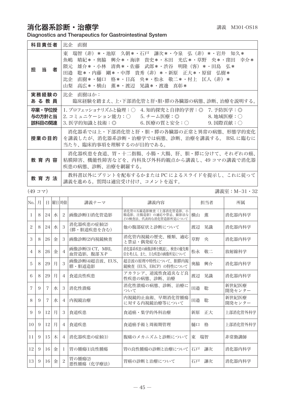## 消化器系診断·治療学 みんちょう まんじゅう まいきょう きょうきょう 講義 M301-OS18

Diagnostics and Therapeutics for Gastrointestinal System

| 科目責任者                      | 比企 直樹                                                                                                                                                                                                                                                                         |
|----------------------------|-------------------------------------------------------------------------------------------------------------------------------------------------------------------------------------------------------------------------------------------------------------------------------|
| 当<br>担<br>者                | 瑞智(非)*・池原 久朝*・石戸 謙次*・今泉 弘(非)*・岩井 知久*<br>東<br>- 興介*・海津 貴史*・木田 光広*・草野 央*・窪田 幸介*<br>魚嶋<br>晴紀*・奥脇<br>雄介*・小林 清典*・佐藤<br>- 武郎*・渋谷 明隆(客)*・田島 弘*<br>隈元<br>田邉<br> 剛*・中澤  貴秀(非)*・新原  正大*・原留 <br>聡*・内藤<br>弘樹*<br> 直樹*・樋口 格*・日高 央*・松永 敬二*・村上 匡人(非)*<br>比企<br>高広*・横山 薫*・渡辺 晃識*・渡邊 真彰*<br>山梨 |
| 実務経験の<br>あ る 教 員           | 比企 直樹ほか:<br>臨床経験を踏まえ、上・下部消化管と肝・胆・膵の各臓器の病態、 診断、 治療を説明する。                                                                                                                                                                                                                       |
| 卒業・学位授<br>与の方針と当<br>該科目の関連 | 1.プロフェッショナリズムと倫理:○ 4.知的探究と自律的学習:◎ 7.予防医学:◎<br>2. コミュニケーション能力:○  5. チーム医療:◎      8. 地域医療:○<br>3. 医学的知識と技術:◎     6. 医療の質と安全:○    9. 国際貢献:○                                                                                                                                      |
| 授業の目的                      | 消化器系では上・下部消化管と肝・胆・膵の各臓器の正常と異常の病熊、形熊学的変化<br>を講義したが、消化器系診断・治療学では病熊、診断、治療を講義する。 BSL に臨むに<br>当たり、臨床的事項を理解するのが目的である。                                                                                                                                                               |
| 教 育 内 容                    | 消化器疾患を食道、胃・十二指腸、小腸・大腸、肝、胆・膵に分けて、それぞれの癌、<br>粘膜障害、機能性障害などを、内科及び外科的観点から講義し、49 コマの講義で消化器<br>疾患の病態、診断、治療を網羅する。                                                                                                                                                                     |
| 教 育 方 法                    | 教科書以外にプリントを配布するかまたは PC によるスライドを提示し、これに従って<br>講義を進める。質問は適宜受け付け、コメントを返す。                                                                                                                                                                                                        |

(49 コマ) 講義室:M−31・32

| No.             | 月 | Ħ.             | 曜日  時限 |                | 講義テーマ                           | 講義内容                                                                  | 担当者      | 所属              |
|-----------------|---|----------------|--------|----------------|---------------------------------|-----------------------------------------------------------------------|----------|-----------------|
|                 | 8 | 24             | 水      | 2              | 画像診断(1)消化管造影                    | 消化管のX線造影検査(上部消化管造影、小<br>腸造影、注腸造影)の適応や禁忌、撮影法な<br>どの検査法、代表的な消化管造影所見について | 横山<br>董  | 消化器内科学          |
| $\overline{c}$  | 8 | 24             | 水      | 3              | 消化器疾患の症候(2)<br>(膵・胆道疾患を含む)      | 他の腹部症状と診断について                                                         | 晃識<br>渡辺 | 消化器内科学          |
| 3               | 8 | 26             | 金      | 3              | 画像診断(2)内視鏡検査                    | 消化管内視鏡の歴史、種類、適応<br>と禁忌・偶発症など                                          | 草野<br>央  | 消化器内科学          |
| 4               | 8 | 26             | 金      | $\overline{4}$ | 画像診断(3) CT,MRI,<br>血管造影, 腹部 X-P | 消化器系疾患の画像診断を概説し、検査の優先順<br>位を考える。また、主な疾患の画像所見について                      | 敬二<br>松永 | 放射線科学           |
| 5               | 8 | 29             | 月      | 3              | 画像診断(4)超音波、EUS、<br>膵·胆道造影       | 超音波の原理や特性について、胆膵内視<br>鏡検査 (EUS、ERCP) の特性について                          | 奥脇<br>興介 | 消化器内科学          |
| 6               | 8 | 29             | 月      | $\overline{4}$ | 食道良性疾患                          | アカラシア、逆流性食道炎など良<br>性疾患の病熊、診断、治療                                       | 晃識<br>渡辺 | 消化器内科学          |
| 7               | 9 | $\overline{7}$ | 水      | 3              | 消化性滑瘍                           | 消化性潰瘍の病熊、診断、治療に<br>ついて                                                | 田邉<br>聡  | 新世紀医療<br>開発センター |
| 8               | 9 | 7              | 水      | $\overline{4}$ | 内視鏡治療                           | 内視鏡的止血術、早期消化管腫瘍<br>に対する内視鏡治療等について                                     | 聡<br>田邉  | 新世紀医療<br>開発センター |
| 9               | 9 | 12             | 月      | 3              | 食道疾患                            | 食道癌・集学的外科治療                                                           | 正大<br>新原 | 上部消化管外科学        |
| 10 <sup>2</sup> | 9 | 12             | 月      | $\overline{4}$ | 食道疾患                            | 食道癌手術と周術期管理                                                           | 桶口<br>格  | 上部消化管外科学        |
| 11              | 9 | 15             | 木      | $\overline{4}$ | 消化器疾患の症候(1)                     | 腹痛のメカニズムと診断について                                                       | 瑞智<br>東  | 非常勤講師           |
| 12              | 9 | 16             | 金      | Τ.             | 胃の腫瘍(1)良性腫瘍                     | 胃の良性腫瘍の診断と治療について                                                      | 謙次<br>石戸 | 消化器内科学          |
| 13              | 9 | 16             | 金      | 2              | 胃の腫瘍(2)<br>悪性腫瘍 (化学療法)          | 胃癌の診断と治療について                                                          | 石戸<br>謙次 | 消化器内科学          |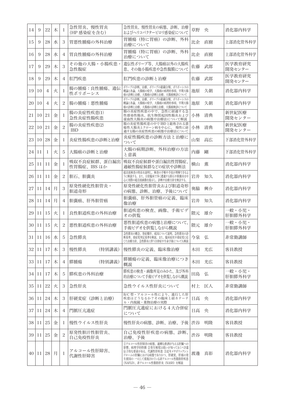| 14 | 9  | 22             | 木 | 1              | 急性胃炎、慢性胃炎<br>(HP 感染症を含む)    | 急性胃炎、慢性胃炎の病熊、診断、治療<br>およびヘリコバクターピロリ感染症について                                                                                                                                                   | 草野 | 央  | 消化器内科学           |
|----|----|----------------|---|----------------|-----------------------------|----------------------------------------------------------------------------------------------------------------------------------------------------------------------------------------------|----|----|------------------|
| 15 | 9  | 28             | 水 | 3              | 胃悪性腫瘍の外科治療                  | 胃腫瘍(特に胃癌)の診断、外科<br>治療について                                                                                                                                                                    | 比企 | 直樹 | 上部消化管外科学         |
| 16 | 9  | 28             | 水 | 4              | 胃良性腫瘍の外科治療                  | 胃腫瘍(特に胃癌)の診断、外科<br>治療について                                                                                                                                                                    | 比企 | 直樹 | 上部消化管外科学         |
| 17 | 9  | 29             | 木 | 3              | その他の大腸・小腸疾患・<br>急性腹症        | 遺伝性ポリープ等、大腸癌以外の大腸疾<br>患、その他小腸疾患や急性腹膜について                                                                                                                                                     | 佐藤 | 武郎 | 医学教育研究<br>開発センター |
| 18 | 9  | 29             | 木 | 4              | 肛門疾患                        | 肛門疾患の診断と治療                                                                                                                                                                                   | 佐藤 | 武郎 | 医学教育研究<br>開発センター |
| 19 | 10 | $\overline{4}$ | 火 | 1              | 腸の腫瘍:良性腫瘍、遺伝<br>性ポリポーシス     | ポリープの診断、治療、ポリープの組織分類、ポリポーシスの<br>概論と各論、大腸癌の疫学、大腸癌の病理的事項、早期大腸<br>癌の診断と治療、大腸癌の診断と治療、大腸癌検診について                                                                                                   | 池原 | 久朝 | 消化器内科学           |
| 20 | 10 | $\overline{4}$ | 火 | 2              | 腸の腫瘍:悪性腫瘍                   | ポリープの診断、治療、ポリープの組織分類、ポリポーシスの<br>概論と各論、大腸癌の疫学、大腸癌の病理的事項、早期大腸<br>癌の診断と治療、大腸癌の診断と治療、大腸癌検診について                                                                                                   | 池原 | 久朝 | 消化器内科学           |
| 21 | 10 | 21             | 金 | 1              | 腸の炎症性疾患(1)<br>急性炎症性腸疾患      | 腸の炎症性疾患の中で、急性に経過する急<br>性感染性腸炎、抗生物質起因性腸炎および<br>虚血性大腸炎の病態や治療法について解説                                                                                                                            | 小林 | 清典 | 新世紀医療<br>開発センター  |
| 22 | 10 | 21             | 金 | $\overline{c}$ | 腸の炎症性疾患(2)<br><b>IBD</b>    | 腸の炎症性腸疾患の中で IBD と総称される潰<br>瘍性大腸炎とクローン病を中心に、<br>慢性に経<br>過する腸の炎症性疾患の病態や治療法について                                                                                                                 | 小林 | 清典 | 新世紀医療<br>開発センター  |
| 23 | 10 | 28             | 金 | 1              | 炎症性腸疾患の診断と治療                | 炎症性腸疾患の診断方法と治療に<br>ついて                                                                                                                                                                       | 山梨 | 高広 | 下部消化管外科学         |
| 24 | 11 | 1              | 火 | 5              | 大腸癌の診断と治療                   | 大腸の病期診断、外科治療の方法<br>と意義                                                                                                                                                                       | 内藤 | 剛  | 下部消化管外科学         |
| 25 | 11 | 11             | 金 | 1              | 吸収不良症候群、蛋白漏出<br>性胃腸症、IBS ほか | 吸収不良症候群や蛋白漏出性胃腸症、<br>過敏性腸症候群などの症状や診断法                                                                                                                                                        | 横山 | 薫  | 消化器内科学           |
| 26 | 11 | 11             | 金 | $\overline{c}$ | 胆石、胆囊炎                      | 超音波検査の特長を説明し、検査の手順や手技が理解できるよ<br>うに解説する。また、日常臨床で多く遭遇する胆石や胆嚢炎を中<br>心に実際の超音波画像を提示し、診断や治療方針を検討する。                                                                                                | 岩井 | 知久 | 消化器内科学           |
| 27 | 11 | 14             | 月 | 3              | 原発性硬化性胆管炎・<br>胆道奇形          | 原発性硬化性胆管炎および胆道奇形<br>の病態、診断、治療、予後について                                                                                                                                                         | 奥脇 | 興介 | 消化器内科学           |
| 28 | 11 | 14             | 月 | $\overline{4}$ | 胆囊癌、肝外胆管癌                   | 胆嚢癌、肝外胆管癌の定義、臨床<br>像治療                                                                                                                                                                       | 岩井 | 知久 | 消化器内科学           |
| 29 | 11 | 15             | 火 | 1              | 良性胆道疾患の外科治療                 | 胆道疾患の検査、画像、手術ビデ<br>オの供覧                                                                                                                                                                      | 隈元 | 雄介 | 一般・小児・<br>肝胆膵外科学 |
| 30 | 11 | 15             | 火 | 2              | 悪性胆道疾患の外科治療                 | 悪性胆道疾患の病態と治療について、<br>手術ビデオを供覧しながら概説                                                                                                                                                          | 隈元 | 雄介 | -般・小児・<br>肝胆膵外科学 |
| 31 | 11 | 16             | 水 | 5              | 急性膵炎                        | 急性膵炎の概念、発症機序、成因について説明。急性膵炎の診<br>断基準、重症度判定基準を解説、また、臨床症状や重症度に応<br>じた治療方針、急性膵炎に伴う合併症や生命予後についても解説                                                                                                | 今泉 | 弘  | 非常勤講師            |
| 32 | 11 | 17             | 木 | 3              | 慢性膵炎<br>(特別講義)              | 慢性膵炎の定義、臨床像治療                                                                                                                                                                                | 木田 | 光広 | 客員教授             |
| 33 | 11 | 17             | 木 | 4              | 膵腫瘍<br>(特別講義)               | 膵腫瘍の定義、臨床像治療につき<br>概説                                                                                                                                                                        | 木田 | 光広 | 客員教授             |
| 34 | 11 | 17             | 木 | 5              | 膵疾患の外科治療                    | 膵疾患の検査・画像所見のみかた、及び外科<br>的治療について手術ビデオを供覧しながら概説                                                                                                                                                | 田島 | 弘  | 一般・小児・<br>肝胆膵外科学 |
| 35 | 11 | 22             | 火 | 3              | 急性肝炎                        | 急性ウイルス性肝炎について                                                                                                                                                                                | 村上 | 匡人 | 非常勤講師            |
| 36 | 11 | 24             | 木 | 3              | 肝硬変症 (診断と治療)                | B/C型·アルコール性により、進行した肝<br>疾患はどうなるか?その臨床と経カテーテ<br>ル・内視鏡・薬物治療の実際                                                                                                                                 | 日高 | 央  | 消化器内科学           |
| 37 | 11 | 24             | 木 | 4              | 門脈圧亢進症                      | 門脈圧亢進症における4大合併症<br>について                                                                                                                                                                      | 日高 | 央  | 消化器内科学           |
| 38 | 11 | 25             | 金 | 1              | 慢性ウイルス性肝炎                   | 慢性肝炎の病態、診断、治療、予後                                                                                                                                                                             | 渋谷 | 明隆 | 客員教授             |
| 39 | 11 | 25             | 金 | $\overline{c}$ | 原発性胆汁性胆管炎、<br>自己免疫性肝炎       | 自己免疫性肝疾患の病態、診断、<br>治療、予後                                                                                                                                                                     | 渋谷 | 明隆 | 客員教授             |
| 40 | 11 | 28             | 月 | 1              | アルコール性肝障害、<br>代謝性肝障害        | 1)アルコール性肝障害の病態、過剰な飲酒が与える肝臓への<br>影響、病理学的特徴 2発生頻度は低いが知っておくべき遺<br>伝子的な要素がある、代謝性肝疾患 ③近年メタボリックシン<br>ドロームの肝臓における病態でありかつ、肝硬変、肝癌の発<br>生要因の一つとして重視されている非アルコール性脂肪肝疾患<br>(NAFLD)、非アルコール性脂肪肝炎 (NASH) を解説 | 渡邊 | 真彰 | 消化器内科学           |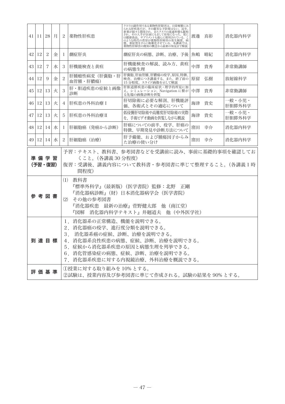|                 | 41 11 28                                                                     |                    | 月 | 2  | 薬物性肝疾患                                                                        | クスリの副作用である薬物性肝障害は、日常頻繁にみられる肝疾患だが、逆年、<br>られる肝疾患だが、その確実な予防覚はない。近年、<br>新薬が続々と開発され、またクスリの流通形態も緩和<br>され、その入手が以前にもまして容易になった。更に<br>これ、このパイルが、いたいというのは、パイルで、スペイルは、このような時代の背景が薬物性肝障害の発生頻度、病のような時代の背景が薬物性肝障害の発生頻度、病態では、<br>病<br>薬物性肝障害の既知の概念から最新の知見まで解説 |    | 渡邊 直彰 | 消化器内科学           |
|-----------------|------------------------------------------------------------------------------|--------------------|---|----|-------------------------------------------------------------------------------|-----------------------------------------------------------------------------------------------------------------------------------------------------------------------------------------------------------------------------------------------|----|-------|------------------|
| 42              | 12                                                                           | 2                  | 金 | 1  | 劇症肝炎                                                                          | 劇症肝炎の病態、診断、治療、予後                                                                                                                                                                                                                              | 魚嶋 | 晴紀    | 消化器内科学           |
|                 | 43   12                                                                      | 7                  | 水 | 3  | 肝機能検査と黄疸                                                                      | 肝機能検査の解説、読み方、黄疸<br>の病熊生理                                                                                                                                                                                                                      | 中澤 | 貴秀    | 非常勤講師            |
| 44              | 12                                                                           | 9                  | 金 | 2  | 肝腫瘤性病変(肝嚢胞・肝<br>血管腫・肝膿瘍)                                                      | 肝嚢胞、肝血管腫、肝膿瘍の疫学、原因、特徴、<br>検査、治療につき講義する。また、終了前の<br>15 分程度、スライド画像を示して解説                                                                                                                                                                         | 原留 | 弘樹    | 放射線科学            |
| 45 <sup>1</sup> | 12                                                                           | 13                 | 火 | 3  | 肝・胆道疾患の症候と画像<br>診断                                                            | 肝胆道膵疾患の臨床症状·理学的所見に加<br>え、シミュレーション、Navigation に繋が<br>る先端の画像診断を供覧                                                                                                                                                                               | 中澤 | 一昔秀   | 非常勤講師            |
|                 | 46   12                                                                      | 13                 | 火 | 4  | 肝疾患の外科治療 I                                                                    | 肝切除術に必要な解剖、肝機能評<br>価、各術式とその適応について                                                                                                                                                                                                             |    | 海津 貴史 | 一般・小児・<br>肝胆膵外科学 |
| 47 I            | 12                                                                           | 13                 | 火 | 5. | 肝疾患の外科治療Ⅱ                                                                     | 低侵襲肝切除術や高難度肝切除術の実際<br>を、手術ビデオ動画を供覧しながら概説                                                                                                                                                                                                      |    | 海津 貴史 | 一般・小児・<br>肝胆膵外科学 |
|                 | 48   12                                                                      | 14                 | 水 | 1  | 肝細胞癌(発癌から診断)                                                                  | 肝癌についての前半、疫学、肝癌の<br>特徴、早期発見や診断方法について                                                                                                                                                                                                          |    | 窪田 幸介 | 消化器内科学           |
|                 | 49 12                                                                        | 14                 | 水 | 2  | 肝細胞癌(治療)                                                                      | 肝予備能、および腫瘍因子からみ<br>た治療の使い分け                                                                                                                                                                                                                   | 窪田 | 幸介    | 消化器内科学           |
|                 |                                                                              | 準 備 学 習<br>(予習・復習) |   |    | くこと。(各講義 30 分程度)<br>間程度)                                                      | 予習:テキスト、教科書、参考図書などを受講前に読み、事前に基礎的事項を確認してお<br>復習:受講後、講義内容について教科書・参考図書に準じて整理すること。(各講義1時                                                                                                                                                          |    |       |                  |
|                 |                                                                              | 参 考 図 書            |   |    | (1) 教科書<br>(2) その他の参考図書                                                       | 『標準外科学』(最新版)(医学書院)監修:北野 正剛<br>『消化器病診断』(財)日本消化器病学会(医学書院)<br>『消化器疾患 最新の治療』菅野健太郎 他(南江堂)<br>『図解 消化器内科学テキスト』井廻道夫 他(中外医学社)                                                                                                                          |    |       |                  |
|                 |                                                                              | 到達目標               |   |    | 1. 消化器系の正常構造、機能を説明できる。<br>2. 消化器癌の疫学、進行度分類を説明できる。<br>3. 消化器系癌の症候、診断、治療を説明できる。 | 4.消化器系良性疾患の病態、症候、診断、治療を説明できる。<br>5. 症候から消化器系疾患の原因と病態生理を列挙できる。<br>6. 消化管感染症の病態、症候、診断、治療を説明できる。<br>7. 消化器系疾患に対する内視鏡治療、外科治療を概説できる。                                                                                                               |    |       |                  |
|                 | (1)授業に対する取り組みを 10% とする。<br>評 価 基 準<br>②試験は、授業内容及び参考図書に準じて作成される。試験の結果を90%とする。 |                    |   |    |                                                                               |                                                                                                                                                                                                                                               |    |       |                  |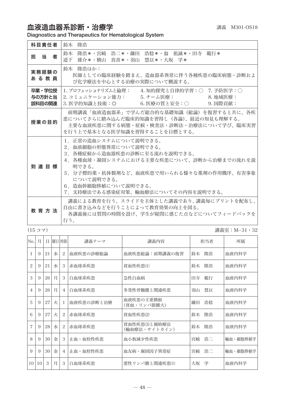## 血液造血器系診断·治療学 みんじょう まんじゅう きょうきょう 講義 M301-OS18

Diagnostics and Therapeutics for Hematological System

| 科目責任者                      | 鈴木 降浩                                                                                                                                                                                                                                                       |
|----------------------------|-------------------------------------------------------------------------------------------------------------------------------------------------------------------------------------------------------------------------------------------------------------|
| 担当<br>者                    | 鈴木 隆浩*・宮﨑 浩二*・鎌田 浩稔*・翁 祖誠*・田寺 範行*<br>道下 雄介*・横山 真喜*・羽山 慧以*・大坂 学*                                                                                                                                                                                             |
| 実務経験の<br>あ る 教 員           | 鈴木 降浩ほか:<br>医師としての臨床経験を踏まえ、造血器系異常に伴う各種疾患の臨床病熊・診断およ<br>び化学療法を中心とする治療の実際について概説する。                                                                                                                                                                             |
| 卒業・学位授<br>与の方針と当<br>該科目の関連 | 1.プロフェッショナリズムと倫理:  4.知的探究と自律的学習:○ 7.予防医学:○<br>3. 医学的知識と技術:◎     6. 医療の質と安全:○    9. 国際貢献:                                                                                                                                                                    |
| 授業の目的                      | 前期講義「血液造血器系」で学んだ総合的な基礎知識(総論)を復習すると共に、各疾<br>患についてさらに踏み込んだ臨床的知識を習得し(各論)、最近の知見も理解する。<br>主要な血液疾患に関する病熊・症候・検査法・診断法・治療法について学び、臨床実習<br>を行う上で基本となる医学知識を習得することを目標とする。                                                                                                |
| 到 達 目 標                    | 1.正常の造血システムについて説明できる。<br>2 血液細胞の形態異常について説明できる。<br>3.各種症候から造血器疾患の診断に至る流れを説明できる。<br>4.各種血球・凝固システムにおける主要な疾患について、診断から治療までの流れを説<br>明できる。<br>5.分子標的薬・抗体製剤など、血液疾患で用いられる様々な薬剤の作用機序、有害事象<br>について説明できる。<br>6. 造血幹細胞移植について説明できる。<br>7.支持療法である感染症対策、輸血療法についてその内容を説明できる。 |
| <b>教 音 方 法</b>             | 講義による教育を行う。スライドを主体とした講義であり、講義毎にプリントを配布し、<br>自由に書き込みなどを行うことによって教育効果の向上を図る。<br>各講義後には質問の時間を設け、学生が疑問に感じた点などについてフィードバックを<br>行う。                                                                                                                                 |

(15 コマ) 講義室:M−31・32

| No.                      | 月  | Ħ  |   | 曜日 時限          | 講義テーマ      | 講義内容                           | 担当者      | 所属       |
|--------------------------|----|----|---|----------------|------------|--------------------------------|----------|----------|
|                          | 9  | 21 | 水 | 2              | 血液疾患の診療総論  | 血液疾患総論:前期講義の復習                 | 隆浩<br>鈴木 | 血液内科学    |
| $\overline{\mathcal{L}}$ | 9  | 21 | 水 | 3              | 赤血球系疾患     | 貧血性疾患(1)                       | 隆浩<br>鈴木 | 血液内科学    |
| 3                        | 9  | 26 | 月 | 3              | 白血球系疾患     | 急性白血病                          | 田寺<br>範行 | 血液内科学    |
| 4                        | 9  | 26 | 月 | $\overline{4}$ | 白血球系疾患     | 多発性骨髄腫と関連疾患                    | 慧以<br>羽山 | 血液内科学    |
| 5                        | 9  | 27 | 火 | 1              | 血液疾患の診断と治療 | 血液疾患の主要徴候<br>(貧血・リンパ節腫大)       | 浩稔<br>鎌田 | 血液内科学    |
| 6                        | 9  | 27 | 火 | $\overline{c}$ | 赤血球系疾患     | 貧血性疾患(2)                       | 隆浩<br>鈴木 | 血液内科学    |
| $\overline{7}$           | 9  | 28 | 水 | 2              | 赤血球系疾患     | 貧血性疾患(3)と補助療法<br>(輸血療法・サイトカイン) | 隆浩<br>鈴木 | 血液内科学    |
| 8                        | 9  | 30 | 金 | 3              | 止血・血栓性疾患   | 血小板減少性疾患                       | 宮崎 浩二    | 輸血・細胞移植学 |
| 9                        | 9  | 30 | 金 | $\overline{4}$ | 止血・血栓性疾患   | 血友病・凝固因子異常症                    | 宮崎<br>浩二 | 輸血・細胞移植学 |
| 10 <sup>1</sup>          | 10 | 3  | 月 | 3              | 白血球系疾患     | 悪性リンパ腫と関連疾患(1)                 | 学<br>大坂  | 血液内科学    |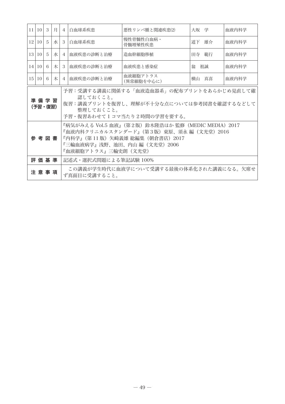|                                                                                                                                                                   | 11 10 3                                                                                                                                                                                        |   | 月 | $\overline{4}$ | 白血球系疾患                | 悪性リンパ腫と関連疾患(2)         | 大坂 学     | 血液内科学 |
|-------------------------------------------------------------------------------------------------------------------------------------------------------------------|------------------------------------------------------------------------------------------------------------------------------------------------------------------------------------------------|---|---|----------------|-----------------------|------------------------|----------|-------|
| 12 <sup>1</sup>                                                                                                                                                   | $10 \mid 5$                                                                                                                                                                                    |   | 水 | 3              | 白血球系疾患                | 慢性骨髄性白血病・<br>骨髓增殖性疾患   | 道下<br>雄介 | 血液内科学 |
| 13 <sup>1</sup>                                                                                                                                                   | 10 <sup>1</sup>                                                                                                                                                                                | 5 | 水 | $\overline{4}$ | 血液疾患の診断と治療            | 造血幹細胞移植                | 田寺<br>範行 | 血液内科学 |
|                                                                                                                                                                   | 14 10                                                                                                                                                                                          | 6 | 木 | 3              | 血液疾患の診断と治療            | 血液疾患と感染症               | 翁<br>祖誠  | 血液内科学 |
| 15 <sup>1</sup>                                                                                                                                                   | 10 <sup>1</sup>                                                                                                                                                                                | 6 | 木 | $\overline{4}$ | 血液疾患の診断と治療            | 血液細胞アトラス<br>(異常細胞を中心に) | 横山 真喜    | 血液内科学 |
| 予習:受講する講義に関係する「血液造血器系」の配布プリントをあらかじめ見直して確<br>認しておくこと。<br>準 備 学 習<br>復習:講義プリントを復習し、理解が不十分な点については参考図書を確認するなどして<br>(予習・復習)<br>整理しておくこと。<br>予習・復習あわせてlコマ当たり2時間の学習を要する。 |                                                                                                                                                                                                |   |   |                |                       |                        |          |       |
|                                                                                                                                                                   | 『病気がみえる Vol.5 血液』(第2版)鈴木隆浩ほか 監修(MEDIC MEDIA)2017<br>『血液内科クリニカルスタンダード』(第3版)東原、須永 編(文光堂)2016<br>参 考 図 書<br>『内科学』(第 11 版)矢崎義雄 総編集(朝倉書店)2017<br>『三輪血液病学』浅野、池田、内山 編(文光堂)2006<br>『血液細胞アトラス』三輪史朗(文光堂) |   |   |                |                       |                        |          |       |
|                                                                                                                                                                   | 評 価 基 準                                                                                                                                                                                        |   |   |                | 記述式・選択式問題による筆記試験 100% |                        |          |       |
| この講義が学生時代に血液学について受講する最後の体系化された講義になる。欠席せ<br>注 意 事 項<br>ず真面目に受講すること。                                                                                                |                                                                                                                                                                                                |   |   |                |                       |                        |          |       |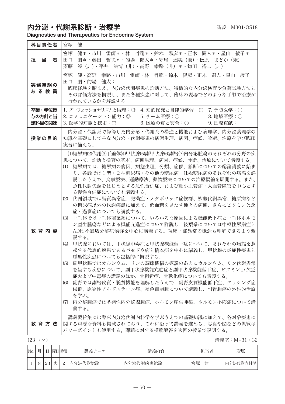$\overline{\phantom{a}}$ 

# 内分泌·代謝系診断·治療学 みんじょう まんのう まき M301-OS18

Ŧ

Diagnostics and Therapeutics for Endocrine System

| 科目責任者                      | 宮塚<br>健                                                                                                                                                                                                                                                                                                                                                                                                                                                                                                                                                                                                                                                                                                                                                                                                                                                                                                                                                         |
|----------------------------|-----------------------------------------------------------------------------------------------------------------------------------------------------------------------------------------------------------------------------------------------------------------------------------------------------------------------------------------------------------------------------------------------------------------------------------------------------------------------------------------------------------------------------------------------------------------------------------------------------------------------------------------------------------------------------------------------------------------------------------------------------------------------------------------------------------------------------------------------------------------------------------------------------------------------------------------------------------------|
| 担当<br>者                    | 健*・市川 雷師*・林 哲範*・鈴木 陽彦*・正木 嗣人*・星山 綾子*<br>宮塚<br>朋*・藤田 哲夫*・的場 健太*・守屋 達美 (兼)・松原 まどか (兼)<br>田口<br>淳(非)・平井 法博(非)・高野 幸路(非)*・鎌田 裕二(非)<br>齋藤                                                                                                                                                                                                                                                                                                                                                                                                                                                                                                                                                                                                                                                                                                                                                                                                                             |
| 実務経験の<br>あ る 教 員           | 健・高野 幸路・市川 雷師・林 哲範・鈴木 陽彦・正木 嗣人・星山 綾子<br>宮塚<br>朋・的場 健太:<br>田口<br>臨床経験を踏まえ、内分泌代謝疾患の診断方法、特徴的な内分泌検査や負荷試験方法と<br>その評価方法を概説し、また各種疾患に対して、臨床の現場でどのような手順で治療が<br>行われているかを解説する                                                                                                                                                                                                                                                                                                                                                                                                                                                                                                                                                                                                                                                                                                                                                                                              |
| 卒業・学位授<br>与の方針と当<br>該科目の関連 | 1. プロフェッショナリズムと倫理:◎ 4. 知的探究と自律的学習:◎ 7. 予防医学:○<br>2. コミュニケーション能力:◎  5. チーム医療:○<br>8. 地域医療: 〇<br>6. 医療の質と安全:○<br>3. 医学的知識と技術: ◎<br>9. 国際貢献:                                                                                                                                                                                                                                                                                                                                                                                                                                                                                                                                                                                                                                                                                                                                                                                                                       |
| 授業の目的                      | 内分泌・代謝系で修得した内分泌・代謝系の構造と機能および病理学、内分泌薬理学の<br>知識を基礎にして主な内分泌・代謝疾患の病熊生理、病因、症候、診断、治療を学び臨床<br>実習に備える。                                                                                                                                                                                                                                                                                                                                                                                                                                                                                                                                                                                                                                                                                                                                                                                                                                                                  |
| 教育内容                       | (1)糖尿病(2)代謝(3)下垂体(4)甲状腺(5)副甲状腺(6)副腎(7)内分泌腫瘍のそれぞれの分野の疾<br>患について、診断と検査の基本、病態生理、病因、症候、診断、治療について講義する。<br>(1) 糖尿病では、糖尿病の病因、病態生理、分類、症候、診断についての総論講義に始ま<br>り、各論では1型・2型糖尿病・その他の糖尿病・妊娠糖尿病のそれぞれの病態を詳<br>説したうえで、食事療法、運動療法、薬物療法についての治療概論を展開する。また、<br>急性代謝失調をはじめとする急性合併症、および細小血管症・大血管障害を中心とす<br>る慢性合併症についても講義する。<br>(2) 代謝領域では脂質異常症、肥満症・メタボリック症候群、核酸代謝異常、糖原病など<br>の糖尿病以外の代謝疾患に加えて、低血糖をきたす種々の病態、さらにビタミン欠乏<br>症・過剰症についても講義する。<br>下垂体では下垂体前葉系について、いろいろな原因による機能低下症と下垂体ホルモ<br>(3)<br>ン産生腫瘍などによる機能亢進症について詳説し、後葉系については中枢性尿崩症と<br>ADH 不適切分泌症候群を中心に講義する。視床下部異常の概念も理解できるよう概<br>説する。<br>(4) 甲状腺においては、甲状腺中毒症と甲状腺機能低下症について、それぞれの病態を惹<br>起する代表的疾患であるバセドウ病と橋本病を中心に講義し、甲状腺の炎症性疾患と<br>腫瘍性疾患についても包括的に概説する。<br>(5) 副甲状腺ではカルシウム、リンの調節機構の概説のあとにカルシウム、リン代謝異常<br>を呈する疾患について、副甲状腺機能亢進症と副甲状腺機能低下症、ビタミン D 欠乏<br>症および中毒症の講義のほか、骨粗鬆症、骨軟化症についても講義する。<br>(6) 副腎では副腎皮質・髄質機能を理解したうえで、副腎皮質機能低下症、クッシング症<br>候群、原発性アルドステロン症、褐色細胞腫について講義し、副腎腫瘍の外科的治療<br>を学ぶ。<br>(7) 内分泌腫瘍では多発性内分泌腺腫症、ホルモン産生腫瘍、ホルモン不応症について講<br>義する。 |
| 教 育 方 法                    | 講義要旨集には臨床内分泌代謝内科学を学ぶうえでの基礎知識に加えて、各対象疾患に<br>関する重要な資料も掲載されており、これに沿って講義を進める。写真や図などの供覧は<br>パワーポイントも使用する。課題に対する模範解答を次回の授業で説明する。                                                                                                                                                                                                                                                                                                                                                                                                                                                                                                                                                                                                                                                                                                                                                                                                                                      |

(23 コマ) 講義室:M−31・32

| No. |           | 曜日 | 時限 | 講義テーマ   | 講義内容      | 担当者     | 所属       |
|-----|-----------|----|----|---------|-----------|---------|----------|
|     | 22<br>ن ک |    |    | 内分泌代謝総論 | 内分泌代謝疾患総論 | 健<br>宮塚 | 内分泌代謝内科学 |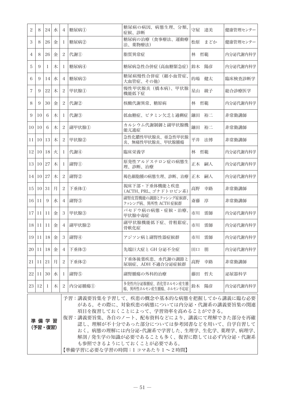| $\overline{2}$  | 8                                                                                                                                                                                                                                                                                                                                                                                | 24       | 水 | $\overline{4}$ | 糖尿病(I) | 糖尿病の病因、病態生理、分類、<br>症候、診断                      |      | 守屋 達美 | 健康管理センター |
|-----------------|----------------------------------------------------------------------------------------------------------------------------------------------------------------------------------------------------------------------------------------------------------------------------------------------------------------------------------------------------------------------------------|----------|---|----------------|--------|-----------------------------------------------|------|-------|----------|
| 3               | 8                                                                                                                                                                                                                                                                                                                                                                                | 26       | 金 | $\mathbf{I}$   | 糖尿病(2) | 糖尿病の治療(食事療法、運動療<br>法、薬物療法)                    | 松原   | まどか   | 健康管理センター |
| $\overline{4}$  | 8                                                                                                                                                                                                                                                                                                                                                                                | 26       | 金 | $\overline{c}$ | 代謝(I)  | 脂質異常症                                         | 林 哲範 |       | 内分泌代謝内科学 |
| 5               | 9                                                                                                                                                                                                                                                                                                                                                                                | 1        | 木 | 1              | 糖尿病4   | 糖尿病急性合併症(高血糖緊急症)                              |      | 鈴木 陽彦 | 内分泌代謝内科学 |
| 6               | 9                                                                                                                                                                                                                                                                                                                                                                                | 14       | 水 | 4              | 糖尿病(3) | 糖尿病慢性合併症(細小血管症、<br>大血管症、その他)                  | 的場   | 健太    | 臨床検査診断学  |
| $\overline{7}$  | 9                                                                                                                                                                                                                                                                                                                                                                                | 22       | 木 | $\overline{c}$ | 甲状腺①   | 慢性甲状腺炎 (橋本病)、甲状腺<br>機能低下症                     |      | 星山 綾子 | 総合診療医学   |
| 8               | 9                                                                                                                                                                                                                                                                                                                                                                                | 30       | 金 | 2              | 代謝(2)  | 核酸代謝異常、糖原病                                    | 林 哲範 |       | 内分泌代謝内科学 |
| 9               | 10                                                                                                                                                                                                                                                                                                                                                                               | 6        | 木 | 1              | 代謝(3)  | 低血糖症、ビタミン欠乏と過剰症                               |      | 鎌田 裕二 | 非常勤講師    |
| 10              | 10                                                                                                                                                                                                                                                                                                                                                                               | 6        | 木 | 2              | 副甲状腺①  | カルシウム代謝制御と副甲状腺機<br>能亢進症                       |      | 鎌田 裕二 | 非常勤講師    |
| 11              | 10 <sup>1</sup>                                                                                                                                                                                                                                                                                                                                                                  | 13       | 木 | 2              | 甲状腺②   | 急性化膿性甲状腺炎、亜急性甲状腺<br>炎、無痛性甲状腺炎、甲状腺腫瘍           |      | 平井 法博 | 非常勤講師    |
| 12              | 10 <sup>1</sup>                                                                                                                                                                                                                                                                                                                                                                  | 18       | 火 | 1              | 代謝4    | 臨床栄養学                                         | 林 哲範 |       | 内分泌代謝内科学 |
|                 | 13 10                                                                                                                                                                                                                                                                                                                                                                            | 27       | 木 | $\mathbf{I}$   | 副腎①    | 原発性アルドステロン症の病態生<br>理、診断、治療                    |      | 正木 嗣人 | 内分泌代謝内科学 |
| 4               | 10 <sup>1</sup>                                                                                                                                                                                                                                                                                                                                                                  | 27       | 木 | 2              | 副腎2    | 褐色細胞腫の病態生理、診断、治療                              |      | 正木 嗣人 | 内分泌代謝内科学 |
| 15 <sup>1</sup> |                                                                                                                                                                                                                                                                                                                                                                                  | 10 31    | 月 | 2              | 下垂体①   | 視床下部・下垂体機能と疾患<br>(ACTH、PRL、ゴナドトロピン系)          | 高野   | 幸路    | 非常勤講師    |
|                 | 16 11                                                                                                                                                                                                                                                                                                                                                                            | 9        | 水 | 4              | 副腎3    | 副腎皮質機能の調節とクッシング症候群、<br>クッシング病、異所性 ACTH 症候群    | 斎藤   | 淳     | 非常勤講師    |
| 17              | 11                                                                                                                                                                                                                                                                                                                                                                               | 11       | 金 | 3              | 甲状腺③   | バセドウ病の病熊・症候・治療、<br>甲状腺中毒症                     | 市川   | 雷師    | 内分泌代謝内科学 |
| 18              | $ 11\rangle$                                                                                                                                                                                                                                                                                                                                                                     | 11       | 金 | $\overline{4}$ | 副甲状腺②  | 副甲状腺機能低下症、骨粗鬆症、<br>骨軟化症                       | 市川   | 雷師    | 内分泌代謝内科学 |
| 19              | 11                                                                                                                                                                                                                                                                                                                                                                               | 18       | 金 | 3              | 副腎4    | アジソン病と副腎性器症候群                                 | 市川   | 雷師    | 内分泌代謝内科学 |
| 20              | 11                                                                                                                                                                                                                                                                                                                                                                               | 18       | 金 | $\overline{4}$ | 下垂体3   | 先端巨大症と GH 分泌不全症                               | 田口   | 朋     | 内分泌代謝内科学 |
| 21              | 11                                                                                                                                                                                                                                                                                                                                                                               | 21       | 月 | $\overline{c}$ | 下垂体2   | 下垂体後葉疾患、水代謝の調節と<br>尿崩症、ADH 不適合分泌症候群           | 高野   | 幸路    | 非常勤講師    |
|                 |                                                                                                                                                                                                                                                                                                                                                                                  | 22 11 30 | 水 | 1              | 副腎5    | 副腎腫瘍の外科的治療                                    |      | 藤田 哲夫 | 泌尿器科学    |
|                 | 23 12                                                                                                                                                                                                                                                                                                                                                                            | -1       | 木 | $\overline{2}$ | 内分泌腫瘍① | 多発性内分泌腺腫症、消化管ホルモン産生腫<br>瘍、異所性ホルモン産生腫瘍、ホルモン不応症 |      | 鈴木 陽彦 | 内分泌代謝内科学 |
|                 | 予習:講義要旨集を予習して、疾患の概念や基本的な病態を把握してから講義に臨む必要<br>がある。その際に、対象疾患の病態については内分泌・代謝系の講義要旨集の関連<br>項目を復習しておくことによって、学習効率を高めることができる。<br>復習:講義要旨集、各自のノート、配布資料などにより、講義にて理解できた部分を再確<br>準備学習<br>認し、理解が不十分であった部分については参考図書などを用いて、自学自習して<br>(予習・復習)<br>おく。病態の理解には内分泌・代謝系で学習した、生理学、生化学、薬理学、病理学、<br>解剖 / 発生学の知識が必要であることも多く、復習に際しては必ず内分泌・代謝系<br>も参照できるようにしておくことが必要である。<br>【準備学習に必要な学習の時間:1 コマあたり 1 ~ 2 時間】 |          |   |                |        |                                               |      |       |          |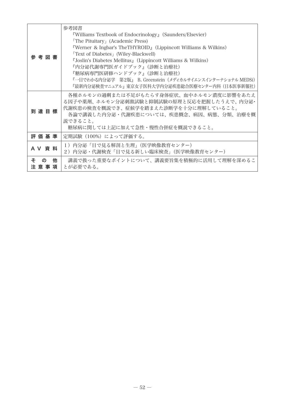| 参 考 図 書           | 参考図書<br>"Williams Textbook of Endocrinology』 (Saunders/Elsevier)<br><b>The Pituitary</b> (Academic Press)<br><b>"Werner &amp; Ingbar's TheTHYROID</b> $\parallel$ (Lippincott Williams & Wilkins)<br><b>Text of Diabetes</b> (Wiley-Blackwell)<br><b>"Joslin's Diabetes Mellitus, (Lippincott Williams &amp; Wilkins)</b><br>『内分泌代謝専門医ガイドブック』(診断と治療社)<br>『糖尿病専門医研修ハンドブック』(診断と治療社)<br>『一目でわかる内分泌学 第2版』 B. Greenstein(メディカルサイエンスインターナショナル MEDSi)<br>『最新内分泌検査マニュアル』 東京女子医科大学内分泌疾患総合医療センター内科 (日本医事新報社) |
|-------------------|----------------------------------------------------------------------------------------------------------------------------------------------------------------------------------------------------------------------------------------------------------------------------------------------------------------------------------------------------------------------------------------------------------------------------------------------------------------------------------------------------|
| 到達目標              | 各種ホルモンの過剰または不足がもたらす身体症状、血中ホルモン濃度に影響をあたえ<br>る因子や薬剤、ホルモン分泌刺激試験と抑制試験の原理と反応を把握したうえで、内分泌・<br>代謝疾患の検査を概説でき、症候学を踏まえた診断学を十分に理解していること。<br>各論で講義した内分泌・代謝疾患については、疾患概念、病因、病熊、分類、治療を概<br>説できること。<br>糖尿病に関しては上記に加えて急性・慢性合併症を概説できること。                                                                                                                                                                                                                                                                             |
| 評 価 基 準           | 定期試験(100%)によって評価する。                                                                                                                                                                                                                                                                                                                                                                                                                                                                                |
| A V 資料            | 1) 内分泌「目で見る解剖と生理」(医学映像教育センター)<br>2)内分泌・代謝検査「目で見る新しい臨床検査」(医学映像教育センター)                                                                                                                                                                                                                                                                                                                                                                                                                               |
| ÷<br>他<br>注 意 事 項 | 講義で扱った重要なポイントについて、講義要旨集を積極的に活用して理解を深めるこ<br>とが必要である。                                                                                                                                                                                                                                                                                                                                                                                                                                                |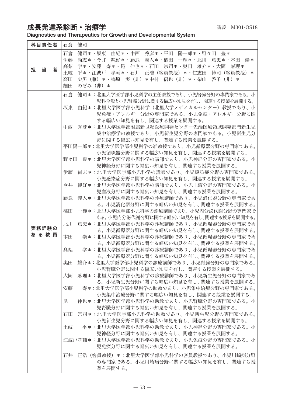## 成長発達系診断·治療学  $\vec{a}$

 $\overline{a}$ 

Diagnostics and Therapeutics for Growth and Developmental System

| 科目責任者       | 健司<br>石倉                                                                                                       |
|-------------|----------------------------------------------------------------------------------------------------------------|
|             | 健司*・坂東 由紀*・中西 秀彦*・平田 陽一郎*・野々田 豊*<br>石倉<br>伊藤<br>尚志*・今井 純好*・藤武 義人*・橘田 一輝*・北川 篤史*・本田 崇*                          |
| 当<br>担<br>者 | 学*・安藤 寿*・昆 伸也*・石田 宗司*・奥田 雄介*・大岡 麻理*<br>髙梨                                                                      |
|             | 平*・江波戸 孝輔*・石井 正浩(客員教授)*・仁志田 博司(客員教授)*<br>土岐<br>史男(兼)*・梅原 実(非)*中村 信也(非)*・柴山 啓子(非)*<br>高田                        |
|             | 細田<br>のぞみ(非)*                                                                                                  |
|             | 健司*:北里大学医学部小児科学の主任教授であり、小児腎臓分野の専門家である。小<br>石倉                                                                  |
|             | 児科全般と小児腎臓分野に関する幅広い知見を有し、関連する授業を展開する。                                                                           |
|             | 由紀*:北里大学医学部小児科学(北里大学メディカルセンター)教授であり、小<br>坂東<br>児免疫・アレルギー分野の専門家である。小児免疫・アレルギー分野に関<br>する幅広い知見を有し、関連する授業を展開する。    |
|             | 秀彦*:北里大学医学部附属新世紀医療開発センター先端医療領域開発部門新生児<br>中西<br>集中治療学の教授であり、小児新生児分野の専門家である。小児新生児分<br>野に関する幅広い知見を有し、関連する授業を展開する。 |
|             | 平田陽一郎 *:北里大学医学部小児科学の准教授であり、小児循環器分野の専門家である。                                                                     |
|             | 小児循環器分野に関する幅広い知見を有し、関連する授業を展開する。                                                                               |
|             | 野々田 豊*:北里大学医学部小児科学の講師であり、小児神経分野の専門家である。小<br>児神経分野に関する幅広い知見を有し、関連する授業を展開する。                                     |
|             | 尚志*:北里大学医学部小児科学の講師であり、小児感染症分野の専門家である。<br>伊藤                                                                    |
|             | 小児感染症分野に関する幅広い知見を有し、関連する授業を展開する。<br>今井                                                                         |
|             | 純好*:北里大学医学部小児科学の講師であり、小児血液分野の専門家である。小<br>児血液分野に関する幅広い知見を有し、関連する授業を展開する。                                        |
|             | 義人*:北里大学医学部小児科学の診療講師であり、小児消化器分野の専門家であ<br>藤武                                                                    |
|             | る。小児消化器分野に関する幅広い知見を有し、関連する授業を展開する。                                                                             |
|             | 一輝*:北里大学医学部小児科学の診療講師であり、小児内分泌代謝分野の専門家で<br>橘田                                                                   |
|             | ある。小児内分泌代謝分野に関する幅広い知見を有し、関連する授業を展開する。                                                                          |
| 実務経験の       | 北川<br>篤史*:北里大学医学部小児科学の診療講師であり、小児循環器分野の専門家であ<br>る。小児循環器分野に関する幅広い知見を有し、関連する授業を展開する。                              |
| あ る 教 員     | 本田<br>崇*:北里大学医学部小児科学の診療講師であり、小児循環器分野の専門家であ                                                                     |
|             | る。小児循環器分野に関する幅広い知見を有し、関連する授業を展開する。                                                                             |
|             | 学*:北里大学医学部小児科学の診療講師であり、小児循環器分野の専門家であ<br>髙梨                                                                     |
|             | る。小児循環器分野に関する幅広い知見を有し、関連する授業を展開する。                                                                             |
|             | 雄介*:北里大学医学部小児科学の診療講師であり、小児腎臓分野の専門家である。<br>奥田                                                                   |
|             | 小児腎臓分野に関する幅広い知見を有し、関連する授業を展開する。<br>大岡<br>麻理*:北里大学医学部小児科学の診療講師であり、小児新生児分野の専門家であ                                 |
|             | る。小児新生児分野に関する幅広い知見を有し、関連する授業を展開する。                                                                             |
|             | 寿*:北里大学医学部小児科学の助教であり、小児集中治療分野の専門家である。<br>安藤                                                                    |
|             | 小児集中治療分野に関する幅広い知見を有し、関連する授業を展開する。                                                                              |
|             | 伸也*:北里大学医学部小児科学の助教であり、小児腎臓分野の専門家である。小<br>昆<br>児腎臓分野に関する幅広い知見を有し、関連する授業を展開する。                                   |
|             | 宗司*:北里大学医学部小児科学の助教であり、小児新生児分野の専門家である。<br>石田                                                                    |
|             | 小児新生児分野に関する幅広い知見を有し、関連する授業を展開する。                                                                               |
|             | 土岐<br>平*:北里大学医学部小児科学の助教であり、小児神経分野の専門家である。小                                                                     |
|             | 児神経分野に関する幅広い知見を有し、関連する授業を展開する。<br>江波戸孝輔*:北里大学医学部小児科学の助教であり、小児免疫分野の専門家である。小                                     |
|             | 児免疫分野に関する幅広い知見を有し、関連する授業を展開する。                                                                                 |
|             | 石井<br> 正浩(客員教授)*:北里大学医学部小児科学の客員教授であり、小児川崎病分野                                                                   |
|             | の専門家である。小児川崎病分野に関する幅広い知見を有し、関連する授<br>業を展開する。                                                                   |
|             |                                                                                                                |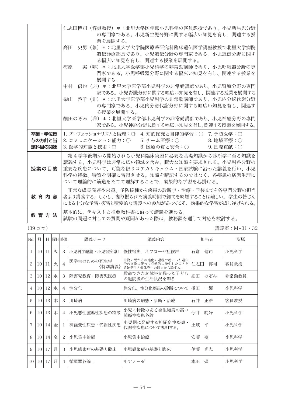|                            | 仁志田博司(客員教授)*:北里大学医学部小児科学の客員教授であり、小児新生児分野<br>の専門家である。小児新生児分野に関する幅広い知見を有し、関連する授<br>業を展開する。                                                                                                                          |
|----------------------------|-------------------------------------------------------------------------------------------------------------------------------------------------------------------------------------------------------------------|
|                            | 高田 史男(兼)*:北里大学大学院医療系研究科臨床遺伝医学講座教授で北里大学病院<br>遺伝診療部長であり、小児遺伝分野の専門家である。小児遺伝分野に関す<br>る幅広い知見を有し、関連する授業を展開する。                                                                                                           |
|                            | 実(非)*:北里大学医学部小児科学の非常勤講師であり、小児呼吸器分野の専 <br>梅原<br>門家である。小児呼吸器分野に関する幅広い知見を有し、関連する授業を<br>展開する。                                                                                                                         |
|                            | 中村―信也(非)*:北里大学医学部小児科学の非常勤講師であり、小児腎臓分野の専門<br> 家である。 小児腎臓分野に関する幅広い知見を有し、 関連する授業を展開する                                                                                                                                |
|                            | 柴山 啓子(非)*:北里大学医学部小児科学の非常勤講師であり、小児内分泌代謝分野<br>の専門家である。小児内分泌代謝分野に関する幅広い知見を有し、関連す<br>る授業を展開する。                                                                                                                        |
|                            | 細田のぞみ(非)*:北里大学医学部小児科学の非常勤講師であり、小児神経分野の専門<br> 家である。 小児神経分野に関する幅広い知見を有し、関連する授業を展開する。                                                                                                                                |
| 卒業・学位授<br>与の方針と当<br>該科目の関連 | 1.プロフェッショナリズムと倫理:◎ 4.知的探究と自律的学習:○ 7.予防医学:◎<br>2. コミュニケーション能力:○  5. チーム医療:○      8. 地域医療:○<br>3. 医学的知識と技術:◎<br>6. 医療の質と安全:○<br>$9.$ 国際貢献: $\bigcirc$                                                               |
| 授業の目的                      | 第4学年後期から開始される小児科臨床実習に必要な基礎知識から診断学に至る知識を<br>講義する。小児科学は非常に広い領域を含み、膨大な知識を要求される。小児科各分野の<br> 重要な疾患について、可能な限りコアカリキュラム・国家試験に沿った講義を行い、小児<br>科学の特徴、特質を明確に習得させる。知識を暗記するのではなく、各疾患の病態生理に<br>ついて理論的に筋道をたてて理解することで、効果的な学習を心掛ける。 |
| 教 音 内 容                    | 正常な成長発達や栄養、予防接種から疾患の診断学・治療・予後までを各専門分野の担当<br> 者より講義する。しかし、割り振られた講義時間で総てを網羅することは難しい。学生の皆さん <br>による十分な予習・復習と積極的な講義への参加があってこそ、効果的な学習が成し遂げられる。                                                                         |
| 教 音 方 法                    | 基本的に、テキストと推薦教科書に沿って講義を進める。<br>試験の問題に対しての質問や疑問があった際は、教務課を通して対応を検討する。                                                                                                                                               |

(39 コマ) 講義室:M−31・32

| No.                      | 月               | Ħ  |   | 曜日 時限          | 講義テーマ                | 講義内容                                                             | 担当者       | 所属    |
|--------------------------|-----------------|----|---|----------------|----------------------|------------------------------------------------------------------|-----------|-------|
| 1                        | 10              | 11 | 火 | 3              | 小児科学総論・小児腎疾患1        | 慢性腎炎、ネフローゼ症候群                                                    | 健司<br>石倉  | 小児科学  |
| $\overline{\mathcal{L}}$ | 10 <sup>1</sup> | 11 | 火 | $\overline{A}$ | 医学生のための死生学<br>《特別講義》 | 生物の死がその進化の過程で起こった遺伝<br>子の交換に伴って必然的に発生したことを<br>系統発生と個体発生の観点から論ずる。 | 仁志田<br>博司 | 客員教授  |
| 3                        | 10              | 12 | 水 | 3              | 障害児教育・障害児医療          | 救命できたが障害が残った子ども<br>の退院後の生活状況を知る                                  | 細田<br>のぞみ | 非常勤教員 |
| $\overline{4}$           | 10              | 12 | 水 | $\overline{4}$ | 性分化                  | 性分化、性分化疾患の診断について                                                 | 橘田<br>一輝  | 小児科学  |
| 5                        | 10              | 13 | 木 | 3              | 川崎病                  | 川崎病の病熊・診断・治療                                                     | 石井 正浩     | 客員教授  |
| 6                        | 10              | 13 | 木 | $\overline{4}$ | 小児悪性腫瘍性疾患の特徴         | 小児に特徴のある発生頻度の高い<br>腫瘍性疾患各論                                       | 純好<br>今井  | 小児科学  |
| $\overline{7}$           | 10              | 14 | 金 | L              | 神経変性疾患・代謝性疾患         | 小児期に発症する神経変性疾患・<br>代謝性疾患について説明する。                                | 土岐<br>平   | 小児科学  |
| 8                        | 10              | 14 | 金 | 2              | 小児集中治療               | 小児集中治療                                                           | 安藤<br>寿   | 小児科学  |
| 9                        | 10              | 17 | 月 | 3              | 小児感染症の基礎と臨床          | 小児感染症の基礎と臨床                                                      | 尚志<br>伊藤  | 小児科学  |
| 10 <sup>1</sup>          | 10              | 17 | 月 | $\overline{4}$ | 循環器各論1               | チアノーゼ                                                            | 崇<br>本田   | 小児科学  |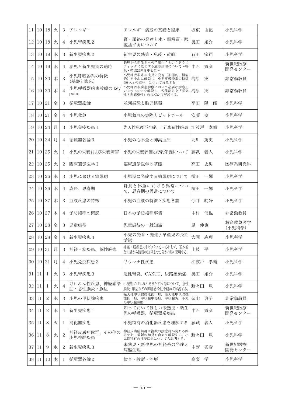| 11 | 10 | 18             | 火 | 3              | アレルギー                     | アレルギー病熊の基礎と臨床                                                         | 坂東<br>由紀  | 小児科学             |
|----|----|----------------|---|----------------|---------------------------|-----------------------------------------------------------------------|-----------|------------------|
| 12 | 10 | 18             | 火 | 4              | 小児腎疾患2                    | 腎・尿路の発達と水・電解質・酸<br>塩基平衡について                                           | 雄介<br>奥田  | 小児科学             |
| 13 | 10 | 19             | 水 | 3              | 新生児疾患2                    | 新生児の感染・免疫・黄疸                                                          | 石田<br>宗司  | 小児科学             |
| 14 | 10 | 19             | 水 | 4              | 胎児と新生児期の適応                | 胎児から新生児への"出生"というドラス<br>ティックに変化する適応生理について~呼<br>吸・循環器系を中心にへ             | 中西<br>秀彦  | 新世紀医療<br>開発センター  |
| 15 | 10 | 20             | 木 | 3              | 小児呼吸器系の特徴<br>(基礎と臨床)      | 小児呼吸器系の成長と発育(形態的、機能<br>的) を中心に解説し、小児呼吸器系の特徴<br>(成人との違い)について言及する       | 実<br>梅原   | 非常勤教員            |
| 16 | 10 | 20             | 木 | $\overline{4}$ | 小児呼吸器疾患診療の key<br>point   | 小児呼吸器疾患診療において必要な診察上<br>の key point を解説し、各種疾患を『感染<br>性と非感染性』の視点から解説する。 | 梅原<br>実   | 非常勤教員            |
| 17 | 10 | 21             | 金 | 3              | 循環器総論                     | 並列循環と胎児循環                                                             | 平田<br>陽一郎 | 小児科学             |
| 18 | 10 | 21             | 金 | 4              | 小児救急                      | 小児救急の実際とピットホール                                                        | 安藤<br>寿   | 小児科学             |
| 19 | 10 | 24             | 月 | 3              | 小児免疫疾患1                   | 先天性免疫不全症、自己炎症性疾患                                                      | 江波戸<br>孝輔 | 小児科学             |
| 20 | 10 | 24             | 月 | 4              | 循環器各論3                    | 小児の心不全と肺高血圧                                                           | 北川<br>篤史  | 小児科学             |
| 21 | 10 | 25             | 火 | 1              | 小児の栄養および栄養障害              | 小児の栄養評価と母乳栄養について                                                      | 義人<br>藤武  | 小児科学             |
| 22 | 10 | 25             | 火 | 2              | 臨床遺伝医学 I                  | 臨床遺伝医学の基礎                                                             | 高田<br>史男  | 医療系研究科           |
| 23 | 10 | 26             | 水 | 3              | 小児における糖尿病                 | 小児期に発症する糖尿病について                                                       | 橘田<br>一輝  | 小児科学             |
| 24 | 10 | 26             | 水 | 4              | 成長、思春期                    | 身長と体重における異常につい<br>て、思春期の異常について                                        | 一輝<br>橘田  | 小児科学             |
| 25 | 10 | 27             | 木 | 3              | 血液疾患の特徴                   | 小児の血液の特徴と疾患各論                                                         | 今井<br>純好  | 小児科学             |
| 26 | 10 | 27             | 木 | 4              | 予防接種の概説                   | 日本の予防接種事情                                                             | 中村<br>信也  | 非常勤教員            |
| 27 | 10 | 28             | 金 | 3              | 児童虐待                      | 児童虐待の一般知識                                                             | 伸也<br>昆   | 救命救急医学<br>(小児科学) |
| 28 | 10 | 28             | 金 | 4              | 新生児疾患4                    | 小児の発育・発達 / 早産児の長期<br>予後                                               | 大岡<br>麻理  | 小児科学             |
| 29 | 10 | 31             | 月 | 3              | 神経・筋疾患、脳性麻痺               | 神経・筋疾患のトピックスを中心にして、基本的<br>な知識から最新の知見までを分かり易く説明する。                     | 土岐<br>平   | 小児科学             |
| 30 | 10 | 31             | 月 | 4              | 小児免疫疾患2                   | リウマチ性疾患                                                               | 江波戸<br>孝輔 | 小児科学             |
| 31 | 11 | 1              | 火 | 3              | 小児腎疾患3                    | 急性腎炎、CAKUT、尿路感染症                                                      | 雄介<br>奥田  | 小児科学             |
| 32 | 11 | 1              | 火 | 4              | けいれん性疾患、神経感染<br>症・急性脳炎・脳症 | 小児期にけいれんをきたす疾患について、急性<br>脳炎・脳症などの神経感染症を絡めて解説する。                       | 野々田<br>豊  | 小児科学             |
| 33 | 11 | $\overline{c}$ | 水 | 3              | 小児の甲状腺疾患                  | 先天性甲状腺機能低下症, 後天性甲状腺機<br>能低下症,甲状腺中毒症,甲状腺炎,小児<br>の甲状腺腫瘍                 | 柴山<br>啓子  | 非常勤教員            |
| 34 | 11 | $\overline{c}$ | 水 | 4              | 新生児疾患 1                   | 知っておいてほしい未熟児・新生<br>児の呼吸器、循環器系疾患                                       | 中西<br>秀彦  | 新世紀医療<br>開発センター  |
| 35 | 11 | 8              | 火 | 1              | 消化器疾患                     | 小児特有の消化器疾患を理解する                                                       | 義人<br>藤武  | 小児科学             |
| 36 | 11 | 8              | 火 | 2              | 神経皮膚症候群、その他の<br>小児神経疾患    | 神経皮膚症候群は複数の診療科が関わる疾<br>患であり最新の知見も含めて解説する。小<br>児期特有の神経疾患についても説明する      | 豊<br>野々田  | 小児科学             |
| 37 | 11 | 9              | 水 | 2              | 新生児疾患3                    | 未熟児・新生児の神経系の発達と<br>病熊生理                                               | 中西<br>秀彦  | 新世紀医療<br>開発センター  |
| 38 | 11 | 10             | 木 | 1              | 循環器各論2                    | 検査・診断・治療                                                              | 髙梨<br>学   | 小児科学             |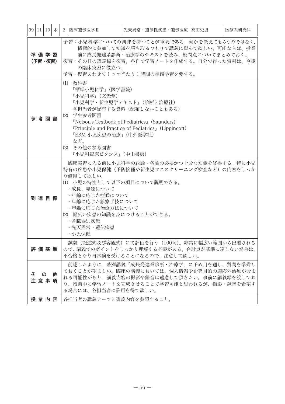|    | 39 11 10 木      |   | $\sqrt{2}$ | 臨床遺伝医学Ⅱ                                                                                                                                       | 先天異常・遺伝性疾患・遺伝医療   高田史男                                                                                                                                                                                 | 医療系研究科 |
|----|-----------------|---|------------|-----------------------------------------------------------------------------------------------------------------------------------------------|--------------------------------------------------------------------------------------------------------------------------------------------------------------------------------------------------------|--------|
|    | 準備学習<br>(予習・復習) |   |            | の臨床実習に役立つ。                                                                                                                                    | 予習:小児科学についての興味を持つことが重要である。何かを教えてもらうのではなく、<br>積極的に参加して知識を勝ち取るつもりで講義に臨んで欲しい。可能ならば、授業<br>前に成長発達系診断・治療学のテキストを読み、疑問点についてまとめておく。<br>復習:その日の講義録を復習。各自で学習ノートを作成する。自分で作った資料は、今後<br>予習・復習あわせて1コマ当たり1時間の準備学習を要する。 |        |
|    | 参考図書            |   |            | (1) 教科書<br>『標準小児科学』(医学書院)<br>『小児科学』(文光堂)<br>(2) 学生参考図書<br>「EBM 小児疾患の治療」(中外医学社)<br>など。<br>(3) その他の参考図書<br>『小児科臨床ピクシス』(中山書房)                    | 『小児科学・新生児学テキスト』(診断と治療社)<br>各担当者が配布する資料 (配布しないこともある)<br><b>FNelson's Textbook of Pediatrics</b> , (Saunders)<br><b><i>TPrinciple and Practice of Pediatrics</i></b> (Lippincott)                        |        |
|    | 到達目標            |   |            | り修得して欲しい。<br>・成長、発達について<br>・年齢に応じた症候について<br>・年齢に応じた診察手技について<br>・年齢に応じた治療方法について<br>(2) 幅広い疾患の知識を身につけることができる。<br>・各臓器別疾患<br>・先天異常・遺伝疾患<br>・小児保健 | 臨床実習に入る前に小児科学の総論・各論の必要かつ十分な知識を修得する。特に小児<br>特有の疾患や小児保健(予防接種や新生児マススクリーニング検査など)の内容をしっか<br>(1) 小児の特性として以下の項目について説明できる。                                                                                     |        |
|    | 評価基準            |   |            |                                                                                                                                               | 試験(記述式及び客観式)にて評価を行う(100%)。非常に幅広い範囲から出題される<br>ので、講義でのポイントをしっかり理解する必要がある。合計点が基準に達しない場合は、<br>不合格となり再試験を受けることになるので、注意して欲しい。                                                                                |        |
| その | 注意事項            | 他 |            | る場合には、各担当者に許可を得て欲しい。                                                                                                                          | 前述したように、系別講義「成長発達系診断・治療学」に予め目を通し、質問を準備し<br>ておくことが望ましい。臨床の講義においては、個人情報や研究目的の適応外治療が含ま<br>れる可能性があり、講義内容の撮影や録音は遠慮して頂きたい。事前に講義録を渡してお<br>り、授業中に学習ノートを完成させることで学習可能と思われるが、撮影・録音を希望す                            |        |
|    | 授業内容            |   |            | 各担当者の講義テーマと講義内容を参照すること。                                                                                                                       |                                                                                                                                                                                                        |        |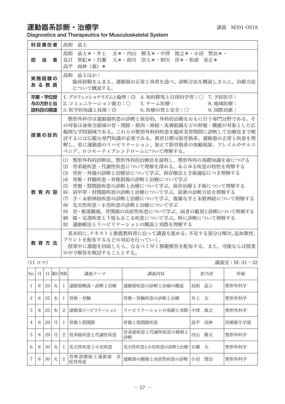## 運動器系診断・治療学 講義 M301-OS18

Diagnostics and Therapeutics for Musculoskeletal System

| 科目責任者                      | 晶士<br>髙相                                                                                                                                                                                                                                                                                                                                                                                                                                                                                  |
|----------------------------|-------------------------------------------------------------------------------------------------------------------------------------------------------------------------------------------------------------------------------------------------------------------------------------------------------------------------------------------------------------------------------------------------------------------------------------------------------------------------------------------|
| 11日 当り コンプログラム<br>者        | 晶士*・井上<br>玄*・内山 勝文*・中澤 俊之*・小沼 賢治*・<br>髙相<br>大*・助川 浩士*・相川 淳*・松浦 晃正*<br>見目<br>智紀*・岩瀬<br>高平<br>尚伸 (兼) *                                                                                                                                                                                                                                                                                                                                                                                      |
| 実務経験の<br>あ る 教 員           | 髙相 晶士ほか:<br>臨床経験をふまえ、運動器の正常と異常を述べ、診断方法を概説しさらに、治療方法<br>について概説する。                                                                                                                                                                                                                                                                                                                                                                                                                           |
| 卒業・学位授<br>与の方針と当<br>該科目の関連 | Ⅰ. プロフェッショナリズムと倫理:◎ 4. 知的探究と自律的学習:○ 7. 予防医学:<br>2. コミュニケーション能力:○  5. チーム医療:<br>8. 地域医療:<br>6. 医療の質と安全:○ 9. 国際貢献:<br>3. 医学的知識と技術:◎                                                                                                                                                                                                                                                                                                                                                         |
| 授業の目的                      | 整形外科学は運動器疾患の診断と保存的、外科的治療をおもに行う専門分野である。そ<br>の対象は身体全領域の骨・関節・筋肉・神経・皮膚組織などの形熊・機能が対象とした広<br>範囲な学問領域である。これらの整形外科的疾患を臨床実習期間に診断して治療法まで検<br>討するには広範な専門知識が必要である。教育目標は筋骨格系、運動器の正常と疾患を理<br>解し、更に運動器のリハビリテーション、加えて筋骨格系の加齢現象、フレイルやサルコ<br>ペニア、ロコモーティブシンドロームについて理解する。                                                                                                                                                                                                                                     |
| 教育内容                       | (1) 整形外科的診断法、整形外科的治療法を説明し、整形外科の基礎知識を身につける<br>骨系統疾患・代謝性疾患について理解を深める。あらゆる疾患の特性を理解する<br>(2)<br>(3) 骨折・外傷の診断と治療法について学ぶ。保存療法と手術適応につき理解する<br>脊椎・脊髄疾患・脊椎損傷の診断と治療について学ぶ<br>(4)<br>骨盤・股関節疾患の診断と治療について学ぶ。保存治療と手術について理解する<br>(5)<br>(6) 肩甲帯・肘関節疾患の診断と治療について学ぶ。最新の診断方法を理解する<br>手・末梢神経疾患の診断と治療について学ぶ。複雑な手と末梢神経について理解する<br>(7)<br>(8)<br>- 先天性疾患・小児疾患の診断と治療について学ぶ<br>- 骨・軟部腫瘍、骨関節の炎症性疾患について学ぶ。両者の鑑別と診断について理解する<br>(9)<br>- 膝・足部疾患と下肢もおこる疾患について学ぶ。特に診断について理解する<br>(10)<br>(11) 運動療法とリハビリテーションの概説と実際を理解する |
| 教育方法                       | 基本的に、テキストと推薦教科書に沿って講義を進める。不足する部分は順次、追加教材、<br>プリントを配布するなどの対応を行っていく。<br>授業中に課題を回収したら、なるべく早く模範解答を配布する。また、可能ならば授業<br>の中で解答を検討することとする。                                                                                                                                                                                                                                                                                                                                                         |

(11 コマ) 講義室:M−31・32

| No.            | 月 | Ħ  |   | 曜日 時限          | 講義テーマ                  | 講義内容                  |      | 担当者 | 所属     |
|----------------|---|----|---|----------------|------------------------|-----------------------|------|-----|--------|
|                | 8 | 23 | 火 |                | 運動器概説・診断と治療            | 運動器疾患の診断と治療の概説        | 高相   | 晶士  | 整形外科学  |
| $\mathfrak{D}$ | 8 | 25 | 木 |                | 脊椎・脊髄                  | 脊椎・脊髄疾患の診断と治療         | 井上玄  |     | 整形外科学  |
| 3              | 8 | 25 | 木 | 2              | 運動器リハビリテーション           | リハビリテーションの基礎と実際       | 中澤   | 俊之  | 整形外科学  |
| $\overline{4}$ | 8 | 29 | 月 |                | 骨盤と股関節                 | 骨盤と股関節疾患              | 高平   | 尚伸  | 医療衛生学部 |
| 5              | 8 | 29 | 月 | $\mathcal{L}$  | 骨系統疾患と代謝性疾患            | 骨系統疾患と代謝性疾患の種類と<br>診断 | 内山   | 勝文  | 整形外科学  |
| 6              | 8 | 30 | 火 |                | 先天性疾患と小児疾患             | 先天性疾患と小児疾患の診断と治療      | 岩瀬 大 |     | 整形外科学  |
| 7              | 8 | 30 | 火 | $\overline{c}$ | 骨軟部腫瘍と運動器<br>炎<br>症性疾患 | 運動器の腫瘍と炎症性疾患の診断       | 小沼   | 賢治  | 整形外科学  |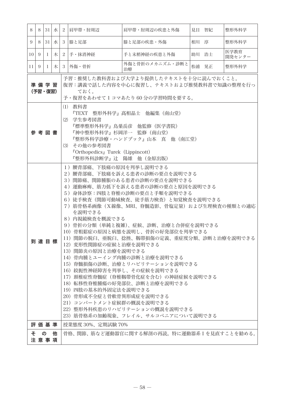| 8               | 8 | 31               | 水 | 2 肩甲帯・肘周辺                                                                                                                                                                            | 肩甲帯・肘周辺の疾患と外傷                                                                                                                                                                                                                                                                                                                                                                                                                                                                                                                                                                             | 見目 智紀 | 整形外科学          |
|-----------------|---|------------------|---|--------------------------------------------------------------------------------------------------------------------------------------------------------------------------------------|-------------------------------------------------------------------------------------------------------------------------------------------------------------------------------------------------------------------------------------------------------------------------------------------------------------------------------------------------------------------------------------------------------------------------------------------------------------------------------------------------------------------------------------------------------------------------------------------|-------|----------------|
| 9               | 8 | 31               | 水 | 3   膝と足部                                                                                                                                                                             | 膝と足部の疾患・外傷                                                                                                                                                                                                                                                                                                                                                                                                                                                                                                                                                                                | 相川 淳  | 整形外科学          |
| 10 <sup>1</sup> | 9 | 1                | 木 | 2 手・抹消神経                                                                                                                                                                             | 手と末梢神経の疾患と外傷                                                                                                                                                                                                                                                                                                                                                                                                                                                                                                                                                                              | 助川 浩士 | 医学教育<br>開発センター |
| 11 <sup>1</sup> | 9 | $\mathbf{I}$     | 木 | 3 外傷・骨折                                                                                                                                                                              | 外傷と骨折のメカニズム・診断と<br>治療                                                                                                                                                                                                                                                                                                                                                                                                                                                                                                                                                                     | 松浦 晃正 | 整形外科学          |
|                 |   | 準備学習<br>(予習・復習)  |   | ておく。                                                                                                                                                                                 | 予習:推奨した教科書および大学より提供したテキストを十分に読んでおくこと。<br>復習:講義で話した内容を中心に復習し、テキストおよび推奨教科書で知識の整理を行っ<br>予・復習をあわせて 1 コマあたり 60 分の学習時間を要する。                                                                                                                                                                                                                                                                                                                                                                                                                                                                     |       |                |
|                 |   | 参 考 図 書          |   | (1) 教科書<br>(2) 学生参考図書<br>『神中整形外科学』杉岡洋一 監修(南山堂)<br>(3) その他の参考図書<br>『Orthopedics』Turek (Lippincott)<br>『整形外科診断学』辻 陽雄 他(金原出版)                                                           | 『TEXT 整形外科学』髙相晶士 他編集 (南山堂)<br>『標準整形外科学』鳥巣岳彦 他監修(医学書院)<br>『整形外科学診療・ハンドブック』山本 真 他(南江堂)                                                                                                                                                                                                                                                                                                                                                                                                                                                                                                      |       |                |
|                 |   | 到達目標             |   | 1) 腰背部痛、下肢痛の原因を列挙し説明できる<br>を説明できる<br>8) 内視鏡検査を概説できる<br>12) 変形性関節症の症候と治療を説明できる<br>13) 関節炎の原因と治療を説明できる<br>19) 四肢の基本的外固定法を説明できる<br>20) 骨形成不全症と骨軟骨異形成症を説明できる<br>21) コンパートメント症候群の概説を説明できる | 2) 腰背部痛、下肢痛を訴える患者の診断の要点を説明できる<br>3) 関節痛、関節腫脹のある患者の診断の要点を説明できる<br>4)運動麻痺、筋力低下を訴える患者の診断の要点と原因を説明できる<br>5) 身体診察:四肢と脊椎の診断の要点と手順を説明できる<br>6) 徒手検査(関節可動域検査、徒手筋力検査) と知覚検査を説明できる<br>7) 筋骨格系画像(X線像、MRI、脊髄造影、骨塩定量) および生理検査の種類との適応<br>9) 骨折の分類(単純と複雑)、症候、診断、治療と合併症を説明できる<br>10) 骨粗鬆症の原因と病態を説明し、骨折の好発部位を列挙できる<br>11) 関節の脱臼、亜脱臼、捻挫、靱帯損傷の定義、重症度分類、診断と治療を説明できる<br>14) 骨肉腫とユーイング肉腫の診断と治療を説明できる<br>15) 脊髄損傷の診断、治療とリハビリテーションを説明できる<br>16) 絞扼性神経障害を列挙し、その症候を説明できる<br>17)頚椎症性脊髄症(脊椎靱帯骨化症を含む)の神経症候を説明できる<br>18) 転移性脊椎腫瘍の好発部位、診断と治療を説明できる<br>22)整形外科疾患のリハビリテーションの概説を説明できる<br>23) 筋骨格系の加齢現象、フレイル、サルコペニアについて説明できる |       |                |
|                 |   | 評価基準             |   | 授業態度 30%、定期試験 70%                                                                                                                                                                    |                                                                                                                                                                                                                                                                                                                                                                                                                                                                                                                                                                                           |       |                |
|                 | そ | $\sigma$<br>注意事項 | 他 |                                                                                                                                                                                      | 骨格、関節、筋など運動器官に関する解剖の再読。特に運動器系Ⅰを見直すことを勧める。                                                                                                                                                                                                                                                                                                                                                                                                                                                                                                                                                 |       |                |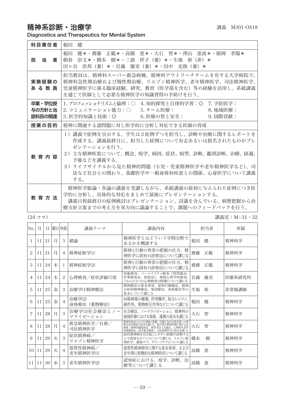精神系診断·治療学 みずきょう まんじゅう まんじゅつ きょうきょう

Diagnostics and Therapeutics for Mental System

| 科目責任者                      | 稲田<br>侓                                                                                                                                                                                                                                                    |
|----------------------------|------------------------------------------------------------------------------------------------------------------------------------------------------------------------------------------------------------------------------------------------------------|
| 担 当<br>者                   | 健*・齋藤 正範*・高橋 恵*・大石 智*・澤山 恵波*・廣岡 孝陽*<br>稲田<br>朝倉 崇文*・橋本 樹*・三浦 祥子(兼)*・生地 新(非)*<br>田ヶ谷 浩邦(兼)*・岩滿 優実(兼)*・田中 克俊(兼)*                                                                                                                                             |
| 実務経験の<br>あ る 教 員           | 担当教員は、精神科スーパー救急病棟、精神科アウトリーチチームを有する大学病院で、<br>精神科急性期治療および慢性期治療、リエゾン精神医学、老年精神医学、司法精神医学、<br>児童精神医学に係る臨床経験、研究、教育(医学部を含む)等の経験を活用し、系統講義<br>を通じて医師として必要な精神医学の知識習得の手助けを行う。                                                                                          |
| 卒業・学位授<br>与の方針と当<br>該科目の関連 | 1. プロフェッショナリズムと倫理:○ 4. 知的探究と自律的学習:◎ 7. 予防医学:                                                                                                                                                                                                               |
| 授業の目的                      | 精神に関連する諸問題に対し医学的に分析し対応できる医師の育成                                                                                                                                                                                                                             |
| 教 育 内 容                    | 1)講義で症例を呈示する。学生は2症例ずつを担当し、診断や治療に関するレポートを<br>作成する。講義最終日に、担当した症例について有志あるいは指名されたものがプレ<br>ゼンテーションを行う。<br>2)主な精神疾患について、概念、疫学、病因、症状、病型、診断、鑑別診断、治療、経過、<br>予後などを講義する。<br>3)ライフサイクルから見た精神的問題(小児・児童精神医学や老年精神医学など)、司<br>法など社会との関わり、基礎医学や一般身体科疾患との関係、心身医学について講義<br>する。 |
| 教育方法                       | 精神医学総論・各論の講義を受講しながら、系統講義の最初に与えられた症例につき医<br>学的に分析し、具体的な対応をまとめて最後にプレゼンテーションする。<br>講義日程最終日の症例検討はプレゼンテーション、討議を含んでいる。病歴把握から治<br>療方針立案までの考え方を双方向に議論することで、課題へのフィードバックを行う。                                                                                         |

(24 コマ) 講義室:M−31・32

| No. | 月  | Ħ. | 曜日 時限 |                | 講義テーマ                     | 講義内容                                                                                                                    |    | 担当者 | 所属     |
|-----|----|----|-------|----------------|---------------------------|-------------------------------------------------------------------------------------------------------------------------|----|-----|--------|
|     | 11 | 21 | 月     | 3              | 緒論                        | 精神医学とはどういう学問分野で<br>あるかを概説する                                                                                             | 稲田 | 侓   | 精神科学   |
| 2   | 11 | 21 | 月     | 4              | 精神症候学(1)                  | 精神と行動の異常の把握の仕方、精<br>神医学に固有の診察法について講じる                                                                                   | 齋藤 | 正範  | 精神科学   |
| 3   | 11 | 24 | 木     | -1             | 精神症候学(2)                  | 精神と行動の異常の把握の仕方、精<br>神医学に固有の診察法について講じる                                                                                   | 齋藤 | 正範  | 精神科学   |
| 4   | 11 | 24 | 木     | 2              | 心理検査/症状評価尺度               | 知能検査、パーソナリティ検査(質問紙法、<br>作業検査法、投影法)、神経心理学的検査、<br>これらの3つの心理検査の特徴について講じる                                                   | 岩満 | 優美  | 医療系研究科 |
| 5   | 11 | 25 | 金     | 3              | 治療学(1)精神療法                | 精神療法の基本事項、認知行動療法、精神<br>分析的精神療法、集団療法、家族療法等の<br>基本について講じる                                                                 | 生地 | 新   | 非常勤講師  |
| 6   | 11 | 25 | 金     | $\overline{4}$ | 治療学(2)<br>身体療法 (薬物療法)     | 向精神薬の種類、作用機序、処方レジメン、<br>副作用、薬物相互作用などについて講じる                                                                             | 稲田 | 侓   | 精神科学   |
| 7   | 11 | 28 | 月     | 3              | 治療学(3)社会療法とノー<br>マライゼーション | 社会療法、ノーマライゼーション、精神科の<br>地域医療における資源、連携の基本を講じる                                                                            | 大石 | 智   | 精神科学   |
| 8   | 11 | 28 | 月     | 4              | 救急精神医学/自殺/<br>司法精神医学      | 精神科救急における初療の基礎、自傷行為や自殺企図への理<br>解を深め援助の基本を講じる、我が国の精神医療に関する法<br>制度(精神保健福祉法、障害者自立支援法、心神喪失者等<br>医療観察法、成年後見制度)、司法精神医学の基本を講じる | 大石 | 智   | 精神科学   |
| 9   | 11 | 29 | 火     | 3              | 症状精神病/<br>リエゾン精神医学        | 症状精神病を引き起こしやすい病態や診断する<br>上で重要なポイントについて講じる、リエゾン精<br>神医学、緩和ケア、グリーフケアについて講じる                                               | 橋本 | 樹   | 精神科学   |
| 10  | 11 | 29 | 火     | $\overline{4}$ | 器質性精神病/<br>老年精神医学(1)      | 器質性精神障害に関する基本事項、および<br>老年期に特徴的な精神障害について講じる                                                                              | 高橋 | 恵   | 精神科学   |
| 11  | 11 | 30 | 水     | 3              | 老年精神医学(2)                 | 認知症における、疫学、診断、治<br>療等について講じる                                                                                            | 高橋 | 恵   | 精神科学   |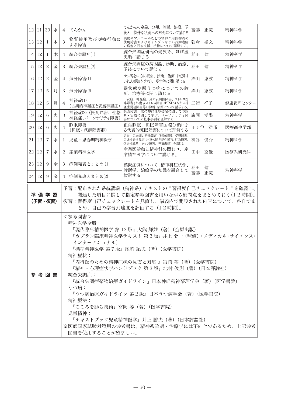|                                                                                                                                                                                                                                                                                                                                                                                                                                                                                                                                                               | 12 11   | 30             | 水 | 4              | てんかん                             | てんかんの定義、分類、診断、治療、予<br>後と、特殊な状況への対処について講じる                                                 | 齋藤    | 正範     | 精神科学     |
|---------------------------------------------------------------------------------------------------------------------------------------------------------------------------------------------------------------------------------------------------------------------------------------------------------------------------------------------------------------------------------------------------------------------------------------------------------------------------------------------------------------------------------------------------------------|---------|----------------|---|----------------|----------------------------------|-------------------------------------------------------------------------------------------|-------|--------|----------|
| 13                                                                                                                                                                                                                                                                                                                                                                                                                                                                                                                                                            | 12      | 1              | 木 | 3              | 物質使用及び嗜癖行動に<br>よる障害              | 薬物やアルコールなどの精神作用性物質の<br>使用障害およびギャンブルなどの行動嗜癖<br>の病態と回復支援、法律について理解する。                        | 朝倉    | 崇文     | 精神科学     |
| 14                                                                                                                                                                                                                                                                                                                                                                                                                                                                                                                                                            | 12      | 1              | 木 | 4              | 統合失調症(1)                         | 統合失調症研究の発展を、ほぼ歴<br>史順に講じる                                                                 | 稲田    | 健      | 精神科学     |
| 15 <sup>1</sup>                                                                                                                                                                                                                                                                                                                                                                                                                                                                                                                                               | 12      | $\overline{c}$ | 金 | 3              | 統合失調症(2)                         | 統合失調症の病因論、診断、治療、<br>予後について講じる                                                             | 稲田    | 健      | 精神科学     |
| 16                                                                                                                                                                                                                                                                                                                                                                                                                                                                                                                                                            | 12      | $\overline{c}$ | 金 | 4              | 気分障害(1)                          | うつ病を中心に概念、診断、治療(電気け<br>いれん療法を含む)、疫学等に関し講じる                                                | 澤山 恵波 |        | 精神科学     |
| 17                                                                                                                                                                                                                                                                                                                                                                                                                                                                                                                                                            | 12      | 5              | 月 | 3              | 気分障害(2)                          | 躁状熊や躁うつ病についての診<br>断、治療等に関し講じる                                                             | 澤山 恵波 |        | 精神科学     |
| 18                                                                                                                                                                                                                                                                                                                                                                                                                                                                                                                                                            | 12      | 5              | 月 | 4              | 神経症(1)<br>(古典的神経症と表層神経症)         | 不安症、神経症、身体表現性障害、ストレス関<br>連障害(外傷後ストレス障害 <ptsd>)などの神<br/>経症関連障害等の診断、治療について講義する</ptsd>       | 三浦    | 祥子     | 健康管理センター |
| 19                                                                                                                                                                                                                                                                                                                                                                                                                                                                                                                                                            | 12      | 6              | 火 | 3              | 神経症(2)(摂食障害、性格<br>神経症、パーソナリティ障害) | 摂食障害、主に神経性やせ症に関しての診<br>断・治療に関して学ぶ。パーソナリティ障<br>害についての基本事項を理解する                             | 廣岡    | 孝陽     | 精神科学     |
|                                                                                                                                                                                                                                                                                                                                                                                                                                                                                                                                                               | 20   12 | 6              | 火 | $\overline{4}$ | 睡眠障害<br>(睡眠 - 覚醒障害群)             | 正常睡眠、睡眠障害国際分類によ<br>る代表的睡眠障害について理解する                                                       |       | 田ヶ谷 浩邦 | 医療衛生学部   |
| 21                                                                                                                                                                                                                                                                                                                                                                                                                                                                                                                                                            | 12      | $\overline{7}$ | 水 | 1              | 児童・思春期精神医学                       | 児童・思春期の精神障害(精神遅滞、学習障害、<br><b>広汎性発達障害、注意欠陥多動性障害、行為障害、</b><br>選択性緘黙、チック障害、児童虐待)を講じる         | 神谷    | 俊介     | 精神科学     |
| 22                                                                                                                                                                                                                                                                                                                                                                                                                                                                                                                                                            | 12      | $\overline{7}$ | 水 | 2              | 産業精神医学                           | 産業医活動と精神科の関わり、産<br>業精神医学について講じる。                                                          | 田中    | 克俊     | 医療系研究科   |
| 23                                                                                                                                                                                                                                                                                                                                                                                                                                                                                                                                                            | 12      | 9              | 金 | 3              | 症例発表とまとめ(1)                      | 模擬症例について、精神科症状学、<br>診断学、治療学の知識を融合して                                                       | 稲田    | 健      | 精神科学     |
| 24 <sup>1</sup>                                                                                                                                                                                                                                                                                                                                                                                                                                                                                                                                               | 12      | 9              | 金 | $\overline{4}$ | 症例発表とまとめ(2)                      | 検討する                                                                                      | 齋藤    | 正範     |          |
|                                                                                                                                                                                                                                                                                                                                                                                                                                                                                                                                                               | 準 備 学 習 |                |   |                |                                  | 予習:配布された系統講義(精神系)テキストの " 習得度自己チェックシート " を確認し、<br>関連した項目に関して指定参考図書を用いながら疑問点をまとめておく(1-2時間)。 |       |        |          |
| (予習・復習)<br>復習:習得度自己チェックシートを見直し、講義内で開設された内容について、各自でま<br>とめ、自己の学習到達度を評価する(1-2 時間)。<br><参考図書><br>精神医学全般:<br>『現代臨床精神医学 第 12 版』大熊 輝雄(著)(金原出版)<br>『カプラン臨床精神医学テキスト 第3版』 井上 令一(監修)(メディカル・サイエンス・<br>インターナショナル)<br>『標準精神医学 第7版』尾崎 紀夫(著)(医学書院)<br>精神症状:<br>『内科医のための精神症状の見方と対応 』宮岡 等(著)(医学書院)<br>『精神・心理症状学ハンドブック 第3版』北村 俊則(著)(日本評論社)<br>参 考 図 書<br>統合失調症:<br>『統合失調症薬物治療ガイドライン』日本神経精神薬理学会(著)(医学書院)<br>うつ病:<br>『うつ病治療ガイドライン 第2版』日本うつ病学会(著)(医学書院)<br>精神療法:<br>『こころを診る技術』宮岡 等(著)(医学書院)<br>児童精神:<br>『テキストブック児童精神医学』井上 勝夫(著)(日本評論社)<br>※医師国家試験対策用の参考書は、精神系診断・治療学には不向きであるため、上記参考 |         |                |   |                |                                  |                                                                                           |       |        |          |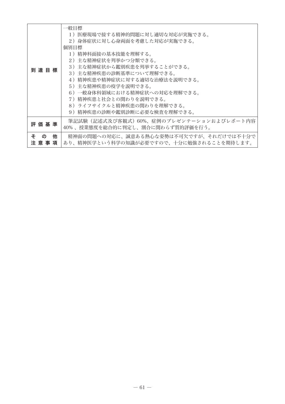|                                | 一般目標<br>1) 医療現場で接する精神的問題に対し適切な対応が実施できる。<br>2)身体症状に対し心身両面を考慮した対応が実施できる。<br>個別目標<br>1)精神科面接の基本技能を理解する。                                                                                                                                                    |
|--------------------------------|---------------------------------------------------------------------------------------------------------------------------------------------------------------------------------------------------------------------------------------------------------|
| 到達目標                           | 2)主な精神症状を列挙かつ分類できる。<br>3)主な精神症状から鑑別疾患を列挙することができる。<br>3)主な精神疾患の診断基準について理解できる。<br>4)精神疾患や精神症状に対する適切な治療法を説明できる。<br>5)主な精神疾患の疫学を説明できる。<br>6)一般身体科領域における精神症状への対応を理解できる。<br>7)精神疾患と社会との関わりを説明できる。<br>8)ライフサイクルと精神疾患の関わりを理解できる。<br>9)精神疾患の診断や鑑別診断に必要な検査を理解できる。 |
| 評 価 基 準                        | 筆記試験(記述式及び客観式)60%、症例のプレゼンテーションおよびレポート内容<br>40%、授業態度を総合的に判定し、割合に関わらず質的評価を行う。                                                                                                                                                                             |
| ÷.<br>他<br>$\sigma$<br>注 意 事 項 | 精神面の問題への対応に、誠意ある熱心な姿勢は不可欠ですが、それだけでは不十分で<br>あり、精神医学という科学の知識が必要ですので、十分に勉強されることを期待します。                                                                                                                                                                     |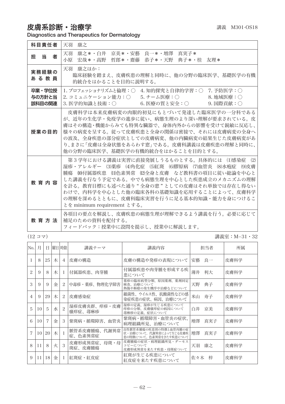皮膚系診断・治療学 みずい インスタン おくしゃ おおや 講義 M301-OS18

Diagnostics and Therapeutics for Dermatology

| 科目責任者                      | 天羽<br>康之                                                                                                                                                                                                                                                                                                                                                                 |
|----------------------------|--------------------------------------------------------------------------------------------------------------------------------------------------------------------------------------------------------------------------------------------------------------------------------------------------------------------------------------------------------------------------|
| 担 当<br>者                   | 康之*・白井 京美*・安藝 良一*・増澤 直実子*<br>天羽<br>小原<br>宏哉*・高野 哲郎*・齋藤 恭子*・天野 典子*・桂 友理*                                                                                                                                                                                                                                                                                                  |
| 実務経験の<br>あ る 教 員           | 天羽 康之ほか:<br>臨床経験を踏まえ、皮膚疾患の理解と同時に、他の分野の臨床医学、基礎医学の有機<br>的統合をはかることを目的に説明する。                                                                                                                                                                                                                                                                                                 |
| 卒業・学位授<br>与の方針と当<br>該科目の関連 | 1. プロフェッショナリズムと倫理:○ 4. 知的探究と自律的学習:○ 7. 予防医学:○<br>2. コミュニケーション能力:○  5. チーム医療:○<br>8. 地域医療:〇<br>6. 医療の質と安全:○<br>$9.$ 国際貢献: $\bigcirc$<br>3. 医学的知識と技術:○                                                                                                                                                                                                                     |
| 授業の目的                      | 皮膚科学は本来皮膚病変の肉眼的初見にもとづいて発達した臨床医学の一分科である<br>が、近年の生化学・免疫学の進歩に従い、病熊生理のより深い理解が要求されている。皮<br>膚はその構造・機能からみても特異な臓器で、身体内外からの影響を受けて鋭敏に反応し、<br>様々の病変を呈する。従って皮膚疾患と全身の関係は密接で、それには皮膚病変の全身へ<br>の波及、全身疾患の部分症状としての皮膚病変、他の内臓病変の結果生じた皮膚病変があ<br>り、まさに「皮膚は全身状熊をあらわす窓」である。皮膚科講義は皮膚疾患の理解と同時に、<br>他の分野の臨床医学、基礎医学の有機的統合をはかることを目的とする。                                                               |
| 教育内容                       | 第3学年における講義は実習に直接発展しうるものとする。具体的には (1)感染症 (2)<br>湿疹・アレルギー (3)薬疹 (4)角化症 (5)紅斑 (6)膠原病 (7)血管炎 (8)水疱症 (9)皮膚<br>腫瘍 (00付属器疾患 (11)色素異常 (12)全身と皮膚 など教科書の項目に従い総論を中心と<br>した講義を行なう予定である。中でも病熊生理を中心とした疾患成立のメカニズムの理解<br>を計る。教育目標にも述べた通り"全身の窓"としての皮膚はそれ単独では存在し得ない<br>わけで、内科学を中心とした他の臨床各科の基礎知識を応用することによって、皮膚科学<br>の理解を深めるとともに、皮膚科臨床実習を行うに足る基本的知識・能力を身につけるこ<br>とを minimum requirement とする。 |
| 教 音 方 法                    | 各項目の要点を解説し、皮膚疾患の病熊生理が理解できるよう講義を行う。必要に応じて<br>補足のための資料を配付する。<br>フィードバック:授業中に設問を提示し、授業中に解説します。                                                                                                                                                                                                                                                                              |

(12 コマ) 講義室:M−31・32

| No. | 月               | Ħ. |   | 曜日 時限                       | 講義テーマ                   | 講義内容                                                                        | 担当者       | 所属   |
|-----|-----------------|----|---|-----------------------------|-------------------------|-----------------------------------------------------------------------------|-----------|------|
|     | 8               | 25 | 木 | 4                           | 皮膚の構造                   | 皮膚の構造や発疹の表現について                                                             | 良一<br>安藝  | 皮膚科学 |
| 2   | 9               | 8  | 木 | -1                          | 付属器疾患、肉芽腫               | 付属器疾患や肉芽腫を形成する疾<br>患について                                                    | 薄井<br>利大  | 皮膚科学 |
| 3   | 9               | 9  | 金 | 2                           | 中毒疹・薬疹、物理化学障害           | 薬疹の臨床病型分類、原因薬剤、薬剤同定<br>検査、治療について<br>熱傷や褥瘡の発生機序や治療などについて                     | 天野<br>典子  | 皮膚科学 |
| 4   | 9               | 29 | 木 | 2                           | 皮膚感染症                   | 細菌性、ウイルス性、抗酸菌性などの感<br>染症疾患の症状、病因、治療について                                     | 寿子<br>米山  | 皮膚科学 |
| 5   | 10 <sup>1</sup> | 5  | 水 | $\mathcal{P}_{\mathcal{L}}$ | 湿疹皮膚炎群、痒疹・皮膚<br>瘙痒症、蕁麻疹 | 湿疹の定義、湿疹が生じる疾患について<br>痒疹の分類、皮膚瘙痒症の病因について<br>蕁麻疹の定義、症状について                   | 白井 京美     | 皮膚科学 |
| 6   | 10              | 7  | 金 | 3                           | 紫斑病・循環障害、血管炎            | 紫斑病・循環障害・血管炎の症状、<br>病理組織所見、治療について                                           | 増澤<br>真実子 | 皮膚科学 |
| 7   | 10              | 20 | 木 |                             | 脈管系皮膚腫瘍、代謝異常<br>症、色素異常症 | 良性脈管系腫瘍の疾患別の特徴と血管肉腫の症<br>状・治療について。代謝異常によって生じる皮膚疾<br>患の特徴について。色素異常をきたす疾患について | 増澤<br>真実子 | 皮膚科学 |
| 8   | $^{11}$         | 8  | 火 | 3                           | 皮膚形成異常症、母斑・母<br>斑症、皮膚腫瘍 | 皮膚腫瘍の症状・病理組織所見・ダーモス<br>コピーについて<br>皮膚形成異常を来たす疾患・母斑症ついて                       | 康之<br>天羽  | 皮膚科学 |
| 9   | 11              | 18 | 金 | -1                          | 紅斑症・紅皮症                 | 紅斑が生じる疾患について<br>紅皮症を来たす疾患について                                               | 佐々木<br>梓  | 皮膚科学 |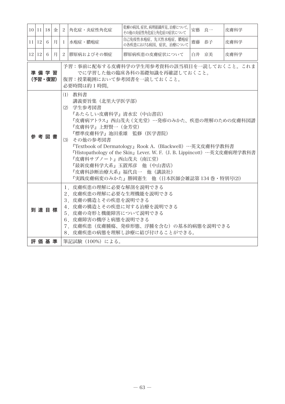|                                                                                                                                                                                                                                                                                                                                                                                                                                                      | $10$  11 18 | 金 | 2            | 角化症・炎症性角化症       | 乾癬の病因、症状、病理組織所見、治療について。<br>その他の炎症性角化症と角化症の症状について | 安藝 良一 | 皮膚科学 |  |  |
|------------------------------------------------------------------------------------------------------------------------------------------------------------------------------------------------------------------------------------------------------------------------------------------------------------------------------------------------------------------------------------------------------------------------------------------------------|-------------|---|--------------|------------------|--------------------------------------------------|-------|------|--|--|
| 11 12                                                                                                                                                                                                                                                                                                                                                                                                                                                | - 6         | 月 | $\mathbf{I}$ | 水疱症・膿疱症          | 自己免疫性水疱症、先天性水疱症、膿疱症<br>の各疾患における病因、症状、治療について      | 齋藤 恭子 | 皮膚科学 |  |  |
| $12$   12   6                                                                                                                                                                                                                                                                                                                                                                                                                                        |             | 月 |              | 2   膠原病およびその類症   | 膠原病疾患の皮膚症状について                                   | 白井 京美 | 皮膚科学 |  |  |
| 予習:事前に配布する皮膚科学の学生用参考資料の該当項目を一読しておくこと。これま<br>でに学習した他の臨床各科の基礎知識を再確認しておくこと。<br>準備学習<br>(予習・復習)<br>復習:授業範囲において参考図書を一読しておくこと。<br>必要時間は約1時間。                                                                                                                                                                                                                                                                                                               |             |   |              |                  |                                                  |       |      |  |  |
| (1) 教科書<br>講義要旨集 (北里大学医学部)<br>(2) 学生参考図書<br>『あたらしい皮膚科学』清水宏(中山書店)<br>『皮膚病アトラス』西山茂夫 (文光堂) …発疹のみかた、疾患の理解のための皮膚科図譜<br>『皮膚科学』上野賢一(金芳堂)<br>『標準皮膚科学』池田重雄 監修(医学書院)<br>参 考 図 書<br>(3) その他の参考図書<br>『Textbook of Dermatology』Rook A. (Blackwell) …英文皮膚科学教科書<br>『Histopathology of the Skin』Lever. W. F. (J. B. Lippincott) …英文皮膚病理学教科書<br>『皮膚科サブノート』西山茂夫 (南江堂)<br>『最新皮膚科学大系』玉置邦彦 他(中山書店)<br>『皮膚科診断治療大系』福代良一 他(講談社)<br>『実践皮膚病変のみかた』勝岡憲生 他(日本医師会雑誌第 134 巻・特別号(2)) |             |   |              |                  |                                                  |       |      |  |  |
| 1. 皮膚疾患の理解に必要な解剖を説明できる<br>2. 皮膚疾患の理解に必要な生理機能を説明できる<br>3 皮膚の構造とその疾患を説明できる<br>4. 皮膚の構造とその疾患に対する治療を説明できる<br>到達目標<br>5. 皮膚の奇形と機能障害について説明できる<br>6. 皮膚障害の機序と病態を説明できる<br>7.皮膚疾患(皮膚腫瘍、発疹形熊、浮腫を含む)の基本的病熊を説明できる<br>8. 皮膚疾患の病態を理解し診療に結び付けることができる。                                                                                                                                                                                                               |             |   |              |                  |                                                  |       |      |  |  |
|                                                                                                                                                                                                                                                                                                                                                                                                                                                      | 評価基準        |   |              | 筆記試験 (100%) による。 |                                                  |       |      |  |  |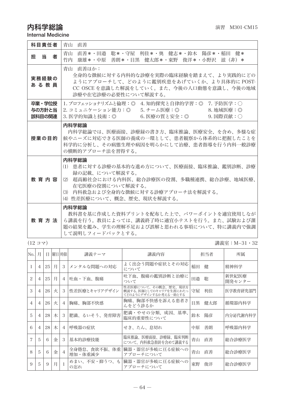## 内科学総論 演習 M301-CM15

Internal Medicine

| 科目青任者                      | 青山 直善                                                                                                                                                                                                              |  |  |  |  |
|----------------------------|--------------------------------------------------------------------------------------------------------------------------------------------------------------------------------------------------------------------|--|--|--|--|
| 当<br>者<br>担                | 青山 直善*・田邉 聡*・守屋 利佳*・奥 健志*・鈴木 陽彦*・稲田 健*<br>竹内 康雄*・中原 善朗*・目黒 健太郎*・東野 俊洋*・小野沢 滋(非)*                                                                                                                                   |  |  |  |  |
| 実務経験の<br>あ る 教 員           | 青山 直善ほか:<br>全身的な徴候に対する内科的な診療を実際の臨床経験を踏まえて、より実践的にどの<br>ようにアプローチして、どのように鑑別疾患をあげていくか、より具体的に POST-<br>CC OSCE を意識した解説をしていく。また、今後の人口動熊を意識し、今後の地域<br>診療や在宅診療の必要性について解説する。                                                |  |  |  |  |
| 卒業・学位授<br>与の方針と当<br>該科目の関連 | 1. プロフェッショナリズムと倫理:◎ 4. 知的探究と自律的学習:◎ 7. 予防医学:○<br>2. コミュニケーション能力:◎  5. チーム医療:◎<br>8. 地域医療:◎<br>3. 医学的知識と技術:◎     6. 医療の質と安全:◎<br>9. 国際貢献:〇                                                                          |  |  |  |  |
| 授業の目的                      | 内科学総論<br>内科学総論では、医療面接、診療録の書き方、臨床推論、医療安全、を含め、多様な症<br>候やニーズに対応できる医師の養成の一環として、患者観察から体系的に把握したことを<br>科学的に分析し、その病熊生理や病因を明らかにして治療、患者指導を行う内科一般診療<br>の構断的アプローチ法を習得する。                                                       |  |  |  |  |
| 教育内容                       | 内科学総論<br>(1) 患者に対する診療の基本的な進め方について、医療面接、臨床推論、鑑別診断、診療<br>録の記載、について解説する。<br>- 超高齢社会における内科医、総合診療医の役割、多職種連携、総合診療、地域医療、<br>(2)<br>在宅医療の役割について解説する。<br>(3) 内科救急および全身的な徴候に対する診療アプローチ法を解説する。<br>(4) 性差医療について、概念、歴史、現状を解説する。 |  |  |  |  |
| 教育方法                       | 内科学総論<br>教科書を基に作成した資料プリントを配布した上で、パワーポイントを適官使用しなが<br>ら講義を行う。教員によっては、講義終了時に適官小テストを行う。また、試験および課<br>題の結果を鑑み、学生の理解不足および誤解と思われる事項について、特に講義内で強調<br>して説明しフィードバックとする。                                                       |  |  |  |  |

(12 コマ) 講義室:M−31・32

| No.            | 月              | Ħ  |   | 曜日 時限          | 講義テーマ                   | 講義内容                                                                    | 担当者       | 所属              |
|----------------|----------------|----|---|----------------|-------------------------|-------------------------------------------------------------------------|-----------|-----------------|
|                | $\overline{4}$ | 25 | 月 | 3              | メンタルな問題への対応             | よく出会う問題や症状とその対応<br>について                                                 | 稲田<br>健   | 精神科学            |
| $\mathfrak{D}$ | $\overline{4}$ | 25 | 月 | $\overline{4}$ | 吐血・下血、腹痛                | 吐下血、腹痛の鑑別診断と治療に<br>ついて                                                  | 田邉<br>聡   | 新世紀医療<br>開発センター |
| 3              | $\overline{4}$ | 26 | 火 | 3              | 性差医療とキャリアデザイン           | 性差医療について、その概念、歴史、現状を<br>概説する。医師としてのキャリアを生涯にわたっ<br>てどのようにデザインするか考える一助とする | 守屋<br>利佳  | 医学教育研究部門        |
| $\overline{4}$ | $\overline{4}$ | 26 | 火 | $\overline{4}$ | 胸痛、胸部不快感                | 胸痛、胸部不快感を訴える患者さ<br>んをどう診るか                                              | 健太郎<br>目黒 | 循環器内科学          |
| 5              | $\overline{4}$ | 28 | 木 | 3              | 肥満、るいそう、発育障害            | 肥満・やせの分類、成因、基準、<br>臨床的重要性について                                           | 陽彦<br>鈴木  | 内分泌代謝内科学        |
| 6              | $\overline{4}$ | 28 | 木 | $\overline{4}$ | 呼吸器の症状                  | せき、たん、息切れ                                                               | 善朗<br>中原  | 呼吸器内科学          |
|                | 5              | 6  | 金 | 3              | 基本的診療技能                 | 臨床推論、医療面接、診療録、臨床判断<br>について、内科救急指針を含めて講義する                               | 青山<br>直善  | 総合診療医学          |
| 8              | 5              | 6  | 金 | $\overline{4}$ | 全身倦怠、食欲不振、体重<br>増加・体重減少 | 臓器・器官が多岐に亘る症候への<br>アプローチについて                                            | 青山<br>直善  | 総合診療医学          |
| 9              | 5              | 9  | 月 |                | めまい、不安・抑うつ、も<br>の忘れ     | 臓器・器官が多岐に亘る症候への<br>アプローチについて                                            | 東野<br>俊洋  | 総合診療医学          |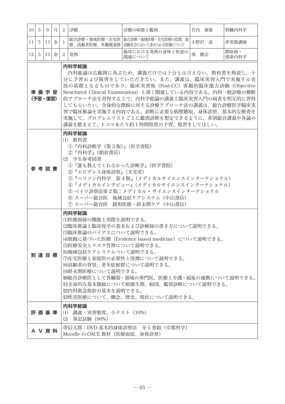| 10 <sup>1</sup> | -5                                                                                                                                                                                                                                                                                                                                                                                                                                                 | 9             | 月 | $\overline{c}$<br>浮腫                                                                                                                                                                                                                                                                                                                                                                                                                                            | 浮腫の病態と鑑別                                                                   | 竹内 康雄 | 腎臓内科学         |  |  |  |
|-----------------|----------------------------------------------------------------------------------------------------------------------------------------------------------------------------------------------------------------------------------------------------------------------------------------------------------------------------------------------------------------------------------------------------------------------------------------------------|---------------|---|-----------------------------------------------------------------------------------------------------------------------------------------------------------------------------------------------------------------------------------------------------------------------------------------------------------------------------------------------------------------------------------------------------------------------------------------------------------------|----------------------------------------------------------------------------|-------|---------------|--|--|--|
| 11              | 5                                                                                                                                                                                                                                                                                                                                                                                                                                                  | 13            | 金 | 1                                                                                                                                                                                                                                                                                                                                                                                                                                                               | 総合診療・地域医療・在宅医   総合診療・地域医療・在宅医療の役割、超<br>療、高齢者医療、多職種連携   高齢社会において求められる医師について | 小野沢 滋 | 非常勤講師         |  |  |  |
| 12              | $5^{\circ}$                                                                                                                                                                                                                                                                                                                                                                                                                                        | <sup>13</sup> | 金 | 2   発熱                                                                                                                                                                                                                                                                                                                                                                                                                                                          | 臨床における発熱の意味と疾患の<br>関連について                                                  | 奥 健志  | 膠原病・<br>感染内科学 |  |  |  |
|                 | 内科学総論<br>内科総論は広範囲に及ぶため、講義だけでは十分とは言えない。教科書を熟読し、十<br>分に予習および復習をしていただきたい。また、講義は、臨床実習入門で実施する実<br>技の基礎となるものであり、臨床実習後(Post-CC)客観的臨床能力試験(Objective<br>準 備 学 習<br>Structured Clinical Examination)と深く関連している内容である。内科一般診療の横断<br>(予習・復習)<br>的アプローチ法を習得する上で、内科学総論の講義と臨床実習入門の両者を相互的に習得<br>してもらいたい。全身的な徴候に対する診療アプローチ法の講義は、総合診療医学臨床実<br>習で臨床推論を実施する内容である。診断に必要な病歴聴取、身体診察、基本的な検査を<br>実施して、プロブレムリストごとに鑑別診断を想定できるように、系別総合講義や各論の<br>講義を踏まえて、1コマあたり約1時間程度の予習、復習をしてほしい。 |               |   |                                                                                                                                                                                                                                                                                                                                                                                                                                                                 |                                                                            |       |               |  |  |  |
|                 |                                                                                                                                                                                                                                                                                                                                                                                                                                                    | 参 考 図 書       |   | 内科学総論<br>(1) 教科書<br>①『内科診断学(第3版)』(医学書院)<br>②『内科学』(朝倉書店)<br>(2) 学生参考図書<br>(1)『誰も教えてくれなかった診断学』(医学書院)<br>②『エビデンス身体診察』(文光堂)<br>③『ハリソン内科学 第4版』(メディカルサイエンスインターナショナル)<br>④『メディカルインタビュー』(メディカルサイエンスインターナショナル)<br>⑤ ベイツ診察法第2版:メディカル・サイエンスインターナショナル<br>⑥ スーパー総合医 地域包括ケアシステム(中山書店)                                                                                                                                                                                         |                                                                            |       |               |  |  |  |
|                 |                                                                                                                                                                                                                                                                                                                                                                                                                                                    | 到 達 目 標       |   | ⑦ スーパー総合医 緩和医療・終末期ケア(中山書店)<br>内科学総論<br>(1)医療面接の機能と実際を説明できる。<br>⑵臨床推論と臨床疫学の基本および診療録の書き方について説明できる。<br>(3)臨床推論のバイアスについて説明できる。<br>⑷根拠に基づいた医療(Evidence based medicine)について説明できる。<br>(5)医療安全とリスク管理について説明できる。<br>(6)地域包括ケアシステムついて説明できる。<br>(7)在宅医療と家庭医の必要性と役割について説明できる。<br>(8)高齢者の背景、老年症候群について説明できる。<br>(9)終末期医療について説明できる。<br>⑽総合診療医として各臓器・領域の専門医、医療と介護・福祉の連携について説明できる。<br>Ⅲ全身的な基本徴候について病態生理、病因、鑑別診断について説明できる。<br>(12)内科救急指針の基本を説明できる。<br>⑴性差医療について、概念、歴史、現状について説明できる。 |                                                                            |       |               |  |  |  |
|                 |                                                                                                                                                                                                                                                                                                                                                                                                                                                    | 評 価 基 準       |   | 内科学総論<br>(1) 講義・実習熊度、小テスト(10%)<br>(2) 筆記試験(90%)                                                                                                                                                                                                                                                                                                                                                                                                                 |                                                                            |       |               |  |  |  |
|                 |                                                                                                                                                                                                                                                                                                                                                                                                                                                    | A V 資 料       |   | 伴信太郎:DVD 基本的身体診察法 全5 巻組 (京都科学)<br>Moodle の OSCE 教材(医療面接、身体診察)                                                                                                                                                                                                                                                                                                                                                                                                   |                                                                            |       |               |  |  |  |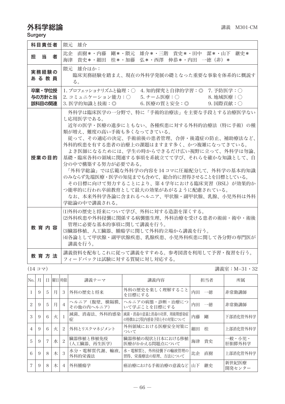## 外科学総論 オフィッシュ インタイム おおところ おおところ おおところ 講義 M301-CM

Surgery

| 科目責任者                      | 雄介<br>隈元                                                                                                                                                                                                                                                                                                                                                                                                                                                                                                                                                               |
|----------------------------|------------------------------------------------------------------------------------------------------------------------------------------------------------------------------------------------------------------------------------------------------------------------------------------------------------------------------------------------------------------------------------------------------------------------------------------------------------------------------------------------------------------------------------------------------------------------|
| 担当<br>者                    | 比企 直樹*・内藤 剛*・隈元 雄介*・三階 貴史*・田中 潔*・山下<br>継史 *<br>貴史*・細田 桂*・加藤 弘*・西澤 伸恭*・内田 一徳(非)*<br>海津                                                                                                                                                                                                                                                                                                                                                                                                                                                                                  |
| 実務経験の<br>あ る 教 員           | 隈元 雄介ほか:<br>臨床実務経験を踏まえ、現在の外科学発展の礎となった重要な事象を体系的に概説す<br>る。                                                                                                                                                                                                                                                                                                                                                                                                                                                                                                               |
| 卒業・学位授<br>与の方針と当<br>該科目の関連 | 1. プロフェッショナリズムと倫理:○ 4. 知的探究と自律的学習:◎ 7. 予防医学:○<br>2. コミュニケーション能力:○<br>5. チーム医療:○<br>8. 地域医療:〇<br>3. 医学的知識と技術:◎<br>6. 医療の質と安全:◎<br>$9.$ 国際貢献: $\bigcirc$                                                                                                                                                                                                                                                                                                                                                                                                                 |
| 授業の目的                      | 外科学は臨床医学の一分野で、特に「手術的治療法」を主要な手段とする治療医学ない<br>し応用医学である。<br>近年の医学・医療の進歩にともない、各種疾患に対する外科的治療法(特に手術)の種<br>類が増え、難度の高い手術も多くなってきている。<br>従って、その適応の決定、手術前後の患者管理、合併・後遺症の防止、補助療法など、<br>外科的疾患を有する患者の治療上の課題はますます多く、かつ複雑になってきている。<br>よき医師になるためには、学生の時からできるだけ広い視野に立って、外科学は勿論、<br>基礎・臨床各科の領域に関連する事項を系統立てて学び、それらを確かな知識として、自<br>分の中で構築する努力が必要である。<br>「外科学総論」では広範な外科学の内容を 14 コマに圧縮配分して、外科学の基本的知識<br>のみならず先端医療・医学の知見までも含めて、総合的に習得させることを目標としている。<br>その目標に向けて努力することにより、第4学年における臨床実習(BSL)が効果的か<br>つ能率的に行われ卒前教育として最大の効果があがるように配慮されている。<br>なお、本来外科学各論に含まれるヘルニア、甲状腺・副甲状腺、乳腺、小児外科は外科<br>学総論の中で講義される。 |
| 教育内容                       | (1)外科の歴史と将来について学び、外科に対する造詣を深くする。<br>(2)外科疾患や外科侵襲に関係する病襲熊生理、外科治療を受ける患者の術前・術中・術後<br>管理に必要な基本的事項に関して講義を行う。<br>(3)臓器移植、人工臓器、腫瘍学に関して外科的立場から講義を行う。<br>(4)各論として甲状腺・副甲状腺疾患、乳腺疾患、小児外科疾患に関して各分野の専門医が<br>講義を行う。                                                                                                                                                                                                                                                                                                                                                                   |
| 教 育 方 法                    | 講義資料を配布しこれに従って講義をすすめる。参考図書を利用して予習・復習を行う。<br>フィードバックは試験に対する質疑に対し対応する。                                                                                                                                                                                                                                                                                                                                                                                                                                                                                                   |

(14 コマ) 講義室:M−31・32

| No.                      | 月 | Ħ. | 曜日 時限 |                | 講義テーマ                      | 講義内容                                           | 担当者      | 所属               |
|--------------------------|---|----|-------|----------------|----------------------------|------------------------------------------------|----------|------------------|
|                          | 9 | 5  | 月     | 3              | 外科の歴史と将来                   | 外科の歴史を楽しく理解すること<br>を目標にする                      | 内田の一徳    | 非常勤講師            |
| $\overline{\mathcal{L}}$ | 9 | 5  | 月     | $\overline{4}$ | ヘルニア(腹壁、横隔膜、<br>その他の内へルニア) | ヘルニアの病熊・診断・治療につ<br>いて学ぶことを目標にする                | 内田の一徳    | 非常勤講師            |
| 3                        | 9 | 6  | 火     |                | 滅菌、消毒法、外科的感染<br>症          | 滅菌・消毒の意義と消毒の功罪、周術期感染症<br>の特徴および院内感染予防とその対策について | 内藤<br>剛  | 下部消化管外科学         |
| 4                        | 9 | 6  | 火     | 2              | 外科とリスクマネジメント               | 外科領域における医療安全対策に<br>ついて                         | 桂<br>細田  | 上部消化管外科学         |
| 5                        | 9 |    | 水     | $\overline{c}$ | 臓器移植と移植免疫<br>(人工臓器、再生医学)   | 臓器移植の現状と日本における移植<br>医療がかかえる問題点について             | 貴史<br>海津 | 一般・小児・<br>肝胆膵外科学 |
| 6                        | 9 | 8  | 木     | 3              | 水分・電解質代謝、輸液、<br>外科的栄養法     | 水・電解質と、外科侵襲下の輸液管理の<br>習得、栄養療法の原理、方法について        | 直樹<br>比企 | 上部消化管外科学         |
| 7                        | 9 | 8  | 木     | $\overline{4}$ | 外科腫瘍学                      | 癌治療における手術治療の意義など 山下                            | 継史       | 新世紀医療<br>開発センター  |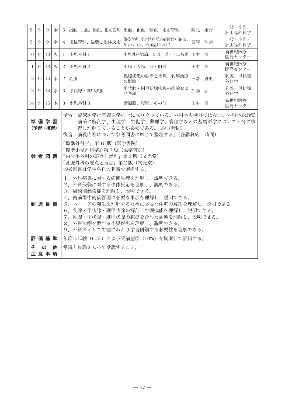| 8               | 9                                                                                                                                                                                                                                                                                                           | 9               | 金 | 3              |                                                                                                                   | 出血、止血、輸血、術前管理  出血、止血、輸血、術前管理            | 隈元 雄介 |  | 一般・小児・<br>肝胆膵外科学 |  |
|-----------------|-------------------------------------------------------------------------------------------------------------------------------------------------------------------------------------------------------------------------------------------------------------------------------------------------------------|-----------------|---|----------------|-------------------------------------------------------------------------------------------------------------------|-----------------------------------------|-------|--|------------------|--|
| 9               | 9                                                                                                                                                                                                                                                                                                           | 9               | 金 |                | 4  術後管理、侵襲と生体反応                                                                                                   | 術後管理、全身性症反応症候群(SIRS)、<br>サイトカイン、敗血症について | 西澤 伸恭 |  | 一般・小児・<br>肝胆膵外科学 |  |
| 10 <sup>1</sup> | 9                                                                                                                                                                                                                                                                                                           | 13              | 火 |                | 1 小児外科 1                                                                                                          | 小児外科総論、食道、胃・十二指腸                        | 田中 潔  |  | 新世紀医療<br>開発センター  |  |
| 11              | 9                                                                                                                                                                                                                                                                                                           | 13              | 火 | $^{2}$         | 小児外科2                                                                                                             | 小腸・大腸、肝・胆道                              | 田中 潔  |  | 新世紀医療<br>開発センター  |  |
| 12              | 9                                                                                                                                                                                                                                                                                                           | 14              | 水 | $\overline{2}$ | 乳腺                                                                                                                | 乳腺疾患の診断と治療、乳癌治療<br>の概略                  | 三階 貴史 |  | 乳腺・甲状腺<br>外科学    |  |
| 13 <sup>1</sup> | 9                                                                                                                                                                                                                                                                                                           | 14 <sup>1</sup> | 水 | 3              | 甲状腺・副甲状腺                                                                                                          | 甲状腺・副甲状腺疾患の総論およ<br>び各論                  | 加藤 弘  |  | 乳腺・甲状腺<br>外科学    |  |
| 14 <sub>1</sub> | 9                                                                                                                                                                                                                                                                                                           | $15$ 木          |   |                | 3 小児外科3                                                                                                           | 横隔膜、腹壁、その他                              | 田中 潔  |  | 新世紀医療<br>開発センター  |  |
|                 | 予習:臨床医学は基礎医学の上に成り立っている。外科学も例外ではない。外科学総論受<br>準備学習<br>講前に解剖学、生理学、生化学、薬理学、病理学などの基礎医学について十分に復<br>(予習・復習)<br>習し理解していることが必要である。(約3時間)<br>復習:講義内容について参考図書に準じて整理する。(各講義約1時間)                                                                                                                                        |                 |   |                |                                                                                                                   |                                         |       |  |                  |  |
|                 |                                                                                                                                                                                                                                                                                                             | 参考図書            |   |                | 『標準外科学』第 15 版(医学書院)<br>『標準小児外科学』第7版(医学書院)<br>『内分泌外科の要点と盲点』第2版 (文光堂)<br>『乳腺外科の要点と盲点』第2版(文光堂)<br>参考図書は学生各自の判断で選択する。 |                                         |       |  |                  |  |
|                 | 1. 外科疾患に対する病態生理を理解し、説明できる。<br>2.外科侵襲に対する生体反応を理解し、説明できる。<br>3. 周術期感染症を理解し、説明できる。<br>4. 術前術中術後管理に必要な事項を理解し、説明できる。<br>到達目標<br>5. ヘルニアの発生を理解するために必要な体壁の解剖を理解し、説明できる。<br>6. 乳腺・甲状腺・副甲状腺の解剖、生理機能を理解し、説明できる。<br>7.乳腺・甲状腺・副甲状腺の腫瘍を含めた病態を理解し、説明できる。<br>8. 外科治療を要する小児疾患を理解し、説明できる。<br>9. 外科医として生涯にわたり学習研鑽する必要性を理解できる。 |                 |   |                |                                                                                                                   |                                         |       |  |                  |  |
|                 |                                                                                                                                                                                                                                                                                                             | 評価基準            |   |                |                                                                                                                   | 年度末試験(90%)および受講熊度(10%)を勘案して評価する。        |       |  |                  |  |
|                 | 常識と良識をもって受講すること。<br>÷<br>$\sigma$<br>他<br>注意事項                                                                                                                                                                                                                                                              |                 |   |                |                                                                                                                   |                                         |       |  |                  |  |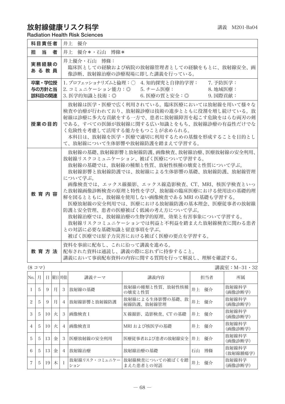## 放射線健康リスク科字 フィング・ファイル かいしゅう かいきょう きょうきょう

Radiation Health Risk Sciences

| 科目責任者                                                                                                                                                                                                                                                                                           | 井上 優介                                                                                                                                                                                                                                                                                                                                                                                                                                                                                                                                     |  |  |  |
|-------------------------------------------------------------------------------------------------------------------------------------------------------------------------------------------------------------------------------------------------------------------------------------------------|-------------------------------------------------------------------------------------------------------------------------------------------------------------------------------------------------------------------------------------------------------------------------------------------------------------------------------------------------------------------------------------------------------------------------------------------------------------------------------------------------------------------------------------------|--|--|--|
| 当<br>担工<br>者                                                                                                                                                                                                                                                                                    | 井上 優介*・石山 博條*                                                                                                                                                                                                                                                                                                                                                                                                                                                                                                                             |  |  |  |
| 実務経験の<br>あ る 教 員                                                                                                                                                                                                                                                                                | 井上優介・石山 博條:<br>臨床医としての経験および病院の放射線管理者としての経験をもとに、放射線安全、画<br>像診断、放射線治療の診療現場に即した講義を行っている。                                                                                                                                                                                                                                                                                                                                                                                                                                                     |  |  |  |
| 卒業・学位授<br>与の方針と当<br>該科目の関連                                                                                                                                                                                                                                                                      | 1. プロフェッショナリズムと倫理:○ 4. 知的探究と自律的学習:<br>7. 予防医学:<br>2. コミュニケーション能力: ◎ 5. チーム医療:<br>8. 地域医療:<br>6. 医療の質と安全:◎<br>9. 国際貢献:<br>3. 医学的知識と技術:◎                                                                                                                                                                                                                                                                                                                                                                                                    |  |  |  |
| 放射線は医学・医療で広く利用されている。臨床医療においては放射線を用いて様々な<br>検査や治療が行われており、放射線診療は技術の進歩とともに役割を増し続けている。放<br>射線は診療に多大な貢献をする一方で、患者に放射線障害を起こす危険をはらむ両刃の剣<br>である。すべての医師が放射線に関する広い知識とをもち、放射線診療の有益性だけでな<br>授業の目的<br>く危険性を考慮して活用する能力をもつことが求められる。<br>本科目は、放射線を医学・医療で適切に利用するための基盤を形成することを目的とし<br>て、放射線について生体影響や放射線防護を踏まえて学習する。 |                                                                                                                                                                                                                                                                                                                                                                                                                                                                                                                                           |  |  |  |
| 教育内容                                                                                                                                                                                                                                                                                            | 放射線の基礎、放射線影響と放射線防護、画像検査、放射線治療、医療放射線の安全利用、<br>放射線リスクコミュニケーション、被ばく医療について学習する。<br>放射線の基礎では、放射線の種類と性質、放射性核種の壊変と性質について学ぶ。<br>放射線影響と放射線防護では、放射線による生体影響の基礎、放射線防護、放射線管理<br>について学ぶ。<br>画像検査では、エックス線撮影、エックス線造影検査、CT、MRI、核医学検査といっ<br>た放射線画像診断検査の原理と特性を学び、放射線の臨床医療における使用法の基礎的理<br> 解を図るとともに、放射線を使用しない画像検査である MRI の基礎も学習する。<br>医療放射線の安全利用では、医療における放射線防護の基本理念、医療従事者の放射線<br>防護と安全管理、患者の医療被ばく低減の考え方について学ぶ。<br>放射線治療では、放射線治療の生物学的原理、効果と有害事象について学習する。<br>放射線リスクコミュニケーションでは利益と不利益を踏まえた放射線検査に関わる患者<br>との対話に必要な基礎知識と留意事項を学ぶ。<br>被ばく医療では原子力災害における被ばく医療の要点を学習する。 |  |  |  |
| 教育方法                                                                                                                                                                                                                                                                                            | 資料を事前に配布し、これに沿って講義を進める。<br>配布された資料は通読し、講義の際に忘れずに持参すること。<br>講義において事前配布資料の内容に関する質問を行って解説し、理解を確認する。                                                                                                                                                                                                                                                                                                                                                                                                                                          |  |  |  |

(8 コマ) 講義室:M−31・32

| No.                      | 月 | Ħ  |   | 曜日 時限          | 講義テーマ                | 講義内容                              | 担当者      | 所属                |
|--------------------------|---|----|---|----------------|----------------------|-----------------------------------|----------|-------------------|
|                          | 5 | 9  | 月 | 3              | 放射線の基礎               | 放射線の種類と性質、放射性核種<br>の壊変と性質         | 優介<br>井上 | 放射線科学<br>(画像診断学)  |
| $\overline{\mathcal{L}}$ | 5 | 9  | 月 | $\overline{4}$ | 放射線影響と放射線防護          | 放射線による生体影響の基礎、<br>放<br>射線防護、放射線管理 | 優介<br>井上 | 放射線科学<br>(画像診断学)  |
| 3                        | 5 | 10 | 火 | 3              | 画像検査 I               | X線撮影、造影検査、CTの基礎                   | 優介<br>井上 | 放射線科学<br>(画像診断学)  |
| 4                        | 5 | 10 | 火 | $\overline{4}$ | 画像検杳 II              | MRI および核医学の基礎                     | 優介<br>井上 | 放射線科学<br>(画像診断学)  |
| 5                        | 5 | 13 | 金 | 3              | 医療放射線の安全利用           | 医療従事者および患者の放射線安全   井上             | 優介       | 放射線科学<br>(画像診断学)  |
| 6                        | 5 | 13 | 金 | $\overline{4}$ | 放射線治療                | 放射線治療の基礎                          | 博條<br>石山 | 放射線科学<br>(放射線腫瘍学) |
|                          | 5 | 19 | 木 |                | 放射線リスク・コミュニケー<br>ション | 放射線検査についての被ばくを踏<br>まえた患者との対話      | 優介<br>井上 | 放射線科学<br>(画像診断学)  |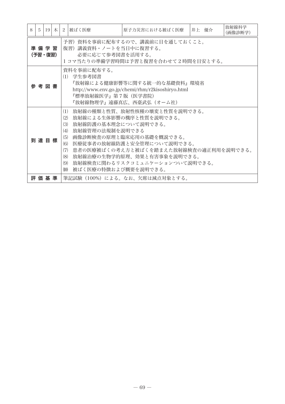| 8 | 5                                                                                                                                                                         |         | $19$ $\pi$ | 2                                                           | 被ばく医療                                                              | 原子力災害における被ばく医療                                                                                                                                                                                                                       | 井上 優介 | 放射線科学<br>(画像診断学) |  |
|---|---------------------------------------------------------------------------------------------------------------------------------------------------------------------------|---------|------------|-------------------------------------------------------------|--------------------------------------------------------------------|--------------------------------------------------------------------------------------------------------------------------------------------------------------------------------------------------------------------------------------|-------|------------------|--|
|   | 予習)資料を事前に配布するので、講義前に目を通しておくこと。<br>準 備 学 習<br>復習)講義資料・ノートを当日中に復習する。<br>必要に応じて参考図書を活用する。<br>(予習・復習)<br>1コマ当たりの準備学習時間は予習と復習を合わせて2時間を目安とする。                                   |         |            |                                                             |                                                                    |                                                                                                                                                                                                                                      |       |                  |  |
|   | 資料を事前に配布する。<br>(1) 学生参考図書<br>『放射線による健康影響等に関する統一的な基礎資料』環境省<br>参 考 図 書<br>http://www.env.go.jp/chemi/rhm/r2kisoshiryo.html<br>『標準放射線医学』第7版(医学書院)<br>『放射線物理学』遠藤真広、西臺武弘(オーム社) |         |            |                                                             |                                                                    |                                                                                                                                                                                                                                      |       |                  |  |
|   |                                                                                                                                                                           | 到達目標    |            | (1)<br>(2)<br>(3)<br>(4)<br>(5)<br>(6)<br>(7)<br>(8)<br>(9) | 放射線防護の基本理念について説明できる。<br>放射線管理の法規制を説明できる<br>Ⅲ) 被ばく医療の特徴および概要を説明できる。 | 放射線の種類と性質、放射性核種の壊変と性質を説明できる。<br>放射線による生体影響の機序と性質を説明できる。<br>画像診断検査の原理と臨床応用の基礎を概説できる。<br>医療従事者の放射線防護と安全管理について説明できる。<br>患者の医療被ばくの考え方と被ばくを踏まえた放射線検査の適正利用を説明できる。<br>放射線治療の生物学的原理、効果と有害事象を説明できる。<br><b> 放射線検査に関わるリスクコミュニケーションついて説明できる。</b> |       |                  |  |
|   |                                                                                                                                                                           | 評 価 基 準 |            |                                                             |                                                                    | 筆記試験(100%)による。なお、欠席は減点対象とする。                                                                                                                                                                                                         |       |                  |  |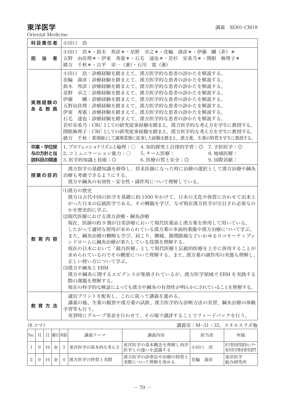東洋医学 またま インタン エンジェー おおとこ 講義 M301-CM18

Oriental Medicine

|                              | 科目責任者                      |  |             |   | 小田口 浩                                                                                         |                                                                                                                                                                                                                                                                                                                                                                                                                                                             |          |                            |  |  |  |
|------------------------------|----------------------------|--|-------------|---|-----------------------------------------------------------------------------------------------|-------------------------------------------------------------------------------------------------------------------------------------------------------------------------------------------------------------------------------------------------------------------------------------------------------------------------------------------------------------------------------------------------------------------------------------------------------------|----------|----------------------------|--|--|--|
|                              | 担 当                        |  | 者           |   | 緒方 千秋*・古平 栄一(兼)・石川 寛(兼)                                                                       | 小田口 浩*・鈴木 邦彦*・星野 卓之*・花輪 壽彦*・伊藤 剛(非)*<br>五野 由佳理*・伊東 秀憲*・石毛 達也*・若杉 安希乃*・関根 麻理子*                                                                                                                                                                                                                                                                                                                                                                               |          |                            |  |  |  |
|                              | 実務経験の<br>あ る 教 員           |  |             |   |                                                                                               | 小田口 浩:診療経験を踏まえて、漢方医学的な患者の診かたを解説する。<br>花輪 壽彦:診療経験を踏まえて、漢方医学的な患者の診かたを解説する。<br>鈴木 邦彦:診療経験を踏まえて、漢方医学的な患者の診かたを解説する。<br>星野 卓之:診療経験を踏まえて、漢方医学的な患者の診かたを解説する。<br>伊藤 剛:診療経験を踏まえて、漢方医学的な患者の診かたを解説する。<br>五野由佳理:診療経験を踏まえて、漢方医学的な患者の診かたを解説する。<br>伊東 秀憲:診療経験を踏まえて、漢方医学的な患者の診かたを解説する。<br>石毛 達也:診療経験を踏まえて、漢方医学的な患者の診かたを解説する。<br>若杉安希乃:CRC としての研究従事経験を踏まえ、漢方医学的な考え方を学生に教授する。<br>関根麻理子: CRCとしての研究従事経験を踏まえ、漢方医学的な考え方を学生に教授する。<br>緒方 千秋:薬剤師として調剤業務に従事した経験を踏まえ、漢方薬、生薬の特質を学生に教授する。 |          |                            |  |  |  |
|                              | 卒業・学位授<br>与の方針と当<br>該科目の関連 |  |             |   | 3. 医学的知識と技術:◎                                                                                 | 1. プロフェッショナリズムと倫理:○ 4. 知的探究と自律的学習:◎ 7. 予防医学:◎<br>2. コミュニケーション能力:○  5. チーム医療:<br>6. 医療の質と安全:◎ その 9. 国際貢献:                                                                                                                                                                                                                                                                                                                                                    | 8. 地域医療: |                            |  |  |  |
| 授業の目的                        |                            |  |             |   | 漢方医学の基礎知識を修得し、将来医師になった時に治療の選択として漢方治療や鍼灸<br>治療も考慮できるようにする。<br>漢方や鍼灸の有効性・安全性・副作用について理解している。     |                                                                                                                                                                                                                                                                                                                                                                                                                                                             |          |                            |  |  |  |
|                              | 教育内容                       |  |             |   | (1)漢方の歴史<br>かを歴史的に学ぶ。<br>(2)現代医療における漢方診療・鍼灸診療<br>正しい使い方について学ぶ。<br>(3)漢方や鍼灸と EBM<br>際の課題を理解する。 | 漢方は古代中国の医学を基礎に約 1500 年かけて、日本の文化や体質に合わせて出来上<br>がった日本の伝統医学である。その概観を学び、なぜ現在漢方医学が注目され必要なの<br>現在、医師の約9割が日常診療において現代医薬品と漢方薬を併用して用いている。<br>したがって適切な使用が求められている漢方薬の多面的薬能や漢方治療について学ぶ。<br>また、鍼灸治療の概略も学び、肩こり、腰痛、膝関節痛などいわゆるロコモーティブシ<br>ンドロームに鍼灸治療が果たしている役割を理解する。<br>現在の日本において「統合医療」として現代医療と伝統的医療を上手に併用することが<br>求められているのでその概要について理解する。また、漢方薬の副作用の実態も理解し、<br>漢方や鍼灸に関するエビデンスが集積されているが、漢方医学領域で EBM を実践する<br>現在の科学的な検証によっても漢方や鍼灸の有効性が明らかにされていることを理解する。                         |          |                            |  |  |  |
|                              | 教 育 方 法                    |  |             |   | 学習等も行う。                                                                                       | 適宜プリントを配布し、これに従って講義を進める。<br>講義の他、生薬の観察や漢方薬の試飲、漢方医学的な診断方法の実習、鍼灸治療の体験<br>実習時にグループ発表を行わせて、その場で講評することでフィードバックを行う。                                                                                                                                                                                                                                                                                                                                               |          |                            |  |  |  |
| (877)<br>講義室:M−31・32、スキルスラボ他 |                            |  |             |   |                                                                                               |                                                                                                                                                                                                                                                                                                                                                                                                                                                             |          |                            |  |  |  |
|                              | No. 月 日 曜日時限               |  |             |   | 講義テーマ                                                                                         | 講義内容                                                                                                                                                                                                                                                                                                                                                                                                                                                        | 担当者      | 所属                         |  |  |  |
| 1                            | 9                          |  | $16 \leq$   | 3 | 東洋医学の基本的な考え方                                                                                  | 東洋医学の基本概念を理解し西洋<br>医学との違いを認識する                                                                                                                                                                                                                                                                                                                                                                                                                              | 小田口 浩    | 医学教育研究開発センター<br>東洋医学教育研究部門 |  |  |  |
| $\overline{2}$               | 9                          |  | $16 \times$ |   | 4 漢方医学の特質と実際                                                                                  | 漢方医学の診察法や治療の特質と<br>実際について理解を深める                                                                                                                                                                                                                                                                                                                                                                                                                             | 花輪 壽彦    | 東洋医学<br>総合研究所              |  |  |  |